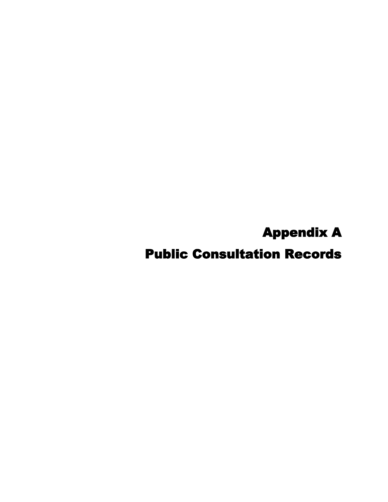Appendix A

Public Consultation Records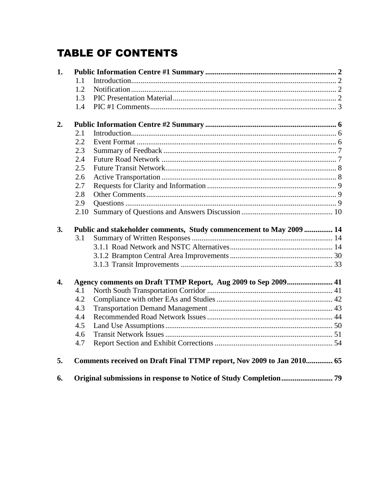### **TABLE OF CONTENTS**

| 1.               |      |                                                                       |  |
|------------------|------|-----------------------------------------------------------------------|--|
|                  | 1.1  |                                                                       |  |
|                  | 1.2  |                                                                       |  |
|                  | 1.3  |                                                                       |  |
|                  | 1.4  |                                                                       |  |
| 2.               |      |                                                                       |  |
|                  | 2.1  |                                                                       |  |
|                  | 2.2  |                                                                       |  |
|                  | 2.3  |                                                                       |  |
|                  | 2.4  |                                                                       |  |
|                  | 2.5  |                                                                       |  |
|                  | 2.6  |                                                                       |  |
|                  | 2.7  |                                                                       |  |
|                  | 2.8  |                                                                       |  |
|                  | 2.9  |                                                                       |  |
|                  | 2.10 |                                                                       |  |
|                  |      |                                                                       |  |
| 3.               |      | Public and stakeholder comments, Study commencement to May 2009  14   |  |
|                  | 3.1  |                                                                       |  |
|                  |      |                                                                       |  |
|                  |      |                                                                       |  |
|                  |      |                                                                       |  |
| $\overline{4}$ . |      | Agency comments on Draft TTMP Report, Aug 2009 to Sep 2009 41         |  |
|                  | 4.1  |                                                                       |  |
|                  | 4.2  |                                                                       |  |
|                  | 4.3  |                                                                       |  |
|                  | 4.4  |                                                                       |  |
|                  | 4.5  |                                                                       |  |
|                  | 4.6  |                                                                       |  |
|                  | 4.7  |                                                                       |  |
| 5.               |      | Comments received on Draft Final TTMP report, Nov 2009 to Jan 2010 65 |  |
| 6.               |      |                                                                       |  |
|                  |      |                                                                       |  |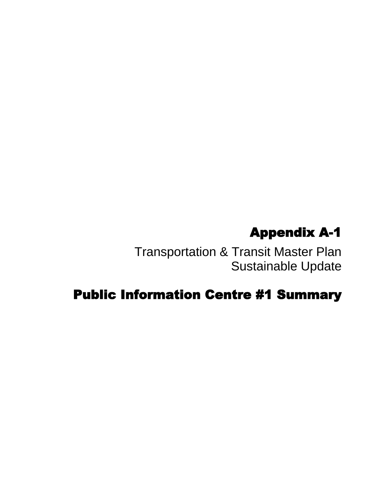# Appendix A-1

Transportation & Transit Master Plan Sustainable Update

# Public Information Centre #1 Summary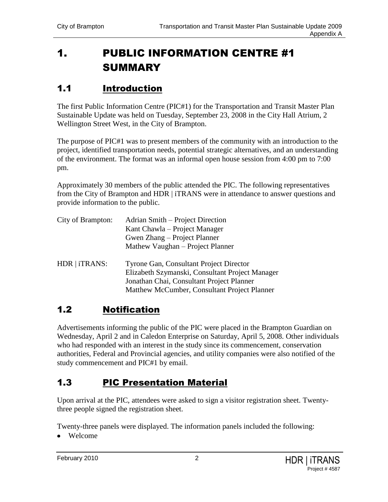## <span id="page-3-0"></span>1. PUBLIC INFORMATION CENTRE #1 **SUMMARY**

#### <span id="page-3-1"></span>1.1 Introduction

The first Public Information Centre (PIC#1) for the Transportation and Transit Master Plan Sustainable Update was held on Tuesday, September 23, 2008 in the City Hall Atrium, 2 Wellington Street West, in the City of Brampton.

The purpose of PIC#1 was to present members of the community with an introduction to the project, identified transportation needs, potential strategic alternatives, and an understanding of the environment. The format was an informal open house session from 4:00 pm to 7:00 pm.

Approximately 30 members of the public attended the PIC. The following representatives from the City of Brampton and HDR | iTRANS were in attendance to answer questions and provide information to the public.

| City of Brampton: | Adrian Smith – Project Direction<br>Kant Chawla – Project Manager<br>Gwen Zhang – Project Planner<br>Mathew Vaughan – Project Planner                                                   |
|-------------------|-----------------------------------------------------------------------------------------------------------------------------------------------------------------------------------------|
| HDR   iTRANS:     | Tyrone Gan, Consultant Project Director<br>Elizabeth Szymanski, Consultant Project Manager<br>Jonathan Chai, Consultant Project Planner<br>Matthew McCumber, Consultant Project Planner |

#### <span id="page-3-2"></span>1.2 Notification

Advertisements informing the public of the PIC were placed in the Brampton Guardian on Wednesday, April 2 and in Caledon Enterprise on Saturday, April 5, 2008. Other individuals who had responded with an interest in the study since its commencement, conservation authorities, Federal and Provincial agencies, and utility companies were also notified of the study commencement and PIC#1 by email.

#### <span id="page-3-3"></span>1.3 PIC Presentation Material

Upon arrival at the PIC, attendees were asked to sign a visitor registration sheet. Twentythree people signed the registration sheet.

Twenty-three panels were displayed. The information panels included the following:

• Welcome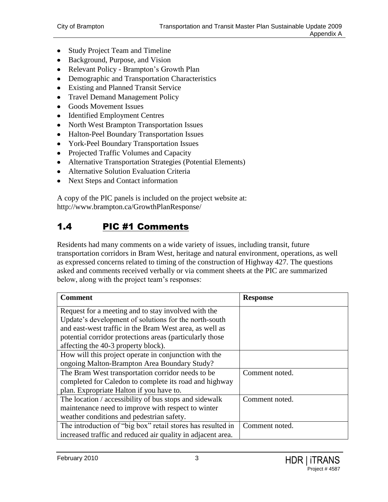- Study Project Team and Timeline
- Background, Purpose, and Vision
- Relevant Policy Brampton's Growth Plan
- Demographic and Transportation Characteristics
- Existing and Planned Transit Service
- Travel Demand Management Policy
- Goods Movement Issues
- Identified Employment Centres
- North West Brampton Transportation Issues
- Halton-Peel Boundary Transportation Issues
- York-Peel Boundary Transportation Issues
- Projected Traffic Volumes and Capacity
- Alternative Transportation Strategies (Potential Elements)
- Alternative Solution Evaluation Criteria
- Next Steps and Contact information

A copy of the PIC panels is included on the project website at: <http://www.brampton.ca/GrowthPlanResponse/>

#### <span id="page-4-0"></span>1.4 PIC #1 Comments

Residents had many comments on a wide variety of issues, including transit, future transportation corridors in Bram West, heritage and natural environment, operations, as well as expressed concerns related to timing of the construction of Highway 427. The questions asked and comments received verbally or via comment sheets at the PIC are summarized below, along with the project team"s responses:

| <b>Comment</b>                                              | <b>Response</b> |
|-------------------------------------------------------------|-----------------|
| Request for a meeting and to stay involved with the         |                 |
| Update's development of solutions for the north-south       |                 |
| and east-west traffic in the Bram West area, as well as     |                 |
| potential corridor protections areas (particularly those)   |                 |
| affecting the 40-3 property block).                         |                 |
| How will this project operate in conjunction with the       |                 |
| ongoing Malton-Brampton Area Boundary Study?                |                 |
| The Bram West transportation corridor needs to be           | Comment noted.  |
| completed for Caledon to complete its road and highway      |                 |
| plan. Expropriate Halton if you have to.                    |                 |
| The location / accessibility of bus stops and sidewalk      | Comment noted.  |
| maintenance need to improve with respect to winter          |                 |
| weather conditions and pedestrian safety.                   |                 |
| The introduction of "big box" retail stores has resulted in | Comment noted.  |
| increased traffic and reduced air quality in adjacent area. |                 |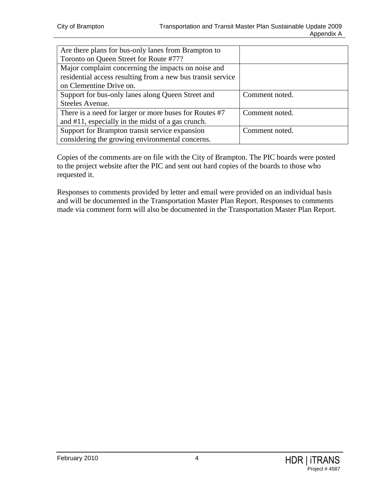| Are there plans for bus-only lanes from Brampton to         |                |
|-------------------------------------------------------------|----------------|
| Toronto on Queen Street for Route #77?                      |                |
| Major complaint concerning the impacts on noise and         |                |
| residential access resulting from a new bus transit service |                |
| on Clementine Drive on.                                     |                |
| Support for bus-only lanes along Queen Street and           | Comment noted. |
| Steeles Avenue.                                             |                |
| There is a need for larger or more buses for Routes #7      | Comment noted. |
| and #11, especially in the midst of a gas crunch.           |                |
| Support for Brampton transit service expansion              | Comment noted. |
| considering the growing environmental concerns.             |                |

Copies of the comments are on file with the City of Brampton. The PIC boards were posted to the project website after the PIC and sent out hard copies of the boards to those who requested it.

Responses to comments provided by letter and email were provided on an individual basis and will be documented in the Transportation Master Plan Report. Responses to comments made via comment form will also be documented in the Transportation Master Plan Report.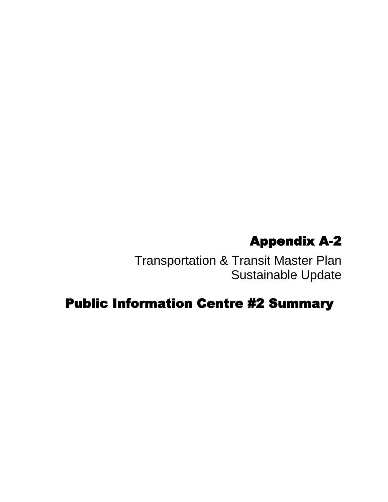# Appendix A-2

Transportation & Transit Master Plan Sustainable Update

## Public Information Centre #2 Summary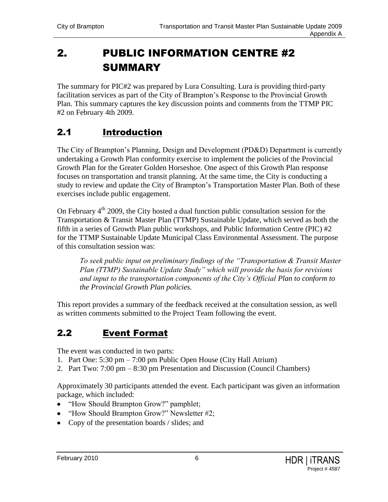## <span id="page-7-0"></span>2. PUBLIC INFORMATION CENTRE #2 **SUMMARY**

The summary for PIC#2 was prepared by Lura Consulting. Lura is providing third-party facilitation services as part of the City of Brampton"s Response to the Provincial Growth Plan. This summary captures the key discussion points and comments from the TTMP PIC #2 on February 4th 2009.

#### <span id="page-7-1"></span>2.1 Introduction

The City of Brampton"s Planning, Design and Development (PD&D) Department is currently undertaking a Growth Plan conformity exercise to implement the policies of the Provincial Growth Plan for the Greater Golden Horseshoe. One aspect of this Growth Plan response focuses on transportation and transit planning. At the same time, the City is conducting a study to review and update the City of Brampton's Transportation Master Plan. Both of these exercises include public engagement.

On February 4<sup>th</sup> 2009, the City hosted a dual function public consultation session for the Transportation & Transit Master Plan (TTMP) Sustainable Update, which served as both the fifth in a series of Growth Plan public workshops, and Public Information Centre (PIC) #2 for the TTMP Sustainable Update Municipal Class Environmental Assessment. The purpose of this consultation session was:

*To seek public input on preliminary findings of the "Transportation & Transit Master Plan (TTMP) Sustainable Update Study" which will provide the basis for revisions and input to the transportation components of the City's Official Plan to conform to the Provincial Growth Plan policies.*

This report provides a summary of the feedback received at the consultation session, as well as written comments submitted to the Project Team following the event.

#### <span id="page-7-2"></span>2.2 Event Format

The event was conducted in two parts:

- 1. Part One: 5:30 pm 7:00 pm Public Open House (City Hall Atrium)
- 2. Part Two: 7:00 pm 8:30 pm Presentation and Discussion (Council Chambers)

Approximately 30 participants attended the event. Each participant was given an information package, which included:

- "How Should Brampton Grow?" pamphlet;
- "How Should Brampton Grow?" Newsletter #2;
- Copy of the presentation boards / slides; and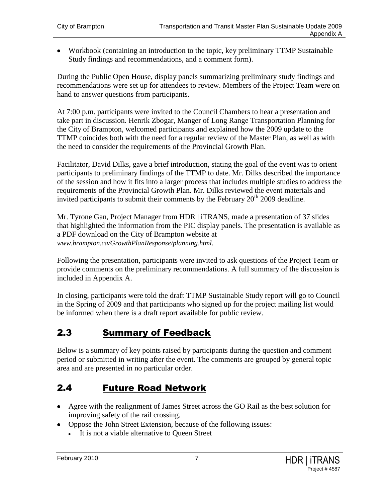Workbook (containing an introduction to the topic, key preliminary TTMP Sustainable Study findings and recommendations, and a comment form).

During the Public Open House, display panels summarizing preliminary study findings and recommendations were set up for attendees to review. Members of the Project Team were on hand to answer questions from participants.

At 7:00 p.m. participants were invited to the Council Chambers to hear a presentation and take part in discussion. Henrik Zbogar, Manger of Long Range Transportation Planning for the City of Brampton, welcomed participants and explained how the 2009 update to the TTMP coincides both with the need for a regular review of the Master Plan, as well as with the need to consider the requirements of the Provincial Growth Plan.

Facilitator, David Dilks, gave a brief introduction, stating the goal of the event was to orient participants to preliminary findings of the TTMP to date. Mr. Dilks described the importance of the session and how it fits into a larger process that includes multiple studies to address the requirements of the Provincial Growth Plan. Mr. Dilks reviewed the event materials and invited participants to submit their comments by the February  $20<sup>th</sup> 2009$  deadline.

Mr. Tyrone Gan, Project Manager from HDR | iTRANS, made a presentation of 37 slides that highlighted the information from the PIC display panels. The presentation is available as a PDF download on the City of Brampton website at *www.brampton.ca/GrowthPlanResponse/planning.html*.

Following the presentation, participants were invited to ask questions of the Project Team or provide comments on the preliminary recommendations. A full summary of the discussion is included in Appendix A.

In closing, participants were told the draft TTMP Sustainable Study report will go to Council in the Spring of 2009 and that participants who signed up for the project mailing list would be informed when there is a draft report available for public review.

### <span id="page-8-0"></span>2.3 Summary of Feedback

Below is a summary of key points raised by participants during the question and comment period or submitted in writing after the event. The comments are grouped by general topic area and are presented in no particular order.

#### <span id="page-8-1"></span>2.4 Future Road Network

- Agree with the realignment of James Street across the GO Rail as the best solution for improving safety of the rail crossing.
- Oppose the John Street Extension, because of the following issues:
	- It is not a viable alternative to Queen Street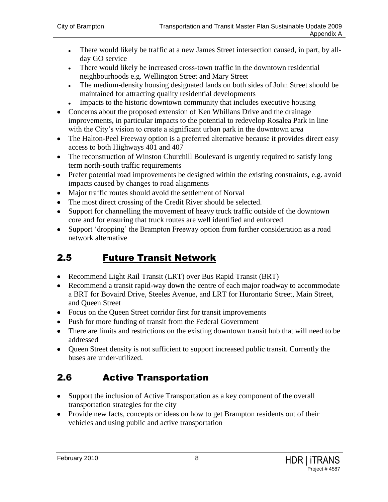- There would likely be traffic at a new James Street intersection caused, in part, by allday GO service
- There would likely be increased cross-town traffic in the downtown residential neighbourhoods e.g. Wellington Street and Mary Street
- The medium-density housing designated lands on both sides of John Street should be  $\bullet$ maintained for attracting quality residential developments
- Impacts to the historic downtown community that includes executive housing
- Concerns about the proposed extension of Ken Whillans Drive and the drainage improvements, in particular impacts to the potential to redevelop Rosalea Park in line with the City's vision to create a significant urban park in the downtown area
- The Halton-Peel Freeway option is a preferred alternative because it provides direct easy access to both Highways 401 and 407
- The reconstruction of Winston Churchill Boulevard is urgently required to satisfy long term north-south traffic requirements
- Prefer potential road improvements be designed within the existing constraints, e.g. avoid impacts caused by changes to road alignments
- Major traffic routes should avoid the settlement of Norval
- The most direct crossing of the Credit River should be selected.
- Support for channelling the movement of heavy truck traffic outside of the downtown core and for ensuring that truck routes are well identified and enforced
- Support 'dropping' the Brampton Freeway option from further consideration as a road network alternative

#### <span id="page-9-0"></span>2.5 Future Transit Network

- Recommend Light Rail Transit (LRT) over Bus Rapid Transit (BRT)
- Recommend a transit rapid-way down the centre of each major roadway to accommodate a BRT for Bovaird Drive, Steeles Avenue, and LRT for Hurontario Street, Main Street, and Queen Street
- Focus on the Queen Street corridor first for transit improvements
- Push for more funding of transit from the Federal Government
- There are limits and restrictions on the existing downtown transit hub that will need to be addressed
- Oueen Street density is not sufficient to support increased public transit. Currently the buses are under-utilized.

### <span id="page-9-1"></span>2.6 Active Transportation

- Support the inclusion of Active Transportation as a key component of the overall transportation strategies for the city
- Provide new facts, concepts or ideas on how to get Brampton residents out of their vehicles and using public and active transportation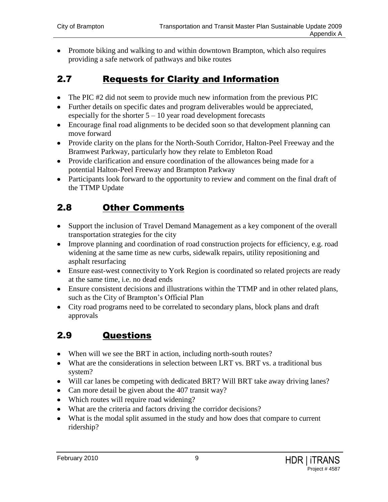• Promote biking and walking to and within downtown Brampton, which also requires providing a safe network of pathways and bike routes

#### <span id="page-10-0"></span>2.7 Requests for Clarity and Information

- The PIC #2 did not seem to provide much new information from the previous PIC
- Further details on specific dates and program deliverables would be appreciated, especially for the shorter  $5 - 10$  year road development forecasts
- Encourage final road alignments to be decided soon so that development planning can move forward
- Provide clarity on the plans for the North-South Corridor, Halton-Peel Freeway and the Bramwest Parkway, particularly how they relate to Embleton Road
- Provide clarification and ensure coordination of the allowances being made for a potential Halton-Peel Freeway and Brampton Parkway
- Participants look forward to the opportunity to review and comment on the final draft of the TTMP Update

#### <span id="page-10-1"></span>2.8 Other Comments

- Support the inclusion of Travel Demand Management as a key component of the overall transportation strategies for the city
- Improve planning and coordination of road construction projects for efficiency, e.g. road widening at the same time as new curbs, sidewalk repairs, utility repositioning and asphalt resurfacing
- Ensure east-west connectivity to York Region is coordinated so related projects are ready at the same time, i.e. no dead ends
- Ensure consistent decisions and illustrations within the TTMP and in other related plans, such as the City of Brampton"s Official Plan
- City road programs need to be correlated to secondary plans, block plans and draft approvals

### <span id="page-10-2"></span>2.9 Questions

- When will we see the BRT in action, including north-south routes?
- What are the considerations in selection between LRT vs. BRT vs. a traditional bus system?
- Will car lanes be competing with dedicated BRT? Will BRT take away driving lanes?
- Can more detail be given about the 407 transit way?
- Which routes will require road widening?
- What are the criteria and factors driving the corridor decisions?
- What is the modal split assumed in the study and how does that compare to current ridership?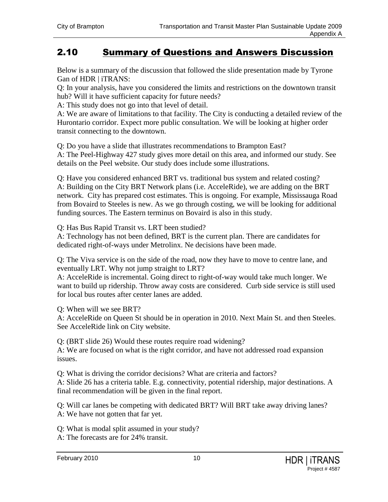#### <span id="page-11-0"></span>2.10 Summary of Questions and Answers Discussion

Below is a summary of the discussion that followed the slide presentation made by Tyrone Gan of HDR | iTRANS:

Q: In your analysis, have you considered the limits and restrictions on the downtown transit hub? Will it have sufficient capacity for future needs?

A: This study does not go into that level of detail.

A: We are aware of limitations to that facility. The City is conducting a detailed review of the Hurontario corridor. Expect more public consultation. We will be looking at higher order transit connecting to the downtown.

Q: Do you have a slide that illustrates recommendations to Brampton East?

A: The Peel-Highway 427 study gives more detail on this area, and informed our study. See details on the Peel website. Our study does include some illustrations.

Q: Have you considered enhanced BRT vs. traditional bus system and related costing? A: Building on the City BRT Network plans (i.e. AcceleRide), we are adding on the BRT network. City has prepared cost estimates. This is ongoing. For example, Mississauga Road from Bovaird to Steeles is new. As we go through costing, we will be looking for additional funding sources. The Eastern terminus on Bovaird is also in this study.

Q: Has Bus Rapid Transit vs. LRT been studied?

A: Technology has not been defined, BRT is the current plan. There are candidates for dedicated right-of-ways under Metrolinx. Ne decisions have been made.

Q: The Viva service is on the side of the road, now they have to move to centre lane, and eventually LRT. Why not jump straight to LRT?

A: AcceleRide is incremental. Going direct to right-of-way would take much longer. We want to build up ridership. Throw away costs are considered. Curb side service is still used for local bus routes after center lanes are added.

Q: When will we see BRT?

A: AcceleRide on Queen St should be in operation in 2010. Next Main St. and then Steeles. See AcceleRide link on City website.

Q: (BRT slide 26) Would these routes require road widening?

A: We are focused on what is the right corridor, and have not addressed road expansion issues.

Q: What is driving the corridor decisions? What are criteria and factors? A: Slide 26 has a criteria table. E.g. connectivity, potential ridership, major destinations. A final recommendation will be given in the final report.

Q: Will car lanes be competing with dedicated BRT? Will BRT take away driving lanes? A: We have not gotten that far yet.

Q: What is modal split assumed in your study? A: The forecasts are for 24% transit.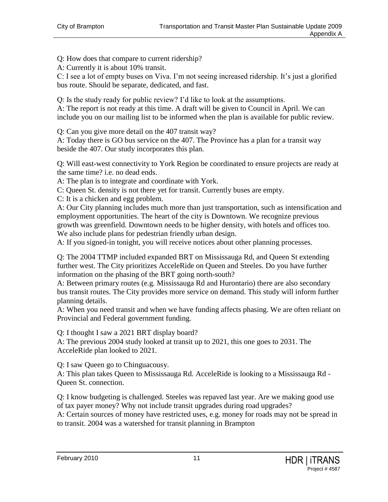Q: How does that compare to current ridership?

A: Currently it is about 10% transit.

C: I see a lot of empty buses on Viva. I'm not seeing increased ridership. It's just a glorified bus route. Should be separate, dedicated, and fast.

Q: Is the study ready for public review? I"d like to look at the assumptions.

A: The report is not ready at this time. A draft will be given to Council in April. We can include you on our mailing list to be informed when the plan is available for public review.

Q: Can you give more detail on the 407 transit way?

A: Today there is GO bus service on the 407. The Province has a plan for a transit way beside the 407. Our study incorporates this plan.

Q: Will east-west connectivity to York Region be coordinated to ensure projects are ready at the same time? i.e. no dead ends.

A: The plan is to integrate and coordinate with York.

C: Queen St. density is not there yet for transit. Currently buses are empty.

C: It is a chicken and egg problem.

A: Our City planning includes much more than just transportation, such as intensification and employment opportunities. The heart of the city is Downtown. We recognize previous growth was greenfield. Downtown needs to be higher density, with hotels and offices too. We also include plans for pedestrian friendly urban design.

A: If you signed-in tonight, you will receive notices about other planning processes.

Q: The 2004 TTMP included expanded BRT on Mississauga Rd, and Queen St extending further west. The City prioritizes AcceleRide on Queen and Steeles. Do you have further information on the phasing of the BRT going north-south?

A: Between primary routes (e.g. Mississauga Rd and Hurontario) there are also secondary bus transit routes. The City provides more service on demand. This study will inform further planning details.

A: When you need transit and when we have funding affects phasing. We are often reliant on Provincial and Federal government funding.

Q: I thought I saw a 2021 BRT display board?

A: The previous 2004 study looked at transit up to 2021, this one goes to 2031. The AcceleRide plan looked to 2021.

Q: I saw Queen go to Chinguacousy.

A: This plan takes Queen to Mississauga Rd. AcceleRide is looking to a Mississauga Rd - Queen St. connection.

Q: I know budgeting is challenged. Steeles was repaved last year. Are we making good use of tax payer money? Why not include transit upgrades during road upgrades?

A: Certain sources of money have restricted uses, e.g. money for roads may not be spread in to transit. 2004 was a watershed for transit planning in Brampton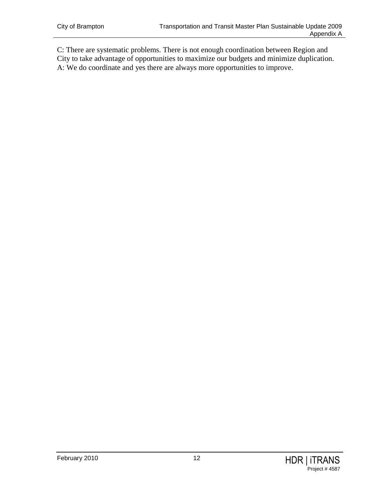C: There are systematic problems. There is not enough coordination between Region and City to take advantage of opportunities to maximize our budgets and minimize duplication. A: We do coordinate and yes there are always more opportunities to improve.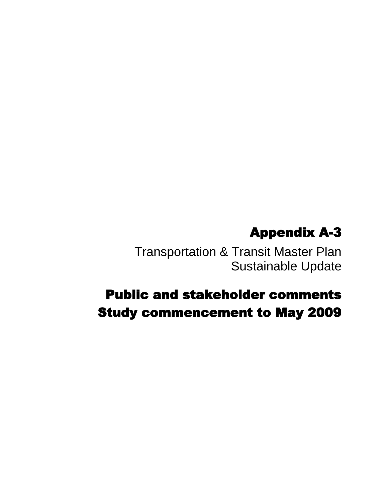# Appendix A-3

Transportation & Transit Master Plan Sustainable Update

# Public and stakeholder comments Study commencement to May 2009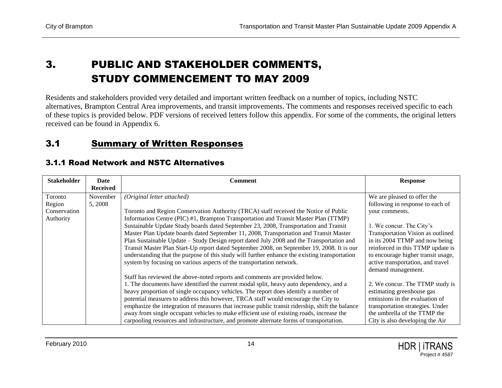### 3. PUBLIC AND STAKEHOLDER COMMENTS, STUDY COMMENCEMENT TO MAY 2009

Residents and stakeholders provided very detailed and important written feedback on a number of topics, including NSTC alternatives, Brampton Central Area improvements, and transit improvements. The comments and responses received specific to each of these topics is provided below. PDF versions of received letters follow this appendix. For some of the comments, the original letters received can be found in Appendix 6.

#### 3.1 Summary of Written Responses

<span id="page-15-2"></span><span id="page-15-1"></span><span id="page-15-0"></span>

| <b>Stakeholder</b> | Date            | <b>Comment</b>                                                                                  | <b>Response</b>                    |
|--------------------|-----------------|-------------------------------------------------------------------------------------------------|------------------------------------|
|                    | <b>Received</b> |                                                                                                 |                                    |
| Toronto            | November        | (Original letter attached)                                                                      | We are pleased to offer the        |
| Region             | 5, 2008         |                                                                                                 | following in response to each of   |
| Conservation       |                 | Toronto and Region Conservation Authority (TRCA) staff received the Notice of Public            | your comments.                     |
| Authority          |                 | Information Centre (PIC) #1, Brampton Transportation and Transit Master Plan (TTMP)             |                                    |
|                    |                 | Sustainable Update Study boards dated September 23, 2008, Transportation and Transit            | 1. We concur. The City's           |
|                    |                 | Master Plan Update boards dated September 11, 2008, Transportation and Transit Master           | Transportation Vision as outlined  |
|                    |                 | Plan Sustainable Update – Study Design report dated July 2008 and the Transportation and        | in its 2004 TTMP and now being     |
|                    |                 | Transit Master Plan Start-Up report dated September 2008, on September 19, 2008. It is our      | reinforced in this TTMP update is  |
|                    |                 | understanding that the purpose of this study will further enhance the existing transportation   | to encourage higher transit usage, |
|                    |                 | system by focusing on various aspects of the transportation network.                            | active transportation, and travel  |
|                    |                 |                                                                                                 | demand management.                 |
|                    |                 | Staff has reviewed the above-noted reports and comments are provided below.                     |                                    |
|                    |                 | 1. The documents have identified the current modal split, heavy auto dependency, and a          | 2. We concur. The TTMP study is    |
|                    |                 | heavy proportion of single occupancy vehicles. The report does identify a number of             | estimating greenhouse gas          |
|                    |                 | potential measures to address this however, TRCA staff would encourage the City to              | emissions in the evaluation of     |
|                    |                 | emphasize the integration of measures that increase public transit ridership, shift the balance | transportation strategies. Under   |
|                    |                 | away from single occupant vehicles to make efficient use of existing roads, increase the        | the umbrella of the TTMP the       |
|                    |                 | carpooling resources and infrastructure, and promote alternate forms of transportation.         | City is also developing the Air    |

#### 3.1.1 Road Network and NSTC Alternatives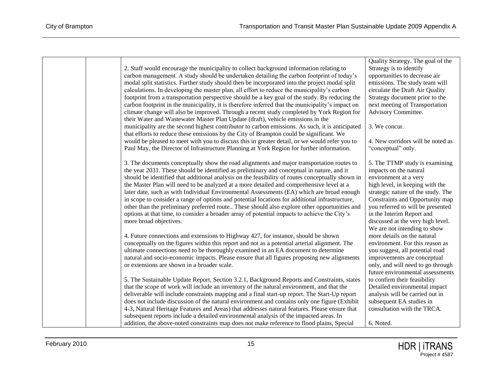|  |                                                                                                                                                                                               | Quality Strategy. The goal of the                           |
|--|-----------------------------------------------------------------------------------------------------------------------------------------------------------------------------------------------|-------------------------------------------------------------|
|  | 2. Staff would encourage the municipality to collect background information relating to                                                                                                       | Strategy is to identify                                     |
|  | carbon management. A study should be undertaken detailing the carbon footprint of today's                                                                                                     | opportunities to decrease air                               |
|  | modal split statistics. Further study should then be incorporated into the project modal split                                                                                                | emissions. The study team will                              |
|  | calculations. In developing the master plan, all effort to reduce the municipality's carbon                                                                                                   | circulate the Draft Air Quality                             |
|  | footprint from a transportation perspective should be a key goal of the study. By reducing the                                                                                                | Strategy document prior to the                              |
|  | carbon footprint in the municipality, it is therefore inferred that the municipality's impact on                                                                                              | next meeting of Transportation                              |
|  | climate change will also be improved. Through a recent study completed by York Region for                                                                                                     | Advisory Committee.                                         |
|  | their Water and Wastewater Master Plan Update (draft), vehicle emissions in the                                                                                                               |                                                             |
|  | municipality are the second highest contributor to carbon emissions. As such, it is anticipated                                                                                               | 3. We concur.                                               |
|  | that efforts to reduce these emissions by the City of Brampton could be significant. We                                                                                                       |                                                             |
|  | would be pleased to meet with you to discuss this in greater detail, or we would refer you to                                                                                                 | 4. New corridors will be noted as                           |
|  | Paul May, the Director of Infrastructure Planning at York Region for further information.                                                                                                     | "conceptual" only.                                          |
|  |                                                                                                                                                                                               |                                                             |
|  | 3. The documents conceptually show the road alignments and major transportation routes to                                                                                                     | 5. The TTMP study is examining                              |
|  | the year 2031. These should be identified as preliminary and conceptual in nature, and it                                                                                                     | impacts on the natural                                      |
|  | should be identified that additional analysis on the feasibility of routes conceptually shown in                                                                                              | environment at a very                                       |
|  | the Master Plan will need to be analyzed at a more detailed and comprehensive level at a                                                                                                      | high level, in keeping with the                             |
|  | later date, such as with Individual Environmental Assessments (EA) which are broad enough                                                                                                     | strategic nature of the study. The                          |
|  | in scope to consider a range of options and potential locations for additional infrastructure,                                                                                                | Constraints and Opportunity map                             |
|  | other than the preliminary preferred route These should also explore other opportunities and                                                                                                  | you referred to will be presented                           |
|  | options at that time, to consider a broader array of potential impacts to achieve the City's                                                                                                  | in the Interim Report and                                   |
|  | more broad objectives.                                                                                                                                                                        | discussed at the very high level.                           |
|  |                                                                                                                                                                                               | We are not intending to show                                |
|  | 4. Future connections and extensions to Highway 427, for instance, should be shown                                                                                                            | more details on the natural                                 |
|  | conceptually on the figures within this report and not as a potential arterial alignment. The                                                                                                 | environment. For this reason as                             |
|  | ultimate connections need to be thoroughly examined in an EA document to determine                                                                                                            | you suggest, all potential road                             |
|  | natural and socio-economic impacts. Please ensure that all figures proposing new alignments                                                                                                   | improvements are conceptual                                 |
|  | or extensions are shown in a broader scale.                                                                                                                                                   | only, and will need to go through                           |
|  |                                                                                                                                                                                               | future environmental assessments                            |
|  | 5. The Sustainable Update Report, Section 3.2.1, Background Reports and Constraints, states                                                                                                   | to confirm their feasibility                                |
|  | that the scope of work will include an inventory of the natural environment, and that the                                                                                                     | Detailed environmental impact                               |
|  | deliverable will include constraints mapping and a final start-up report. The Start-Up report                                                                                                 | analysis will be carried out in<br>subsequent EA studies in |
|  | does not include discussion of the natural environment and contains only one figure (Exhibit<br>4-3, Natural Heritage Features and Areas) that addresses natural features. Please ensure that | consultation with the TRCA.                                 |
|  | subsequent reports include a detailed environmental analysis of the impacted areas. In                                                                                                        |                                                             |
|  |                                                                                                                                                                                               |                                                             |
|  | addition, the above-noted constraints map does not make reference to flood plains, Special                                                                                                    | 6. Noted.                                                   |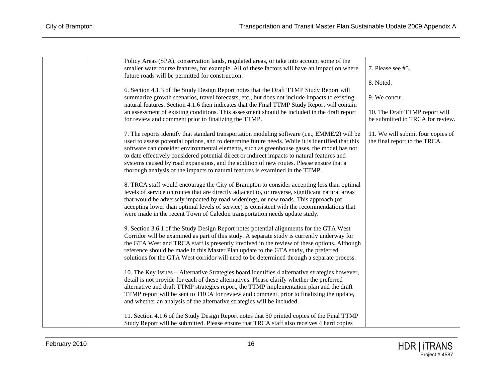| Policy Areas (SPA), conservation lands, regulated areas, or take into account some of the<br>smaller watercourse features, for example. All of these factors will have an impact on where<br>future roads will be permitted for construction.                                                                                                                                                                                                                                                                                                                              | 7. Please see #5.                                                  |
|----------------------------------------------------------------------------------------------------------------------------------------------------------------------------------------------------------------------------------------------------------------------------------------------------------------------------------------------------------------------------------------------------------------------------------------------------------------------------------------------------------------------------------------------------------------------------|--------------------------------------------------------------------|
|                                                                                                                                                                                                                                                                                                                                                                                                                                                                                                                                                                            | 8. Noted.                                                          |
| 6. Section 4.1.3 of the Study Design Report notes that the Draft TTMP Study Report will                                                                                                                                                                                                                                                                                                                                                                                                                                                                                    |                                                                    |
| summarize growth scenarios, travel forecasts, etc., but does not include impacts to existing<br>natural features. Section 4.1.6 then indicates that the Final TTMP Study Report will contain                                                                                                                                                                                                                                                                                                                                                                               | 9. We concur.                                                      |
| an assessment of existing conditions. This assessment should be included in the draft report                                                                                                                                                                                                                                                                                                                                                                                                                                                                               | 10. The Draft TTMP report will                                     |
| for review and comment prior to finalizing the TTMP.                                                                                                                                                                                                                                                                                                                                                                                                                                                                                                                       | be submitted to TRCA for review.                                   |
| 7. The reports identify that standard transportation modeling software (i.e., EMME/2) will be<br>used to assess potential options, and to determine future needs. While it is identified that this<br>software can consider environmental elements, such as greenhouse gases, the model has not<br>to date effectively considered potential direct or indirect impacts to natural features and<br>systems caused by road expansions, and the addition of new routes. Please ensure that a<br>thorough analysis of the impacts to natural features is examined in the TTMP. | 11. We will submit four copies of<br>the final report to the TRCA. |
| 8. TRCA staff would encourage the City of Brampton to consider accepting less than optimal<br>levels of service on routes that are directly adjacent to, or traverse, significant natural areas<br>that would be adversely impacted by road widenings, or new roads. This approach (of<br>accepting lower than optimal levels of service) is consistent with the recommendations that<br>were made in the recent Town of Caledon transportation needs update study.                                                                                                        |                                                                    |
| 9. Section 3.6.1 of the Study Design Report notes potential alignments for the GTA West<br>Corridor will be examined as part of this study. A separate study is currently underway for<br>the GTA West and TRCA staff is presently involved in the review of these options. Although<br>reference should be made in this Master Plan update to the GTA study, the preferred<br>solutions for the GTA West corridor will need to be determined through a separate process.                                                                                                  |                                                                    |
| 10. The Key Issues - Alternative Strategies board identifies 4 alternative strategies however,<br>detail is not provide for each of these alternatives. Please clarify whether the preferred<br>alternative and draft TTMP strategies report, the TTMP implementation plan and the draft<br>TTMP report will be sent to TRCA for review and comment, prior to finalizing the update,<br>and whether an analysis of the alternative strategies will be included.                                                                                                            |                                                                    |
| 11. Section 4.1.6 of the Study Design Report notes that 50 printed copies of the Final TTMP<br>Study Report will be submitted. Please ensure that TRCA staff also receives 4 hard copies                                                                                                                                                                                                                                                                                                                                                                                   |                                                                    |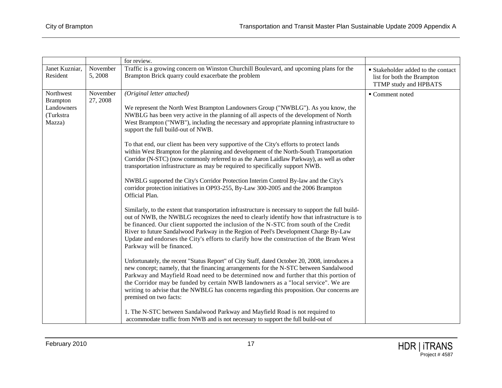| Traffic is a growing concern on Winston Churchill Boulevard, and upcoming plans for the<br>Janet Kuzniar,<br>November<br>Brampton Brick quarry could exacerbate the problem<br>Resident<br>5,2008<br>list for both the Brampton<br>TTMP study and HPBATS<br>Northwest<br>November<br>(Original letter attached)<br>■ Comment noted<br>27, 2008<br><b>Brampton</b><br>Landowners<br>We represent the North West Brampton Landowners Group ("NWBLG"). As you know, the<br>(Turkstra<br>NWBLG has been very active in the planning of all aspects of the development of North<br>West Brampton ("NWB"), including the necessary and appropriate planning infrastructure to<br>Mazza)<br>support the full build-out of NWB.<br>To that end, our client has been very supportive of the City's efforts to protect lands<br>within West Brampton for the planning and development of the North-South Transportation<br>Corridor (N-STC) (now commonly referred to as the Aaron Laidlaw Parkway), as well as other<br>transportation infrastructure as may be required to specifically support NWB.<br>NWBLG supported the City's Corridor Protection Interim Control By-law and the City's<br>corridor protection initiatives in OP93-255, By-Law 300-2005 and the 2006 Brampton<br>Official Plan.<br>Similarly, to the extent that transportation infrastructure is necessary to support the full build-<br>out of NWB, the NWBLG recognizes the need to clearly identify how that infrastructure is to<br>be financed. Our client supported the inclusion of the N-STC from south of the Credit<br>River to future Sandalwood Parkway in the Region of Peel's Development Charge By-Law<br>Update and endorses the City's efforts to clarify how the construction of the Bram West<br>Parkway will be financed.<br>Unfortunately, the recent "Status Report" of City Staff, dated October 20, 2008, introduces a<br>new concept; namely, that the financing arrangements for the N-STC between Sandalwood<br>Parkway and Mayfield Road need to be determined now and further that this portion of<br>the Corridor may be funded by certain NWB landowners as a "local service". We are<br>writing to advise that the NWBLG has concerns regarding this proposition. Our concerns are<br>premised on two facts: |  | for review.                                                                  |                                    |
|------------------------------------------------------------------------------------------------------------------------------------------------------------------------------------------------------------------------------------------------------------------------------------------------------------------------------------------------------------------------------------------------------------------------------------------------------------------------------------------------------------------------------------------------------------------------------------------------------------------------------------------------------------------------------------------------------------------------------------------------------------------------------------------------------------------------------------------------------------------------------------------------------------------------------------------------------------------------------------------------------------------------------------------------------------------------------------------------------------------------------------------------------------------------------------------------------------------------------------------------------------------------------------------------------------------------------------------------------------------------------------------------------------------------------------------------------------------------------------------------------------------------------------------------------------------------------------------------------------------------------------------------------------------------------------------------------------------------------------------------------------------------------------------------------------------------------------------------------------------------------------------------------------------------------------------------------------------------------------------------------------------------------------------------------------------------------------------------------------------------------------------------------------------------------------------------------------------------------------------------------------------------------------------------------------|--|------------------------------------------------------------------------------|------------------------------------|
|                                                                                                                                                                                                                                                                                                                                                                                                                                                                                                                                                                                                                                                                                                                                                                                                                                                                                                                                                                                                                                                                                                                                                                                                                                                                                                                                                                                                                                                                                                                                                                                                                                                                                                                                                                                                                                                                                                                                                                                                                                                                                                                                                                                                                                                                                                            |  |                                                                              | ■ Stakeholder added to the contact |
| accommodate traffic from NWB and is not necessary to support the full build-out of                                                                                                                                                                                                                                                                                                                                                                                                                                                                                                                                                                                                                                                                                                                                                                                                                                                                                                                                                                                                                                                                                                                                                                                                                                                                                                                                                                                                                                                                                                                                                                                                                                                                                                                                                                                                                                                                                                                                                                                                                                                                                                                                                                                                                         |  | 1. The N-STC between Sandalwood Parkway and Mayfield Road is not required to |                                    |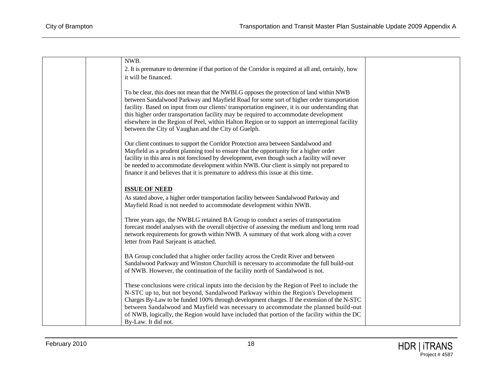| NWB.                                                                                                                                                                              |  |
|-----------------------------------------------------------------------------------------------------------------------------------------------------------------------------------|--|
| 2. It is premature to determine if that portion of the Corridor is required at all and, certainly, how                                                                            |  |
| it will be financed.                                                                                                                                                              |  |
|                                                                                                                                                                                   |  |
| To be clear, this does not mean that the NWBLG opposes the protection of land within NWB                                                                                          |  |
| between Sandalwood Parkway and Mayfield Road for some sort of higher order transportation                                                                                         |  |
| facility. Based on input from our clients' transportation engineer, it is our understanding that                                                                                  |  |
| this higher order transportation facility may be required to accommodate development                                                                                              |  |
| elsewhere in the Region of Peel, within Halton Region or to support an interregional facility                                                                                     |  |
| between the City of Vaughan and the City of Guelph.                                                                                                                               |  |
| Our client continues to support the Corridor Protection area between Sandalwood and                                                                                               |  |
| Mayfield as a prudent planning tool to ensure that the opportunity for a higher order                                                                                             |  |
| facility in this area is not foreclosed by development, even though such a facility will never                                                                                    |  |
| be needed to accommodate development within NWB. Our client is simply not prepared to                                                                                             |  |
| finance it and believes that it is premature to address this issue at this time.                                                                                                  |  |
|                                                                                                                                                                                   |  |
| <b>ISSUE OF NEED</b>                                                                                                                                                              |  |
| As stated above, a higher order transportation facility between Sandalwood Parkway and                                                                                            |  |
| Mayfield Road is not needed to accommodate development within NWB.                                                                                                                |  |
|                                                                                                                                                                                   |  |
| Three years ago, the NWBLG retained BA Group to conduct a series of transportation                                                                                                |  |
| forecast model analyses with the overall objective of assessing the medium and long term road                                                                                     |  |
| network requirements for growth within NWB. A summary of that work along with a cover<br>letter from Paul Sarjeant is attached.                                                   |  |
|                                                                                                                                                                                   |  |
| BA Group concluded that a higher order facility across the Credit River and between                                                                                               |  |
| Sandalwood Parkway and Winston Churchill is necessary to accommodate the full build-out                                                                                           |  |
| of NWB. However, the continuation of the facility north of Sandalwood is not.                                                                                                     |  |
|                                                                                                                                                                                   |  |
| These conclusions were critical inputs into the decision by the Region of Peel to include the                                                                                     |  |
| N-STC up to, but not beyond, Sandalwood Parkway within the Region's Development                                                                                                   |  |
| Charges By-Law to be funded 100% through development charges. If the extension of the N-STC<br>between Sandalwood and Mayfield was necessary to accommodate the planned build-out |  |
| of NWB, logically, the Region would have included that portion of the facility within the DC                                                                                      |  |
| By-Law. It did not.                                                                                                                                                               |  |
|                                                                                                                                                                                   |  |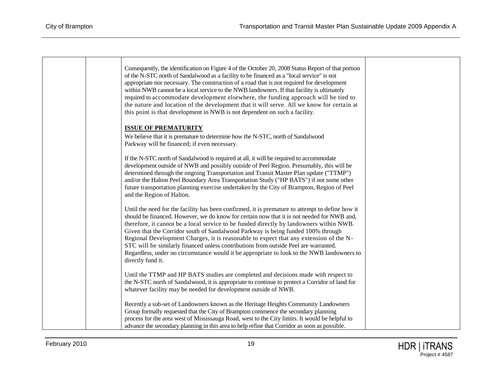| Consequently, the identification on Figure 4 of the October 20, 2008 Status Report of that portion<br>of the N-STC north of Sandalwood as a facility to be financed as a "local service" is not<br>appropriate nor necessary. The construction of a road that is not required for development<br>within NWB cannot be a local service to the NWB landowners. If that facility is ultimately<br>required to accommodate development elsewhere, the funding approach will be tied to<br>the nature and location of the development that it will serve. All we know for certain at<br>this point is that development in NWB is not dependent on such a facility.                    |  |
|----------------------------------------------------------------------------------------------------------------------------------------------------------------------------------------------------------------------------------------------------------------------------------------------------------------------------------------------------------------------------------------------------------------------------------------------------------------------------------------------------------------------------------------------------------------------------------------------------------------------------------------------------------------------------------|--|
| <b>ISSUE OF PREMATURITY</b><br>We believe that it is premature to determine how the N-STC, north of Sandalwood<br>Parkway will be financed; if even necessary.                                                                                                                                                                                                                                                                                                                                                                                                                                                                                                                   |  |
| If the N-STC north of Sandalwood is required at all, it will be required to accommodate<br>development outside of NWB and possibly outside of Peel Region. Presumably, this will be<br>determined through the ongoing Transportation and Transit Master Plan update ("TTMP")<br>and/or the Halton Peel Boundary Area Transportation Study ("HP BATS") if not some other<br>future transportation planning exercise undertaken by the City of Brampton, Region of Peel<br>and the Region of Halton.                                                                                                                                                                               |  |
| Until the need for the facility has been confirmed, it is premature to attempt to define how it<br>should be financed. However, we do know for certain now that it is not needed for NWB and,<br>therefore, it cannot be a local service to be funded directly by landowners within NWB.<br>Given that the Corridor south of Sandalwood Parkway is being funded 100% through<br>Regional Development Charges, it is reasonable to expect that any extension of the N-<br>STC will be similarly financed unless contributions from outside Peel are warranted.<br>Regardless, under no circumstance would it be appropriate to look to the NWB landowners to<br>directly fund it. |  |
| Until the TTMP and HP BATS studies are completed and decisions made with respect to<br>the N-STC north of Sandalwood, it is appropriate to continue to protect a Corridor of land for<br>whatever facility may be needed for development outside of NWB.                                                                                                                                                                                                                                                                                                                                                                                                                         |  |
| Recently a sub-set of Landowners known as the Heritage Heights Community Landowners<br>Group formally requested that the City of Brampton commence the secondary planning<br>process for the area west of Mississauga Road, west to the City limits. It would be helpful to<br>advance the secondary planning in this area to help refine that Corridor as soon as possible.                                                                                                                                                                                                                                                                                                     |  |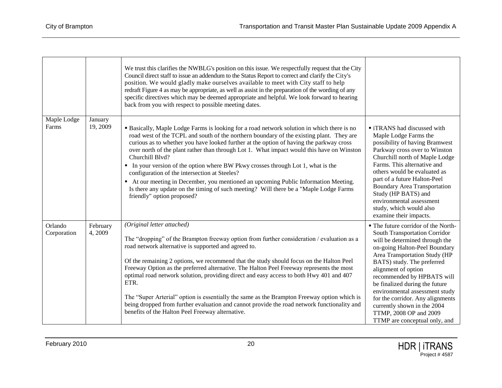|                        |                     | We trust this clarifies the NWBLG's position on this issue. We respectfully request that the City<br>Council direct staff to issue an addendum to the Status Report to correct and clarify the City's<br>position. We would gladly make ourselves available to meet with City staff to help<br>redraft Figure 4 as may be appropriate, as well as assist in the preparation of the wording of any<br>specific directives which may be deemed appropriate and helpful. We look forward to hearing<br>back from you with respect to possible meeting dates.                                                                                                                                                                                                 |                                                                                                                                                                                                                                                                                                                                                                                                                                                               |
|------------------------|---------------------|-----------------------------------------------------------------------------------------------------------------------------------------------------------------------------------------------------------------------------------------------------------------------------------------------------------------------------------------------------------------------------------------------------------------------------------------------------------------------------------------------------------------------------------------------------------------------------------------------------------------------------------------------------------------------------------------------------------------------------------------------------------|---------------------------------------------------------------------------------------------------------------------------------------------------------------------------------------------------------------------------------------------------------------------------------------------------------------------------------------------------------------------------------------------------------------------------------------------------------------|
| Maple Lodge<br>Farms   | January<br>19, 2009 | <b>Basically, Maple Lodge Farms is looking for a road network solution in which there is no</b><br>road west of the TCPL and south of the northern boundary of the existing plant. They are<br>curious as to whether you have looked further at the option of having the parkway cross<br>over north of the plant rather than through Lot 1. What impact would this have on Winston<br>Churchill Blvd?<br>• In your version of the option where BW Pkwy crosses through Lot 1, what is the<br>configuration of the intersection at Steeles?<br>• At our meeting in December, you mentioned an upcoming Public Information Meeting.<br>Is there any update on the timing of such meeting? Will there be a "Maple Lodge Farms<br>friendly" option proposed? | ■ iTRANS had discussed with<br>Maple Lodge Farms the<br>possibility of having Bramwest<br>Parkway cross over to Winston<br>Churchill north of Maple Lodge<br>Farms. This alternative and<br>others would be evaluated as<br>part of a future Halton-Peel<br><b>Boundary Area Transportation</b><br>Study (HP BATS) and<br>environmental assessment<br>study, which would also<br>examine their impacts.                                                       |
| Orlando<br>Corporation | February<br>4, 2009 | (Original letter attached)<br>The "dropping" of the Brampton freeway option from further consideration / evaluation as a<br>road network alternative is supported and agreed to.<br>Of the remaining 2 options, we recommend that the study should focus on the Halton Peel<br>Freeway Option as the preferred alternative. The Halton Peel Freeway represents the most<br>optimal road network solution, providing direct and easy access to both Hwy 401 and 407<br>ETR.<br>The "Super Arterial" option is essentially the same as the Brampton Freeway option which is<br>being dropped from further evaluation and cannot provide the road network functionality and<br>benefits of the Halton Peel Freeway alternative.                              | • The future corridor of the North-<br>South Transportation Corridor<br>will be determined through the<br>on-going Halton-Peel Boundary<br>Area Transportation Study (HP<br>BATS) study. The preferred<br>alignment of option<br>recommended by HPBATS will<br>be finalized during the future<br>environmental assessment study<br>for the corridor. Any alignments<br>currently shown in the 2004<br>TTMP, 2008 OP and 2009<br>TTMP are conceptual only, and |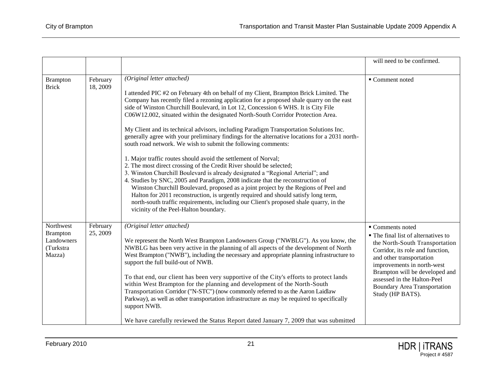|                                                                   |                      |                                                                                                                                                                                                                                                                                                                                                                                                                                                                                                                                                                                                                                                                                                                                                                                                                                                                                                                                                                                                                                                                                                                                                                                                                                                                                      | will need to be confirmed.                                                                                                                                                                                                                                                                                          |
|-------------------------------------------------------------------|----------------------|--------------------------------------------------------------------------------------------------------------------------------------------------------------------------------------------------------------------------------------------------------------------------------------------------------------------------------------------------------------------------------------------------------------------------------------------------------------------------------------------------------------------------------------------------------------------------------------------------------------------------------------------------------------------------------------------------------------------------------------------------------------------------------------------------------------------------------------------------------------------------------------------------------------------------------------------------------------------------------------------------------------------------------------------------------------------------------------------------------------------------------------------------------------------------------------------------------------------------------------------------------------------------------------|---------------------------------------------------------------------------------------------------------------------------------------------------------------------------------------------------------------------------------------------------------------------------------------------------------------------|
| <b>Brampton</b><br><b>Brick</b>                                   | February<br>18, 2009 | (Original letter attached)<br>I attended PIC #2 on February 4th on behalf of my Client, Brampton Brick Limited. The<br>Company has recently filed a rezoning application for a proposed shale quarry on the east<br>side of Winston Churchill Boulevard, in Lot 12, Concession 6 WHS. It is City File<br>C06W12.002, situated within the designated North-South Corridor Protection Area.<br>My Client and its technical advisors, including Paradigm Transportation Solutions Inc.<br>generally agree with your preliminary findings for the alternative locations for a 2031 north-<br>south road network. We wish to submit the following comments:<br>1. Major traffic routes should avoid the settlement of Norval;<br>2. The most direct crossing of the Credit River should be selected;<br>3. Winston Churchill Boulevard is already designated a "Regional Arterial"; and<br>4. Studies by SNC, 2005 and Paradigm, 2008 indicate that the reconstruction of<br>Winston Churchill Boulevard, proposed as a joint project by the Regions of Peel and<br>Halton for 2011 reconstruction, is urgently required and should satisfy long term,<br>north-south traffic requirements, including our Client's proposed shale quarry, in the<br>vicinity of the Peel-Halton boundary. | ■ Comment noted                                                                                                                                                                                                                                                                                                     |
| Northwest<br><b>Brampton</b><br>Landowners<br>(Turkstra<br>Mazza) | February<br>25, 2009 | (Original letter attached)<br>We represent the North West Brampton Landowners Group ("NWBLG"). As you know, the<br>NWBLG has been very active in the planning of all aspects of the development of North<br>West Brampton ("NWB"), including the necessary and appropriate planning infrastructure to<br>support the full build-out of NWB.<br>To that end, our client has been very supportive of the City's efforts to protect lands<br>within West Brampton for the planning and development of the North-South<br>Transportation Corridor ("N-STC") (now commonly referred to as the Aaron Laidlaw<br>Parkway), as well as other transportation infrastructure as may be required to specifically<br>support NWB.<br>We have carefully reviewed the Status Report dated January 7, 2009 that was submitted                                                                                                                                                                                                                                                                                                                                                                                                                                                                       | ■ Comments noted<br>• The final list of alternatives to<br>the North-South Transportation<br>Corridor, its role and function,<br>and other transportation<br>improvements in north-west<br>Brampton will be developed and<br>assessed in the Halton-Peel<br><b>Boundary Area Transportation</b><br>Study (HP BATS). |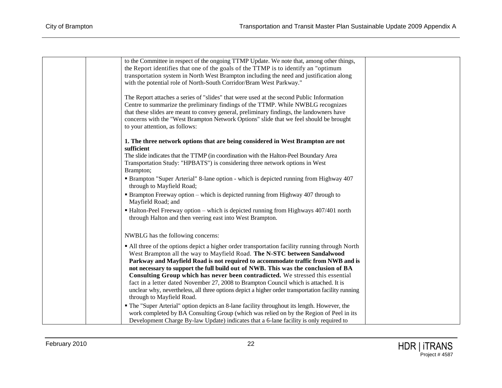| to the Committee in respect of the ongoing TTMP Update. We note that, among other things,                                                                                         |  |
|-----------------------------------------------------------------------------------------------------------------------------------------------------------------------------------|--|
| the Report identifies that one of the goals of the TTMP is to identify an "optimum"                                                                                               |  |
| transportation system in North West Brampton including the need and justification along                                                                                           |  |
| with the potential role of North-South Corridor/Bram West Parkway."                                                                                                               |  |
|                                                                                                                                                                                   |  |
| The Report attaches a series of "slides" that were used at the second Public Information                                                                                          |  |
| Centre to summarize the preliminary findings of the TTMP. While NWBLG recognizes                                                                                                  |  |
| that these slides are meant to convey general, preliminary findings, the landowners have                                                                                          |  |
| concerns with the "West Brampton Network Options" slide that we feel should be brought                                                                                            |  |
| to your attention, as follows:                                                                                                                                                    |  |
| 1. The three network options that are being considered in West Brampton are not                                                                                                   |  |
| sufficient                                                                                                                                                                        |  |
| The slide indicates that the TTMP (in coordination with the Halton-Peel Boundary Area                                                                                             |  |
| Transportation Study: "HPBATS") is considering three network options in West                                                                                                      |  |
| Brampton;                                                                                                                                                                         |  |
| • Brampton "Super Arterial" 8-lane option - which is depicted running from Highway 407                                                                                            |  |
| through to Mayfield Road;                                                                                                                                                         |  |
| • Brampton Freeway option – which is depicted running from Highway 407 through to                                                                                                 |  |
| Mayfield Road; and                                                                                                                                                                |  |
| • Halton-Peel Freeway option – which is depicted running from Highways 407/401 north                                                                                              |  |
| through Halton and then veering east into West Brampton.                                                                                                                          |  |
|                                                                                                                                                                                   |  |
| NWBLG has the following concerns:                                                                                                                                                 |  |
|                                                                                                                                                                                   |  |
| • All three of the options depict a higher order transportation facility running through North<br>West Brampton all the way to Mayfield Road. The N-STC between Sandalwood        |  |
| Parkway and Mayfield Road is not required to accommodate traffic from NWB and is                                                                                                  |  |
| not necessary to support the full build out of NWB. This was the conclusion of BA                                                                                                 |  |
| Consulting Group which has never been contradicted. We stressed this essential                                                                                                    |  |
| fact in a letter dated November 27, 2008 to Brampton Council which is attached. It is                                                                                             |  |
| unclear why, nevertheless, all three options depict a higher order transportation facility running                                                                                |  |
| through to Mayfield Road.                                                                                                                                                         |  |
|                                                                                                                                                                                   |  |
| • The "Super Arterial" option depicts an 8-lane facility throughout its length. However, the                                                                                      |  |
| work completed by BA Consulting Group (which was relied on by the Region of Peel in its<br>Development Charge By-law Update) indicates that a 6-lane facility is only required to |  |
|                                                                                                                                                                                   |  |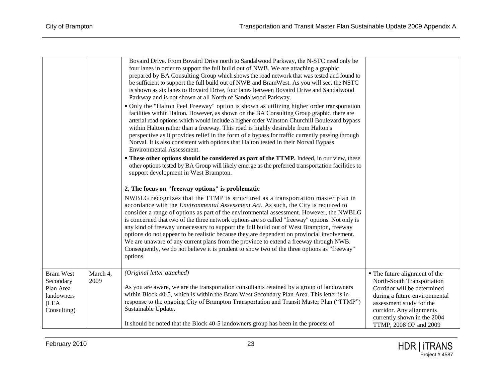|                                                                                 |                  | Bovaird Drive. From Bovaird Drive north to Sandalwood Parkway, the N-STC need only be<br>four lanes in order to support the full build out of NWB. We are attaching a graphic<br>prepared by BA Consulting Group which shows the road network that was tested and found to<br>be sufficient to support the full build out of NWB and BramWest. As you will see, the NSTC<br>is shown as six lanes to Bovaird Drive, four lanes between Bovaird Drive and Sandalwood<br>Parkway and is not shown at all North of Sandalwood Parkway.<br>• Only the "Halton Peel Freeway" option is shown as utilizing higher order transportation<br>facilities within Halton. However, as shown on the BA Consulting Group graphic, there are<br>arterial road options which would include a higher order Winston Churchill Boulevard bypass<br>within Halton rather than a freeway. This road is highly desirable from Halton's<br>perspective as it provides relief in the form of a bypass for traffic currently passing through<br>Norval. It is also consistent with options that Halton tested in their Norval Bypass<br>Environmental Assessment.<br><b>These other options should be considered as part of the TTMP.</b> Indeed, in our view, these<br>other options tested by BA Group will likely emerge as the preferred transportation facilities to<br>support development in West Brampton.<br>2. The focus on "freeway options" is problematic<br>NWBLG recognizes that the TTMP is structured as a transportation master plan in<br>accordance with the <i>Environmental Assessment Act</i> . As such, the City is required to<br>consider a range of options as part of the environmental assessment. However, the NWBLG<br>is concerned that two of the three network options are so called "freeway" options. Not only is<br>any kind of freeway unnecessary to support the full build out of West Brampton, freeway<br>options do not appear to be realistic because they are dependent on provincial involvement.<br>We are unaware of any current plans from the province to extend a freeway through NWB.<br>Consequently, we do not believe it is prudent to show two of the three options as "freeway"<br>options. |                                                                                                                                                                                                                                              |
|---------------------------------------------------------------------------------|------------------|-----------------------------------------------------------------------------------------------------------------------------------------------------------------------------------------------------------------------------------------------------------------------------------------------------------------------------------------------------------------------------------------------------------------------------------------------------------------------------------------------------------------------------------------------------------------------------------------------------------------------------------------------------------------------------------------------------------------------------------------------------------------------------------------------------------------------------------------------------------------------------------------------------------------------------------------------------------------------------------------------------------------------------------------------------------------------------------------------------------------------------------------------------------------------------------------------------------------------------------------------------------------------------------------------------------------------------------------------------------------------------------------------------------------------------------------------------------------------------------------------------------------------------------------------------------------------------------------------------------------------------------------------------------------------------------------------------------------------------------------------------------------------------------------------------------------------------------------------------------------------------------------------------------------------------------------------------------------------------------------------------------------------------------------------------------------------------------------------------------------------------------------------------------------------------------------------------------------------------|----------------------------------------------------------------------------------------------------------------------------------------------------------------------------------------------------------------------------------------------|
| <b>Bram West</b><br>Secondary<br>Plan Area<br>landowners<br>(LEA<br>Consulting) | March 4,<br>2009 | (Original letter attached)<br>As you are aware, we are the transportation consultants retained by a group of landowners<br>within Block 40-5, which is within the Bram West Secondary Plan Area. This letter is in<br>response to the ongoing City of Brampton Transportation and Transit Master Plan ("TTMP")<br>Sustainable Update.<br>It should be noted that the Block 40-5 landowners group has been in the process of                                                                                                                                                                                                                                                                                                                                                                                                                                                                                                                                                                                                                                                                                                                                                                                                                                                                                                                                                                                                                                                                                                                                                                                                                                                                                                                                                                                                                                                                                                                                                                                                                                                                                                                                                                                                 | • The future alignment of the<br>North-South Transportation<br>Corridor will be determined<br>during a future environmental<br>assessment study for the<br>corridor. Any alignments<br>currently shown in the 2004<br>TTMP, 2008 OP and 2009 |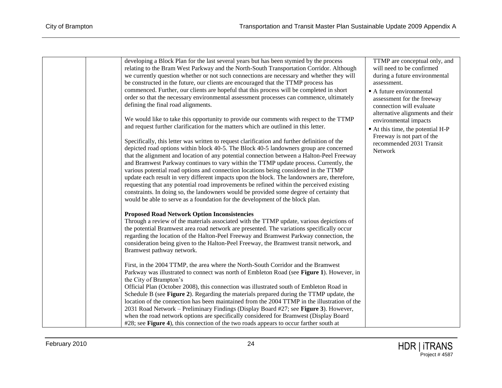| developing a Block Plan for the last several years but has been stymied by the process<br>relating to the Bram West Parkway and the North-South Transportation Corridor. Although<br>we currently question whether or not such connections are necessary and whether they will<br>be constructed in the future, our clients are encouraged that the TTMP process has<br>commenced. Further, our clients are hopeful that this process will be completed in short<br>order so that the necessary environmental assessment processes can commence, ultimately<br>defining the final road alignments.<br>We would like to take this opportunity to provide our comments with respect to the TTMP<br>and request further clarification for the matters which are outlined in this letter.<br>Specifically, this letter was written to request clarification and further definition of the | TTMP are conceptual only, and<br>will need to be confirmed<br>during a future environmental<br>assessment.<br>A future environmental<br>assessment for the freeway<br>connection will evaluate<br>alternative alignments and their<br>environmental impacts<br>At this time, the potential H-P<br>Freeway is not part of the<br>recommended 2031 Transit |
|---------------------------------------------------------------------------------------------------------------------------------------------------------------------------------------------------------------------------------------------------------------------------------------------------------------------------------------------------------------------------------------------------------------------------------------------------------------------------------------------------------------------------------------------------------------------------------------------------------------------------------------------------------------------------------------------------------------------------------------------------------------------------------------------------------------------------------------------------------------------------------------|----------------------------------------------------------------------------------------------------------------------------------------------------------------------------------------------------------------------------------------------------------------------------------------------------------------------------------------------------------|
| depicted road options within block 40-5. The Block 40-5 landowners group are concerned<br>that the alignment and location of any potential connection between a Halton-Peel Freeway<br>and Bramwest Parkway continues to vary within the TTMP update process. Currently, the<br>various potential road options and connection locations being considered in the TTMP<br>update each result in very different impacts upon the block. The landowners are, therefore,<br>requesting that any potential road improvements be refined within the perceived existing<br>constraints. In doing so, the landowners would be provided some degree of certainty that<br>would be able to serve as a foundation for the development of the block plan.<br><b>Proposed Road Network Option Inconsistencies</b>                                                                                   | Network                                                                                                                                                                                                                                                                                                                                                  |
| Through a review of the materials associated with the TTMP update, various depictions of<br>the potential Bramwest area road network are presented. The variations specifically occur<br>regarding the location of the Halton-Peel Freeway and Bramwest Parkway connection, the<br>consideration being given to the Halton-Peel Freeway, the Bramwest transit network, and<br>Bramwest pathway network.<br>First, in the 2004 TTMP, the area where the North-South Corridor and the Bramwest                                                                                                                                                                                                                                                                                                                                                                                          |                                                                                                                                                                                                                                                                                                                                                          |
| Parkway was illustrated to connect was north of Embleton Road (see Figure 1). However, in<br>the City of Brampton's<br>Official Plan (October 2008), this connection was illustrated south of Embleton Road in<br>Schedule B (see Figure 2). Regarding the materials prepared during the TTMP update, the<br>location of the connection has been maintained from the 2004 TTMP in the illustration of the<br>2031 Road Network - Preliminary Findings (Display Board #27; see Figure 3). However,<br>when the road network options are specifically considered for Bramwest (Display Board<br>#28; see <b>Figure 4</b> ), this connection of the two roads appears to occur farther south at                                                                                                                                                                                          |                                                                                                                                                                                                                                                                                                                                                          |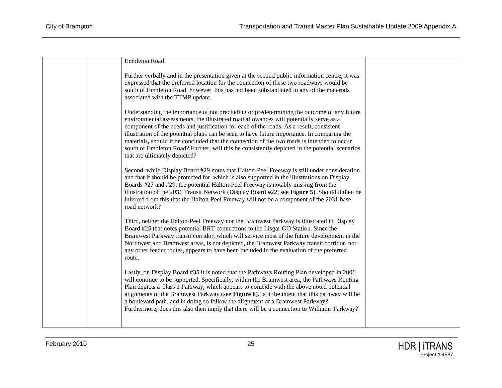| Embleton Road.                                                                                                                                                                                                                                                                                                                                                                                                                                                                                                                                                                                                   |  |
|------------------------------------------------------------------------------------------------------------------------------------------------------------------------------------------------------------------------------------------------------------------------------------------------------------------------------------------------------------------------------------------------------------------------------------------------------------------------------------------------------------------------------------------------------------------------------------------------------------------|--|
| Further verbally and in the presentation given at the second public information centre, it was<br>expressed that the preferred location for the connection of these two roadways would be<br>south of Embleton Road, however, this has not been substantiated in any of the materials<br>associated with the TTMP update.                                                                                                                                                                                                                                                                                        |  |
| Understanding the importance of not precluding or predetermining the outcome of any future<br>environmental assessments, the illustrated road allowances will potentially serve as a<br>component of the needs and justification for each of the roads. As a result, consistent<br>illustration of the potential plans can be seen to have future importance. In comparing the<br>materials, should it be concluded that the connection of the two roads is intended to occur<br>south of Embleton Road? Further, will this be consistently depicted in the potential scenarios<br>that are ultimately depicted? |  |
| Second, while Display Board #29 notes that Halton-Peel Freeway is still under consideration<br>and that it should be protected for, which is also supported in the illustrations on Display<br>Boards #27 and #29, the potential Halton-Peel Freeway is notably missing from the<br>illustration of the 2031 Transit Network (Display Board #22; see Figure 5). Should it then be<br>inferred from this that the Halton-Peel Freeway will not be a component of the 2031 base<br>road network?                                                                                                                   |  |
| Third, neither the Halton-Peel Freeway nor the Bramwest Parkway is illustrated in Display<br>Board #25 that notes potential BRT connections to the Lisgar GO Station. Since the<br>Bramwest Parkway transit corridor, which will service most of the future development in the<br>Northwest and Bramwest areas, is not depicted, the Bramwest Parkway transit corridor, nor<br>any other feeder routes, appears to have been included in the evaluation of the preferred<br>route.                                                                                                                               |  |
| Lastly, on Display Board #35 it is noted that the Pathways Routing Plan developed in 2006<br>will continue to be supported. Specifically, within the Bramwest area, the Pathways Routing<br>Plan depicts a Class 1 Pathway, which appears to coincide with the above noted potential<br>alignments of the Bramwest Parkway (see Figure 6). Is it the intent that this pathway will be<br>a boulevard path, and in doing so follow the alignment of a Bramwest Parkway?<br>Furthermore, does this also then imply that there will be a connection to Williams Parkway?                                            |  |
|                                                                                                                                                                                                                                                                                                                                                                                                                                                                                                                                                                                                                  |  |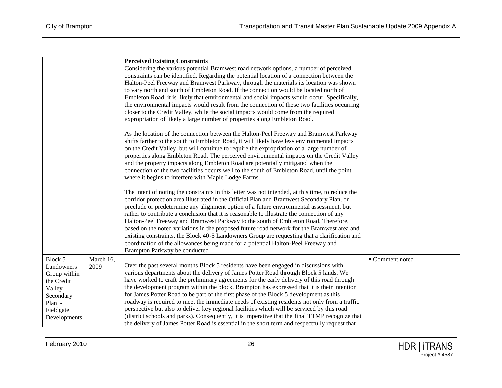|              |           | <b>Perceived Existing Constraints</b>                                                             |                 |
|--------------|-----------|---------------------------------------------------------------------------------------------------|-----------------|
|              |           | Considering the various potential Bramwest road network options, a number of perceived            |                 |
|              |           | constraints can be identified. Regarding the potential location of a connection between the       |                 |
|              |           | Halton-Peel Freeway and Bramwest Parkway, through the materials its location was shown            |                 |
|              |           | to vary north and south of Embleton Road. If the connection would be located north of             |                 |
|              |           | Embleton Road, it is likely that environmental and social impacts would occur. Specifically,      |                 |
|              |           | the environmental impacts would result from the connection of these two facilities occurring      |                 |
|              |           | closer to the Credit Valley, while the social impacts would come from the required                |                 |
|              |           | expropriation of likely a large number of properties along Embleton Road.                         |                 |
|              |           | As the location of the connection between the Halton-Peel Freeway and Bramwest Parkway            |                 |
|              |           | shifts farther to the south to Embleton Road, it will likely have less environmental impacts      |                 |
|              |           | on the Credit Valley, but will continue to require the expropriation of a large number of         |                 |
|              |           | properties along Embleton Road. The perceived environmental impacts on the Credit Valley          |                 |
|              |           | and the property impacts along Embleton Road are potentially mitigated when the                   |                 |
|              |           | connection of the two facilities occurs well to the south of Embleton Road, until the point       |                 |
|              |           | where it begins to interfere with Maple Lodge Farms.                                              |                 |
|              |           | The intent of noting the constraints in this letter was not intended, at this time, to reduce the |                 |
|              |           | corridor protection area illustrated in the Official Plan and Bramwest Secondary Plan, or         |                 |
|              |           | preclude or predetermine any alignment option of a future environmental assessment, but           |                 |
|              |           | rather to contribute a conclusion that it is reasonable to illustrate the connection of any       |                 |
|              |           | Halton-Peel Freeway and Bramwest Parkway to the south of Embleton Road. Therefore,                |                 |
|              |           | based on the noted variations in the proposed future road network for the Bramwest area and       |                 |
|              |           | existing constraints, the Block 40-5 Landowners Group are requesting that a clarification and     |                 |
|              |           | coordination of the allowances being made for a potential Halton-Peel Freeway and                 |                 |
|              |           | Brampton Parkway be conducted                                                                     |                 |
| Block 5      | March 16, |                                                                                                   | • Comment noted |
| Landowners   | 2009      | Over the past several months Block 5 residents have been engaged in discussions with              |                 |
| Group within |           | various departments about the delivery of James Potter Road through Block 5 lands. We             |                 |
| the Credit   |           | have worked to craft the preliminary agreements for the early delivery of this road through       |                 |
| Valley       |           | the development program within the block. Brampton has expressed that it is their intention       |                 |
| Secondary    |           | for James Potter Road to be part of the first phase of the Block 5 development as this            |                 |
| Plan -       |           | roadway is required to meet the immediate needs of existing residents not only from a traffic     |                 |
| Fieldgate    |           | perspective but also to deliver key regional facilities which will be serviced by this road       |                 |
| Developments |           | (district schools and parks). Consequently, it is imperative that the final TTMP recognize that   |                 |
|              |           | the delivery of James Potter Road is essential in the short term and respectfully request that    |                 |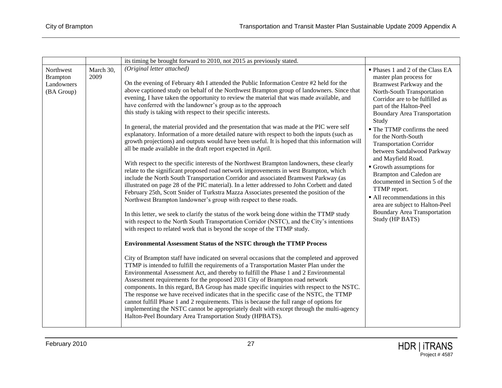|                                                          |                   | its timing be brought forward to 2010, not 2015 as previously stated.                                                                                                                                                                                                                                                                                                                                                                                                                                                                                                                                                                                                                                                                                                                                                                                                                                                                                                                                                                                                                                                                                                                                                                                                                                                                                                                                                                                                                                                                                                                                                                                                                                                                                                                                                                                                                                                                                                                                                                                                                                                                                                                                                                                                                                                                                                                                                                                                                                                         |                                                                                                                                                                                                                                                                                                                                                                                                                                                                                                                                                                                                                                       |
|----------------------------------------------------------|-------------------|-------------------------------------------------------------------------------------------------------------------------------------------------------------------------------------------------------------------------------------------------------------------------------------------------------------------------------------------------------------------------------------------------------------------------------------------------------------------------------------------------------------------------------------------------------------------------------------------------------------------------------------------------------------------------------------------------------------------------------------------------------------------------------------------------------------------------------------------------------------------------------------------------------------------------------------------------------------------------------------------------------------------------------------------------------------------------------------------------------------------------------------------------------------------------------------------------------------------------------------------------------------------------------------------------------------------------------------------------------------------------------------------------------------------------------------------------------------------------------------------------------------------------------------------------------------------------------------------------------------------------------------------------------------------------------------------------------------------------------------------------------------------------------------------------------------------------------------------------------------------------------------------------------------------------------------------------------------------------------------------------------------------------------------------------------------------------------------------------------------------------------------------------------------------------------------------------------------------------------------------------------------------------------------------------------------------------------------------------------------------------------------------------------------------------------------------------------------------------------------------------------------------------------|---------------------------------------------------------------------------------------------------------------------------------------------------------------------------------------------------------------------------------------------------------------------------------------------------------------------------------------------------------------------------------------------------------------------------------------------------------------------------------------------------------------------------------------------------------------------------------------------------------------------------------------|
| Northwest<br><b>Brampton</b><br>Landowners<br>(BA Group) | March 30,<br>2009 | (Original letter attached)<br>On the evening of February 4th I attended the Public Information Centre #2 held for the<br>above captioned study on behalf of the Northwest Brampton group of landowners. Since that<br>evening, I have taken the opportunity to review the material that was made available, and<br>have conferred with the landowner's group as to the approach<br>this study is taking with respect to their specific interests.<br>In general, the material provided and the presentation that was made at the PIC were self<br>explanatory. Information of a more detailed nature with respect to both the inputs (such as<br>growth projections) and outputs would have been useful. It is hoped that this information will<br>all be made available in the draft report expected in April.<br>With respect to the specific interests of the Northwest Brampton landowners, these clearly<br>relate to the significant proposed road network improvements in west Brampton, which<br>include the North South Transportation Corridor and associated Bramwest Parkway (as<br>illustrated on page 28 of the PIC material). In a letter addressed to John Corbett and dated<br>February 25th, Scott Snider of Turkstra Mazza Associates presented the position of the<br>Northwest Brampton landowner's group with respect to these roads.<br>In this letter, we seek to clarify the status of the work being done within the TTMP study<br>with respect to the North South Transportation Corridor (NSTC), and the City's intentions<br>with respect to related work that is beyond the scope of the TTMP study.<br><b>Environmental Assessment Status of the NSTC through the TTMP Process</b><br>City of Brampton staff have indicated on several occasions that the completed and approved<br>TTMP is intended to fulfill the requirements of a Transportation Master Plan under the<br>Environmental Assessment Act, and thereby to fulfill the Phase 1 and 2 Environmental<br>Assessment requirements for the proposed 2031 City of Brampton road network<br>components. In this regard, BA Group has made specific inquiries with respect to the NSTC.<br>The response we have received indicates that in the specific case of the NSTC, the TTMP<br>cannot fulfill Phase 1 and 2 requirements. This is because the full range of options for<br>implementing the NSTC cannot be appropriately dealt with except through the multi-agency<br>Halton-Peel Boundary Area Transportation Study (HPBATS). | • Phases 1 and 2 of the Class EA<br>master plan process for<br>Bramwest Parkway and the<br>North-South Transportation<br>Corridor are to be fulfilled as<br>part of the Halton-Peel<br><b>Boundary Area Transportation</b><br>Study<br>• The TTMP confirms the need<br>for the North-South<br><b>Transportation Corridor</b><br>between Sandalwood Parkway<br>and Mayfield Road.<br>$\blacksquare$ Growth assumptions for<br>Brampton and Caledon are<br>documented in Section 5 of the<br>TTMP report.<br>• All recommendations in this<br>area are subject to Halton-Peel<br><b>Boundary Area Transportation</b><br>Study (HP BATS) |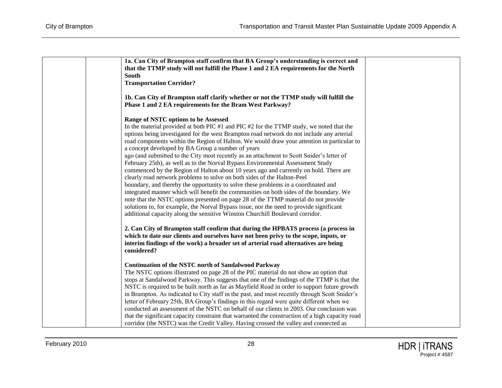| 1a. Can City of Brampton staff confirm that BA Group's understanding is correct and<br>that the TTMP study will not fulfill the Phase 1 and 2 EA requirements for the North                                                                                                                                                                                                                                                                                                                                                                                                                                                                                                                                                                                                                                                                                                                                                                                                                                                                                                                                                                                                            |  |
|----------------------------------------------------------------------------------------------------------------------------------------------------------------------------------------------------------------------------------------------------------------------------------------------------------------------------------------------------------------------------------------------------------------------------------------------------------------------------------------------------------------------------------------------------------------------------------------------------------------------------------------------------------------------------------------------------------------------------------------------------------------------------------------------------------------------------------------------------------------------------------------------------------------------------------------------------------------------------------------------------------------------------------------------------------------------------------------------------------------------------------------------------------------------------------------|--|
| South                                                                                                                                                                                                                                                                                                                                                                                                                                                                                                                                                                                                                                                                                                                                                                                                                                                                                                                                                                                                                                                                                                                                                                                  |  |
| <b>Transportation Corridor?</b>                                                                                                                                                                                                                                                                                                                                                                                                                                                                                                                                                                                                                                                                                                                                                                                                                                                                                                                                                                                                                                                                                                                                                        |  |
| 1b. Can City of Brampton staff clarify whether or not the TTMP study will fulfill the<br>Phase 1 and 2 EA requirements for the Bram West Parkway?                                                                                                                                                                                                                                                                                                                                                                                                                                                                                                                                                                                                                                                                                                                                                                                                                                                                                                                                                                                                                                      |  |
| Range of NSTC options to be Assessed<br>In the material provided at both PIC #1 and PIC #2 for the TTMP study, we noted that the<br>options being investigated for the west Brampton road network do not include any arterial<br>road components within the Region of Halton. We would draw your attention in particular to<br>a concept developed by BA Group a number of years<br>ago (and submitted to the City most recently as an attachment to Scott Snider's letter of<br>February 25th), as well as to the Norval Bypass Environmental Assessment Study<br>commenced by the Region of Halton about 10 years ago and currently on hold. There are<br>clearly road network problems to solve on both sides of the Halton-Peel<br>boundary, and thereby the opportunity to solve these problems in a coordinated and<br>integrated manner which will benefit the communities on both sides of the boundary. We<br>note that the NSTC options presented on page 28 of the TTMP material do not provide<br>solutions to, for example, the Norval Bypass issue, nor the need to provide significant<br>additional capacity along the sensitive Winston Churchill Boulevard corridor. |  |
| 2. Can City of Brampton staff confirm that during the HPBATS process (a process in<br>which to date our clients and ourselves have not been privy to the scope, inputs, or<br>interim findings of the work) a broader set of arterial road alternatives are being<br>considered?                                                                                                                                                                                                                                                                                                                                                                                                                                                                                                                                                                                                                                                                                                                                                                                                                                                                                                       |  |
| <b>Continuation of the NSTC north of Sandalwood Parkway</b><br>The NSTC options illustrated on page 28 of the PIC material do not show an option that<br>stops at Sandalwood Parkway. This suggests that one of the findings of the TTMP is that the<br>NSTC is required to be built north as far as Mayfield Road in order to support future growth<br>in Brampton. As indicated to City staff in the past, and most recently through Scott Snider's<br>letter of February 25th, BA Group's findings in this regard were quite different when we<br>conducted an assessment of the NSTC on behalf of our clients in 2003. Our conclusion was<br>that the significant capacity constraint that warranted the construction of a high capacity road<br>corridor (the NSTC) was the Credit Valley. Having crossed the valley and connected as                                                                                                                                                                                                                                                                                                                                             |  |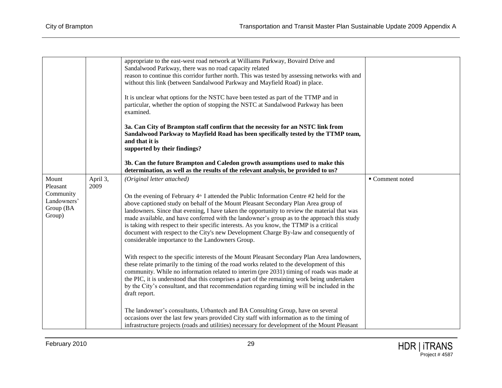|             |          | appropriate to the east-west road network at Williams Parkway, Bovaird Drive and                                                                                                       |                 |
|-------------|----------|----------------------------------------------------------------------------------------------------------------------------------------------------------------------------------------|-----------------|
|             |          | Sandalwood Parkway, there was no road capacity related                                                                                                                                 |                 |
|             |          | reason to continue this corridor further north. This was tested by assessing networks with and                                                                                         |                 |
|             |          | without this link (between Sandalwood Parkway and Mayfield Road) in place.                                                                                                             |                 |
|             |          | It is unclear what options for the NSTC have been tested as part of the TTMP and in                                                                                                    |                 |
|             |          | particular, whether the option of stopping the NSTC at Sandalwood Parkway has been                                                                                                     |                 |
|             |          | examined.                                                                                                                                                                              |                 |
|             |          |                                                                                                                                                                                        |                 |
|             |          | 3a. Can City of Brampton staff confirm that the necessity for an NSTC link from                                                                                                        |                 |
|             |          | Sandalwood Parkway to Mayfield Road has been specifically tested by the TTMP team,                                                                                                     |                 |
|             |          | and that it is                                                                                                                                                                         |                 |
|             |          | supported by their findings?                                                                                                                                                           |                 |
|             |          | 3b. Can the future Brampton and Caledon growth assumptions used to make this                                                                                                           |                 |
|             |          | determination, as well as the results of the relevant analysis, be provided to us?                                                                                                     |                 |
| Mount       | April 3, | (Original letter attached)                                                                                                                                                             | ■ Comment noted |
| Pleasant    | 2009     |                                                                                                                                                                                        |                 |
| Community   |          | On the evening of February $4th$ I attended the Public Information Centre #2 held for the                                                                                              |                 |
| Landowners' |          | above captioned study on behalf of the Mount Pleasant Secondary Plan Area group of                                                                                                     |                 |
| Group (BA   |          | landowners. Since that evening, I have taken the opportunity to review the material that was                                                                                           |                 |
| Group)      |          | made available, and have conferred with the landowner's group as to the approach this study                                                                                            |                 |
|             |          | is taking with respect to their specific interests. As you know, the TTMP is a critical                                                                                                |                 |
|             |          | document with respect to the City's new Development Charge By-law and consequently of                                                                                                  |                 |
|             |          | considerable importance to the Landowners Group.                                                                                                                                       |                 |
|             |          |                                                                                                                                                                                        |                 |
|             |          | With respect to the specific interests of the Mount Pleasant Secondary Plan Area landowners,                                                                                           |                 |
|             |          | these relate primarily to the timing of the road works related to the development of this<br>community. While no information related to interim (pre 2031) timing of roads was made at |                 |
|             |          | the PIC, it is understood that this comprises a part of the remaining work being undertaken                                                                                            |                 |
|             |          | by the City's consultant, and that recommendation regarding timing will be included in the                                                                                             |                 |
|             |          | draft report.                                                                                                                                                                          |                 |
|             |          |                                                                                                                                                                                        |                 |
|             |          | The landowner's consultants, Urbantech and BA Consulting Group, have on several                                                                                                        |                 |
|             |          | occasions over the last few years provided City staff with information as to the timing of                                                                                             |                 |
|             |          | infrastructure projects (roads and utilities) necessary for development of the Mount Pleasant                                                                                          |                 |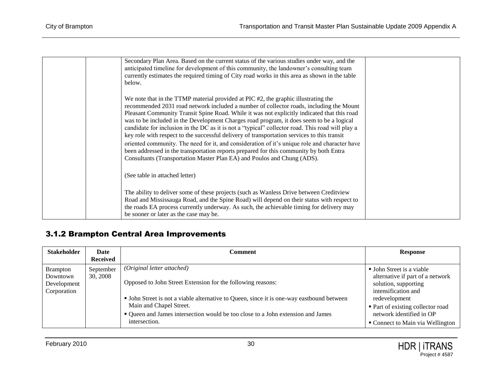|  | Secondary Plan Area. Based on the current status of the various studies under way, and the<br>anticipated timeline for development of this community, the landowner's consulting team<br>currently estimates the required timing of City road works in this area as shown in the table<br>below.                                                                                                                                                                                                                                                                                                                                                                                                                                                                                                                                                  |  |
|--|---------------------------------------------------------------------------------------------------------------------------------------------------------------------------------------------------------------------------------------------------------------------------------------------------------------------------------------------------------------------------------------------------------------------------------------------------------------------------------------------------------------------------------------------------------------------------------------------------------------------------------------------------------------------------------------------------------------------------------------------------------------------------------------------------------------------------------------------------|--|
|  | We note that in the TTMP material provided at PIC #2, the graphic illustrating the<br>recommended 2031 road network included a number of collector roads, including the Mount<br>Pleasant Community Transit Spine Road. While it was not explicitly indicated that this road<br>was to be included in the Development Charges road program, it does seem to be a logical<br>candidate for inclusion in the DC as it is not a "typical" collector road. This road will play a<br>key role with respect to the successful delivery of transportation services to this transit<br>oriented community. The need for it, and consideration of it's unique role and character have<br>been addressed in the transportation reports prepared for this community by both Entra<br>Consultants (Transportation Master Plan EA) and Poulos and Chung (ADS). |  |
|  | (See table in attached letter)                                                                                                                                                                                                                                                                                                                                                                                                                                                                                                                                                                                                                                                                                                                                                                                                                    |  |
|  | The ability to deliver some of these projects (such as Wanless Drive between Creditview<br>Road and Mississauga Road, and the Spine Road) will depend on their status with respect to<br>the roads EA process currently underway. As such, the achievable timing for delivery may<br>be sooner or later as the case may be.                                                                                                                                                                                                                                                                                                                                                                                                                                                                                                                       |  |

#### 3.1.2 Brampton Central Area Improvements

<span id="page-31-0"></span>

| <b>Stakeholder</b> | Date            | Comment                                                                                   | <b>Response</b>                   |
|--------------------|-----------------|-------------------------------------------------------------------------------------------|-----------------------------------|
|                    | <b>Received</b> |                                                                                           |                                   |
| <b>Brampton</b>    | September       | (Original letter attached)                                                                | • John Street is a viable         |
| Downtown           | 30, 2008        |                                                                                           | alternative if part of a network  |
| Development        |                 | Opposed to John Street Extension for the following reasons:                               | solution, supporting              |
| Corporation        |                 |                                                                                           | intensification and               |
|                    |                 | • John Street is not a viable alternative to Queen, since it is one-way eastbound between | redevelopment                     |
|                    |                 | Main and Chapel Street.                                                                   | • Part of existing collector road |
|                    |                 | • Queen and James intersection would be too close to a John extension and James           | network identified in OP          |
|                    |                 | intersection.                                                                             | • Connect to Main via Wellington  |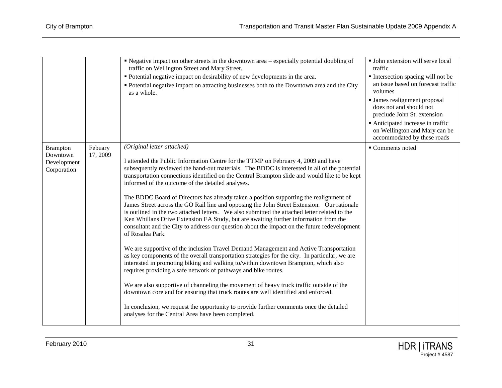|                                                           |                     | • Negative impact on other streets in the downtown area – especially potential doubling of<br>traffic on Wellington Street and Mary Street.<br>• Potential negative impact on desirability of new developments in the area.<br>• Potential negative impact on attracting businesses both to the Downtown area and the City<br>as a whole.                                                                                                                                                                                                                                                                                                                                                                                                                                                                                                                                                                                                                                                                                                                                                                                                                                                                                                                                                                                                                                                                                                                                                                                                                        | • John extension will serve local<br>traffic<br>Intersection spacing will not be<br>an issue based on forecast traffic<br>volumes<br>• James realignment proposal<br>does not and should not<br>preclude John St. extension<br>Anticipated increase in traffic<br>on Wellington and Mary can be<br>accommodated by these roads |
|-----------------------------------------------------------|---------------------|------------------------------------------------------------------------------------------------------------------------------------------------------------------------------------------------------------------------------------------------------------------------------------------------------------------------------------------------------------------------------------------------------------------------------------------------------------------------------------------------------------------------------------------------------------------------------------------------------------------------------------------------------------------------------------------------------------------------------------------------------------------------------------------------------------------------------------------------------------------------------------------------------------------------------------------------------------------------------------------------------------------------------------------------------------------------------------------------------------------------------------------------------------------------------------------------------------------------------------------------------------------------------------------------------------------------------------------------------------------------------------------------------------------------------------------------------------------------------------------------------------------------------------------------------------------|--------------------------------------------------------------------------------------------------------------------------------------------------------------------------------------------------------------------------------------------------------------------------------------------------------------------------------|
| <b>Brampton</b><br>Downtown<br>Development<br>Corporation | Febuary<br>17, 2009 | (Original letter attached)<br>I attended the Public Information Centre for the TTMP on February 4, 2009 and have<br>subsequently reviewed the hand-out materials. The BDDC is interested in all of the potential<br>transportation connections identified on the Central Brampton slide and would like to be kept<br>informed of the outcome of the detailed analyses.<br>The BDDC Board of Directors has already taken a position supporting the realignment of<br>James Street across the GO Rail line and opposing the John Street Extension. Our rationale<br>is outlined in the two attached letters. We also submitted the attached letter related to the<br>Ken Whillans Drive Extension EA Study, but are awaiting further information from the<br>consultant and the City to address our question about the impact on the future redevelopment<br>of Rosalea Park.<br>We are supportive of the inclusion Travel Demand Management and Active Transportation<br>as key components of the overall transportation strategies for the city. In particular, we are<br>interested in promoting biking and walking to/within downtown Brampton, which also<br>requires providing a safe network of pathways and bike routes.<br>We are also supportive of channeling the movement of heavy truck traffic outside of the<br>downtown core and for ensuring that truck routes are well identified and enforced.<br>In conclusion, we request the opportunity to provide further comments once the detailed<br>analyses for the Central Area have been completed. | • Comments noted                                                                                                                                                                                                                                                                                                               |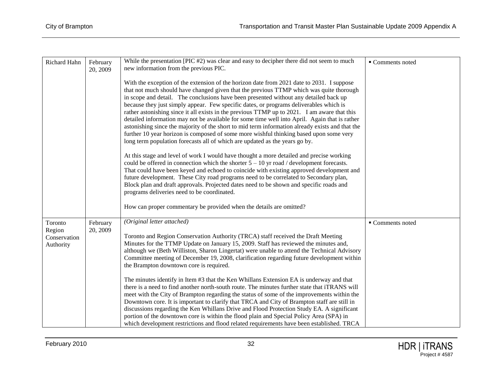| Richard Hahn                        | February<br>20, 2009 | While the presentation $[PLF42)$ was clear and easy to decipher there did not seem to much<br>new information from the previous PIC.                                                                                                                                                                                                                                                                                                                                                                                                                                                                                                                                                                                                                                                                                                                 | ■ Comments noted |
|-------------------------------------|----------------------|------------------------------------------------------------------------------------------------------------------------------------------------------------------------------------------------------------------------------------------------------------------------------------------------------------------------------------------------------------------------------------------------------------------------------------------------------------------------------------------------------------------------------------------------------------------------------------------------------------------------------------------------------------------------------------------------------------------------------------------------------------------------------------------------------------------------------------------------------|------------------|
|                                     |                      | With the exception of the extension of the horizon date from 2021 date to 2031. I suppose<br>that not much should have changed given that the previous TTMP which was quite thorough<br>in scope and detail. The conclusions have been presented without any detailed back up<br>because they just simply appear. Few specific dates, or programs deliverables which is<br>rather astonishing since it all exists in the previous TTMP up to 2021. I am aware that this<br>detailed information may not be available for some time well into April. Again that is rather<br>astonishing since the majority of the short to mid term information already exists and that the<br>further 10 year horizon is composed of some more wishful thinking based upon some very<br>long term population forecasts all of which are updated as the years go by. |                  |
|                                     |                      | At this stage and level of work I would have thought a more detailed and precise working<br>could be offered in connection which the shorter $5 - 10$ yr road / development forecasts.<br>That could have been keyed and echoed to coincide with existing approved development and<br>future development. These City road programs need to be correlated to Secondary plan,<br>Block plan and draft approvals. Projected dates need to be shown and specific roads and<br>programs deliveries need to be coordinated.<br>How can proper commentary be provided when the details are omitted?                                                                                                                                                                                                                                                         |                  |
| Toronto                             | February             | (Original letter attached)                                                                                                                                                                                                                                                                                                                                                                                                                                                                                                                                                                                                                                                                                                                                                                                                                           | ■ Comments noted |
| Region<br>Conservation<br>Authority | 20, 2009             | Toronto and Region Conservation Authority (TRCA) staff received the Draft Meeting<br>Minutes for the TTMP Update on January 15, 2009. Staff has reviewed the minutes and,<br>although we (Beth Williston, Sharon Lingertat) were unable to attend the Technical Advisory<br>Committee meeting of December 19, 2008, clarification regarding future development within<br>the Brampton downtown core is required.                                                                                                                                                                                                                                                                                                                                                                                                                                     |                  |
|                                     |                      | The minutes identify in Item #3 that the Ken Whillans Extension EA is underway and that<br>there is a need to find another north-south route. The minutes further state that iTRANS will<br>meet with the City of Brampton regarding the status of some of the improvements within the<br>Downtown core. It is important to clarify that TRCA and City of Brampton staff are still in<br>discussions regarding the Ken Whillans Drive and Flood Protection Study EA. A significant<br>portion of the downtown core is within the flood plain and Special Policy Area (SPA) in<br>which development restrictions and flood related requirements have been established. TRCA                                                                                                                                                                           |                  |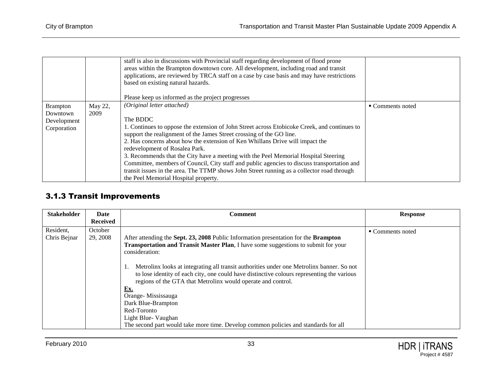|                 |         | staff is also in discussions with Provincial staff regarding development of flood prone<br>areas within the Brampton downtown core. All development, including road and transit<br>applications, are reviewed by TRCA staff on a case by case basis and may have restrictions<br>based on existing natural hazards.<br>Please keep us informed as the project progresses |                  |
|-----------------|---------|--------------------------------------------------------------------------------------------------------------------------------------------------------------------------------------------------------------------------------------------------------------------------------------------------------------------------------------------------------------------------|------------------|
| <b>Brampton</b> | May 22, | (Original letter attached)                                                                                                                                                                                                                                                                                                                                               | • Comments noted |
| Downtown        | 2009    |                                                                                                                                                                                                                                                                                                                                                                          |                  |
| Development     |         | The BDDC                                                                                                                                                                                                                                                                                                                                                                 |                  |
| Corporation     |         | 1. Continues to oppose the extension of John Street across Etobicoke Creek, and continues to                                                                                                                                                                                                                                                                             |                  |
|                 |         | support the realignment of the James Street crossing of the GO line.                                                                                                                                                                                                                                                                                                     |                  |
|                 |         | 2. Has concerns about how the extension of Ken Whillans Drive will impact the                                                                                                                                                                                                                                                                                            |                  |
|                 |         | redevelopment of Rosalea Park.                                                                                                                                                                                                                                                                                                                                           |                  |
|                 |         | 3. Recommends that the City have a meeting with the Peel Memorial Hospital Steering                                                                                                                                                                                                                                                                                      |                  |
|                 |         | Committee, members of Council, City staff and public agencies to discuss transportation and                                                                                                                                                                                                                                                                              |                  |
|                 |         | transit issues in the area. The TTMP shows John Street running as a collector road through                                                                                                                                                                                                                                                                               |                  |
|                 |         | the Peel Memorial Hospital property.                                                                                                                                                                                                                                                                                                                                     |                  |

#### 3.1.3 Transit Improvements

<span id="page-34-0"></span>

| <b>Stakeholder</b>        | Date<br><b>Received</b> | <b>Comment</b>                                                                                                                                                                                                                                                                                                                                                                                                                                                                                                                                                                                                                                       | <b>Response</b>  |
|---------------------------|-------------------------|------------------------------------------------------------------------------------------------------------------------------------------------------------------------------------------------------------------------------------------------------------------------------------------------------------------------------------------------------------------------------------------------------------------------------------------------------------------------------------------------------------------------------------------------------------------------------------------------------------------------------------------------------|------------------|
| Resident,<br>Chris Bejnar | October<br>29, 2008     | After attending the Sept. 23, 2008 Public Information presentation for the Brampton<br><b>Transportation and Transit Master Plan, I have some suggestions to submit for your</b><br>consideration:<br>Metrolinx looks at integrating all transit authorities under one Metrolinx banner. So not<br>to lose identity of each city, one could have distinctive colours representing the various<br>regions of the GTA that Metrolinx would operate and control.<br><b>Ex.</b><br>Orange-Mississauga<br>Dark Blue-Brampton<br>Red-Toronto<br>Light Blue- Vaughan<br>The second part would take more time. Develop common policies and standards for all | • Comments noted |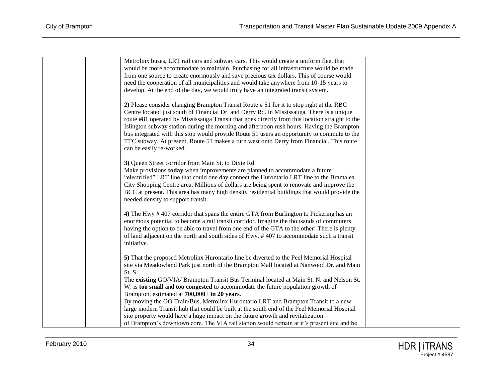| Metrolinx buses, LRT rail cars and subway cars. This would create a uniform fleet that<br>would be more accommodate to maintain. Purchasing for all infrastructure would be made<br>from one source to create enormously and save precious tax dollars. This of course would<br>need the cooperation of all municipalities and would take anywhere from 10-15 years to<br>develop. At the end of the day, we would truly have an integrated transit system.                                                                                                                                                         |  |
|---------------------------------------------------------------------------------------------------------------------------------------------------------------------------------------------------------------------------------------------------------------------------------------------------------------------------------------------------------------------------------------------------------------------------------------------------------------------------------------------------------------------------------------------------------------------------------------------------------------------|--|
| 2) Please consider changing Brampton Transit Route # 51 for it to stop right at the RBC<br>Centre located just south of Financial Dr. and Derry Rd. in Mississauga. There is a unique<br>route #81 operated by Mississauga Transit that goes directly from this location straight to the<br>Islington subway station during the morning and afternoon rush hours. Having the Brampton<br>bus integrated with this stop would provide Route 51 users an opportunity to commute to the<br>TTC subway. At present, Route 51 makes a turn west onto Derry from Financial. This route<br>can be easily re-worked.        |  |
| 3) Queen Street corridor from Main St. to Dixie Rd.<br>Make provisions today when improvements are planned to accommodate a future<br>"electrified" LRT line that could one day connect the Hurontario LRT line to the Bramalea<br>City Shopping Centre area. Millions of dollars are being spent to renovate and improve the<br>BCC at present. This area has many high density residential buildings that would provide the<br>needed density to support transit.                                                                                                                                                 |  |
| 4) The Hwy #407 corridor that spans the entire GTA from Burlington to Pickering has an<br>enormous potential to become a rail transit corridor. Imagine the thousands of commuters<br>having the option to be able to travel from one end of the GTA to the other! There is plenty<br>of land adjacent on the north and south sides of Hwy. #407 to accommodate such a transit<br>initiative.                                                                                                                                                                                                                       |  |
| 5) That the proposed Metrolinx Hurontario line be diverted to the Peel Memorial Hospital<br>site via Meadowland Park just north of the Brampton Mall located at Nanwood Dr. and Main<br>St. S.<br>The existing GO/VIA/ Brampton Transit Bus Terminal located at Main St. N. and Nelson St.<br>W. is too small and too congested to accommodate the future population growth of<br>Brampton, estimated at 700,000+ in 20 years.<br>By moving the GO Train/Bus, Metrolinx Hurontario LRT and Brampton Transit to a new<br>large modern Transit hub that could be built at the south end of the Peel Memorial Hospital |  |
| site property would have a huge impact on the future growth and revitalization<br>of Brampton's downtown core. The VIA rail station would remain at it's present site and be                                                                                                                                                                                                                                                                                                                                                                                                                                        |  |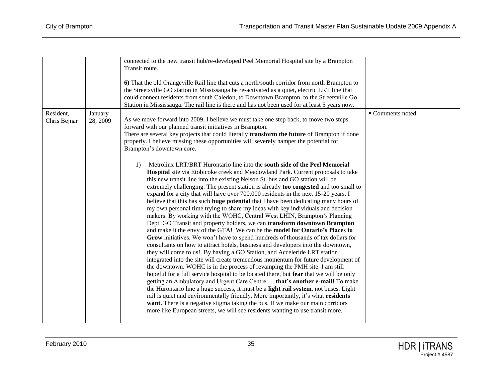|                           |                     | connected to the new transit hub/re-developed Peel Memorial Hospital site by a Brampton<br>Transit route.<br>6) That the old Orangeville Rail line that cuts a north/south corridor from north Brampton to<br>the Streetsville GO station in Mississauga be re-activated as a quiet, electric LRT line that<br>could connect residents from south Caledon, to Downtown Brampton, to the Streetsville Go<br>Station in Mississauga. The rail line is there and has not been used for at least 5 years now.                                                                                                                                                                                                                                                                                                                                                                                                                                                                                                                                                                                                                                                                                                                                                                                                                                                                                                                                                                                                                                                                                                                                                                                                                                                                                                                                                                                                                                                                                                                                                                                                                                                                             |                |
|---------------------------|---------------------|---------------------------------------------------------------------------------------------------------------------------------------------------------------------------------------------------------------------------------------------------------------------------------------------------------------------------------------------------------------------------------------------------------------------------------------------------------------------------------------------------------------------------------------------------------------------------------------------------------------------------------------------------------------------------------------------------------------------------------------------------------------------------------------------------------------------------------------------------------------------------------------------------------------------------------------------------------------------------------------------------------------------------------------------------------------------------------------------------------------------------------------------------------------------------------------------------------------------------------------------------------------------------------------------------------------------------------------------------------------------------------------------------------------------------------------------------------------------------------------------------------------------------------------------------------------------------------------------------------------------------------------------------------------------------------------------------------------------------------------------------------------------------------------------------------------------------------------------------------------------------------------------------------------------------------------------------------------------------------------------------------------------------------------------------------------------------------------------------------------------------------------------------------------------------------------|----------------|
| Resident,<br>Chris Bejnar | January<br>28, 2009 | As we move forward into 2009, I believe we must take one step back, to move two steps<br>forward with our planned transit initiatives in Brampton.<br>There are several key projects that could literally transform the future of Brampton if done<br>properly. I believe missing these opportunities will severely hamper the potential for<br>Brampton's downtown core.<br>Metrolinx LRT/BRT Hurontario line into the south side of the Peel Memorial<br>1)<br>Hospital site via Etobicoke creek and Meadowland Park. Current proposals to take<br>this new transit line into the existing Nelson St. bus and GO station will be<br>extremely challenging. The present station is already too congested and too small to<br>expand for a city that will have over 700,000 residents in the next 15-20 years. I<br>believe that this has such huge potential that I have been dedicating many hours of<br>my own personal time trying to share my ideas with key individuals and decision<br>makers. By working with the WOHC, Central West LHIN, Brampton's Planning<br>Dept. GO Transit and property holders, we can transform downtown Brampton<br>and make it the envy of the GTA! We can be the model for Ontario's Places to<br>Grow initiatives. We won't have to spend hundreds of thousands of tax dollars for<br>consultants on how to attract hotels, business and developers into the downtown,<br>they will come to us! By having a GO Station, and Acceleride LRT station<br>integrated into the site will create tremendous momentum for future development of<br>the downtown. WOHC is in the process of revamping the PMH site. I am still<br>hopeful for a full service hospital to be located there, but fear that we will be only<br>getting an Ambulatory and Urgent Care Centrethat's another e-mail! To make<br>the Hurontario line a huge success, it must be a light rail system, not buses. Light<br>rail is quiet and environmentally friendly. More importantly, it's what residents<br>want. There is a negative stigma taking the bus. If we make our main corridors<br>more like European streets, we will see residents wanting to use transit more. | Comments noted |
|                           |                     |                                                                                                                                                                                                                                                                                                                                                                                                                                                                                                                                                                                                                                                                                                                                                                                                                                                                                                                                                                                                                                                                                                                                                                                                                                                                                                                                                                                                                                                                                                                                                                                                                                                                                                                                                                                                                                                                                                                                                                                                                                                                                                                                                                                       |                |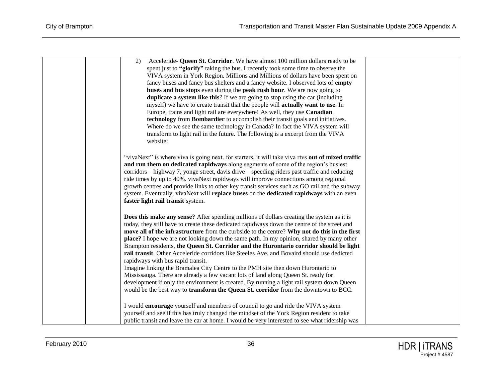| Acceleride- Queen St. Corridor. We have almost 100 million dollars ready to be<br>2)                                                                                                                                                                                                                                                                                                                                                                                                                                                                                                                            |
|-----------------------------------------------------------------------------------------------------------------------------------------------------------------------------------------------------------------------------------------------------------------------------------------------------------------------------------------------------------------------------------------------------------------------------------------------------------------------------------------------------------------------------------------------------------------------------------------------------------------|
| spent just to "glorify" taking the bus. I recently took some time to observe the                                                                                                                                                                                                                                                                                                                                                                                                                                                                                                                                |
| VIVA system in York Region. Millions and Millions of dollars have been spent on                                                                                                                                                                                                                                                                                                                                                                                                                                                                                                                                 |
| fancy buses and fancy bus shelters and a fancy website. I observed lots of empty                                                                                                                                                                                                                                                                                                                                                                                                                                                                                                                                |
| buses and bus stops even during the peak rush hour. We are now going to                                                                                                                                                                                                                                                                                                                                                                                                                                                                                                                                         |
| duplicate a system like this? If we are going to stop using the car (including                                                                                                                                                                                                                                                                                                                                                                                                                                                                                                                                  |
| myself) we have to create transit that the people will actually want to use. In                                                                                                                                                                                                                                                                                                                                                                                                                                                                                                                                 |
| Europe, trains and light rail are everywhere! As well, they use Canadian                                                                                                                                                                                                                                                                                                                                                                                                                                                                                                                                        |
| technology from Bombardier to accomplish their transit goals and initiatives.                                                                                                                                                                                                                                                                                                                                                                                                                                                                                                                                   |
| Where do we see the same technology in Canada? In fact the VIVA system will                                                                                                                                                                                                                                                                                                                                                                                                                                                                                                                                     |
| transform to light rail in the future. The following is a excerpt from the VIVA                                                                                                                                                                                                                                                                                                                                                                                                                                                                                                                                 |
| website:                                                                                                                                                                                                                                                                                                                                                                                                                                                                                                                                                                                                        |
|                                                                                                                                                                                                                                                                                                                                                                                                                                                                                                                                                                                                                 |
| "vivaNext" is where viva is going next. for starters, it will take viva rtvs out of mixed traffic<br>and run them on dedicated rapidways along segments of some of the region's busiest<br>corridors – highway 7, yonge street, davis drive – speeding riders past traffic and reducing<br>ride times by up to 40%. vivaNext rapidways will improve connections among regional<br>growth centres and provide links to other key transit services such as GO rail and the subway<br>system. Eventually, vivaNext will replace buses on the dedicated rapidways with an even<br>faster light rail transit system. |
|                                                                                                                                                                                                                                                                                                                                                                                                                                                                                                                                                                                                                 |
| Does this make any sense? After spending millions of dollars creating the system as it is                                                                                                                                                                                                                                                                                                                                                                                                                                                                                                                       |
| today, they still have to create these dedicated rapidways down the centre of the street and                                                                                                                                                                                                                                                                                                                                                                                                                                                                                                                    |
| move all of the infrastructure from the curbside to the centre? Why not do this in the first                                                                                                                                                                                                                                                                                                                                                                                                                                                                                                                    |
| place? I hope we are not looking down the same path. In my opinion, shared by many other                                                                                                                                                                                                                                                                                                                                                                                                                                                                                                                        |
| Brampton residents, the Queen St. Corridor and the Hurontario corridor should be light<br>rail transit. Other Acceleride corridors like Steeles Ave. and Bovaird should use dedicted                                                                                                                                                                                                                                                                                                                                                                                                                            |
| rapidways with bus rapid transit.                                                                                                                                                                                                                                                                                                                                                                                                                                                                                                                                                                               |
| Imagine linking the Bramalea City Centre to the PMH site then down Hurontario to                                                                                                                                                                                                                                                                                                                                                                                                                                                                                                                                |
| Mississauga. There are already a few vacant lots of land along Queen St. ready for                                                                                                                                                                                                                                                                                                                                                                                                                                                                                                                              |
| development if only the environment is created. By running a light rail system down Queen                                                                                                                                                                                                                                                                                                                                                                                                                                                                                                                       |
| would be the best way to <b>transform the Queen St. corridor</b> from the downtown to BCC.                                                                                                                                                                                                                                                                                                                                                                                                                                                                                                                      |
|                                                                                                                                                                                                                                                                                                                                                                                                                                                                                                                                                                                                                 |
| I would encourage yourself and members of council to go and ride the VIVA system                                                                                                                                                                                                                                                                                                                                                                                                                                                                                                                                |
| yourself and see if this has truly changed the mindset of the York Region resident to take                                                                                                                                                                                                                                                                                                                                                                                                                                                                                                                      |
| public transit and leave the car at home. I would be very interested to see what ridership was                                                                                                                                                                                                                                                                                                                                                                                                                                                                                                                  |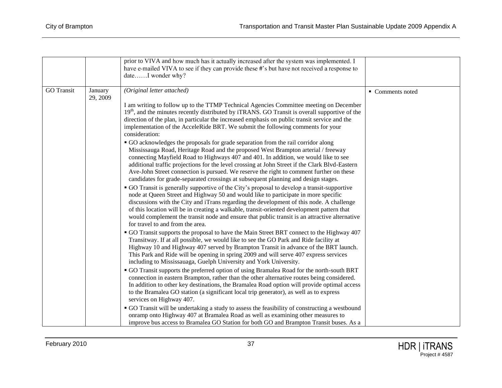|                   |                     | prior to VIVA and how much has it actually increased after the system was implemented. I<br>have e-mailed VIVA to see if they can provide these #'s but have not received a response to<br>dateI wonder why?                                                                                                                                                                                                                                                                                                                                                                                                                                                                                                                                                                                                                                                                                                                                                                                                                                                                                                                                                                                                                                                                                                                                                                                                                                                                                           |                  |
|-------------------|---------------------|--------------------------------------------------------------------------------------------------------------------------------------------------------------------------------------------------------------------------------------------------------------------------------------------------------------------------------------------------------------------------------------------------------------------------------------------------------------------------------------------------------------------------------------------------------------------------------------------------------------------------------------------------------------------------------------------------------------------------------------------------------------------------------------------------------------------------------------------------------------------------------------------------------------------------------------------------------------------------------------------------------------------------------------------------------------------------------------------------------------------------------------------------------------------------------------------------------------------------------------------------------------------------------------------------------------------------------------------------------------------------------------------------------------------------------------------------------------------------------------------------------|------------------|
| <b>GO</b> Transit | January<br>29, 2009 | (Original letter attached)<br>I am writing to follow up to the TTMP Technical Agencies Committee meeting on December<br>$19th$ , and the minutes recently distributed by iTRANS. GO Transit is overall supportive of the<br>direction of the plan, in particular the increased emphasis on public transit service and the<br>implementation of the AcceleRide BRT. We submit the following comments for your<br>consideration:<br>• GO acknowledges the proposals for grade separation from the rail corridor along<br>Mississauga Road, Heritage Road and the proposed West Brampton arterial / freeway<br>connecting Mayfield Road to Highways 407 and 401. In addition, we would like to see<br>additional traffic projections for the level crossing at John Street if the Clark Blvd-Eastern<br>Ave-John Street connection is pursued. We reserve the right to comment further on these<br>candidates for grade-separated crossings at subsequent planning and design stages.<br>• GO Transit is generally supportive of the City's proposal to develop a transit-supportive<br>node at Queen Street and Highway 50 and would like to participate in more specific<br>discussions with the City and iTrans regarding the development of this node. A challenge<br>of this location will be in creating a walkable, transit-oriented development pattern that<br>would complement the transit node and ensure that public transit is an attractive alternative<br>for travel to and from the area. | • Comments noted |
|                   |                     | • GO Transit supports the proposal to have the Main Street BRT connect to the Highway 407<br>Transitway. If at all possible, we would like to see the GO Park and Ride facility at<br>Highway 10 and Highway 407 served by Brampton Transit in advance of the BRT launch.<br>This Park and Ride will be opening in spring 2009 and will serve 407 express services<br>including to Mississauaga, Guelph University and York University.<br>• GO Transit supports the preferred option of using Bramalea Road for the north-south BRT<br>connection in eastern Brampton, rather than the other alternative routes being considered.<br>In addition to other key destinations, the Bramalea Road option will provide optimal access<br>to the Bramalea GO station (a significant local trip generator), as well as to express<br>services on Highway 407.<br>• GO Transit will be undertaking a study to assess the feasibility of constructing a westbound<br>onramp onto Highway 407 at Bramalea Road as well as examining other measures to<br>improve bus access to Bramalea GO Station for both GO and Brampton Transit buses. As a                                                                                                                                                                                                                                                                                                                                                                 |                  |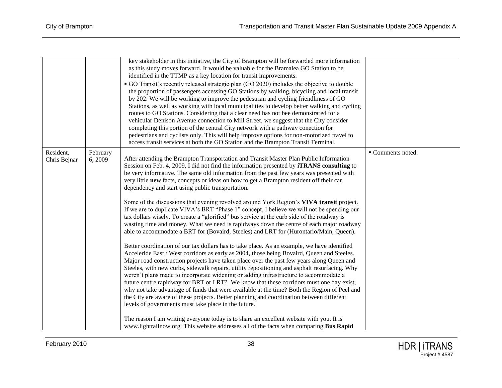|                           |                     | key stakeholder in this initiative, the City of Brampton will be forwarded more information<br>as this study moves forward. It would be valuable for the Bramalea GO Station to be<br>identified in the TTMP as a key location for transit improvements.<br>• GO Transit's recently released strategic plan (GO 2020) includes the objective to double<br>the proportion of passengers accessing GO Stations by walking, bicycling and local transit<br>by 202. We will be working to improve the pedestrian and cycling friendliness of GO<br>Stations, as well as working with local municipalities to develop better walking and cycling<br>routes to GO Stations. Considering that a clear need has not bee demonstrated for a<br>vehicular Denison Avenue connection to Mill Street, we suggest that the City consider<br>completing this portion of the central City network with a pathway conection for<br>pedestrians and cyclists only. This will help improve options for non-motorized travel to                                                                                                                                                                                                                                                                                                                                                                                                                                                                                                                                                                                                                                                                                                                                                                                                                                                                                                                                                                                                                    |                 |
|---------------------------|---------------------|---------------------------------------------------------------------------------------------------------------------------------------------------------------------------------------------------------------------------------------------------------------------------------------------------------------------------------------------------------------------------------------------------------------------------------------------------------------------------------------------------------------------------------------------------------------------------------------------------------------------------------------------------------------------------------------------------------------------------------------------------------------------------------------------------------------------------------------------------------------------------------------------------------------------------------------------------------------------------------------------------------------------------------------------------------------------------------------------------------------------------------------------------------------------------------------------------------------------------------------------------------------------------------------------------------------------------------------------------------------------------------------------------------------------------------------------------------------------------------------------------------------------------------------------------------------------------------------------------------------------------------------------------------------------------------------------------------------------------------------------------------------------------------------------------------------------------------------------------------------------------------------------------------------------------------------------------------------------------------------------------------------------------------|-----------------|
| Resident,<br>Chris Bejnar | February<br>6, 2009 | access transit services at both the GO Station and the Brampton Transit Terminal.<br>After attending the Brampton Transportation and Transit Master Plan Public Information<br>Session on Feb. 4, 2009, I did not find the information presented by <b>iTRANS</b> consulting to<br>be very informative. The same old information from the past few years was presented with<br>very little new facts, concepts or ideas on how to get a Brampton resident off their car<br>dependency and start using public transportation.<br>Some of the discussions that evening revolved around York Region's VIVA transit project.<br>If we are to duplicate VIVA's BRT "Phase 1" concept, I believe we will not be spending our<br>tax dollars wisely. To create a "glorified" bus service at the curb side of the roadway is<br>wasting time and money. What we need is rapidways down the centre of each major roadway<br>able to accommodate a BRT for (Bovaird, Steeles) and LRT for (Hurontario/Main, Queen).<br>Better coordination of our tax dollars has to take place. As an example, we have identified<br>Acceleride East / West corridors as early as 2004, those being Bovaird, Queen and Steeles.<br>Major road construction projects have taken place over the past few years along Queen and<br>Steeles, with new curbs, sidewalk repairs, utility repositioning and asphalt resurfacing. Why<br>weren't plans made to incorporate widening or adding infrastructure to accommodate a<br>future centre rapidway for BRT or LRT? We know that these corridors must one day exist,<br>why not take advantage of funds that were available at the time? Both the Region of Peel and<br>the City are aware of these projects. Better planning and coordination between different<br>levels of governments must take place in the future.<br>The reason I am writing everyone today is to share an excellent website with you. It is<br>www.lightrailnow.org This website addresses all of the facts when comparing Bus Rapid | Comments noted. |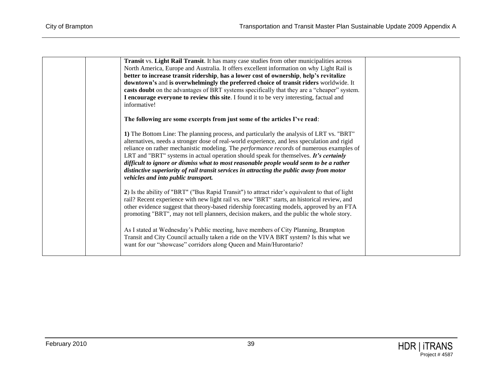| Transit vs. Light Rail Transit. It has many case studies from other municipalities across       |  |
|-------------------------------------------------------------------------------------------------|--|
| North America, Europe and Australia. It offers excellent information on why Light Rail is       |  |
| better to increase transit ridership, has a lower cost of ownership, help's revitalize          |  |
| downtown's and is overwhelmingly the preferred choice of transit riders worldwide. It           |  |
| casts doubt on the advantages of BRT systems specifically that they are a "cheaper" system.     |  |
| I encourage everyone to review this site. I found it to be very interesting, factual and        |  |
| informative!                                                                                    |  |
|                                                                                                 |  |
| The following are some excerpts from just some of the articles I've read:                       |  |
| 1) The Bottom Line: The planning process, and particularly the analysis of LRT vs. "BRT"        |  |
| alternatives, needs a stronger dose of real-world experience, and less speculation and rigid    |  |
| reliance on rather mechanistic modeling. The <i>performance records</i> of numerous examples of |  |
| LRT and "BRT" systems in actual operation should speak for themselves. <i>It's certainly</i>    |  |
| difficult to ignore or dismiss what to most reasonable people would seem to be a rather         |  |
| distinctive superiority of rail transit services in attracting the public away from motor       |  |
| vehicles and into public transport.                                                             |  |
|                                                                                                 |  |
| 2) Is the ability of "BRT" ("Bus Rapid Transit") to attract rider's equivalent to that of light |  |
| rail? Recent experience with new light rail vs. new "BRT" starts, an historical review, and     |  |
| other evidence suggest that theory-based ridership forecasting models, approved by an FTA       |  |
| promoting "BRT", may not tell planners, decision makers, and the public the whole story.        |  |
|                                                                                                 |  |
| As I stated at Wednesday's Public meeting, have members of City Planning, Brampton              |  |
| Transit and City Council actually taken a ride on the VIVA BRT system? Is this what we          |  |
| want for our "showcase" corridors along Queen and Main/Hurontario?                              |  |
|                                                                                                 |  |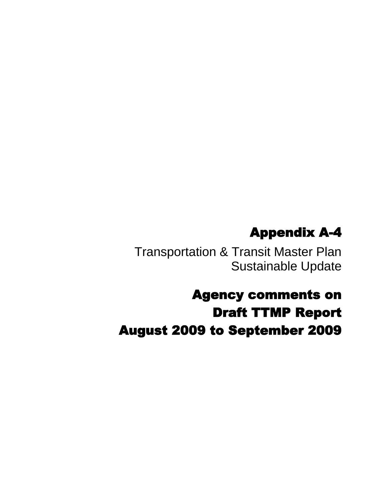# Appendix A-4

Transportation & Transit Master Plan Sustainable Update

Agency comments on Draft TTMP Report August 2009 to September 2009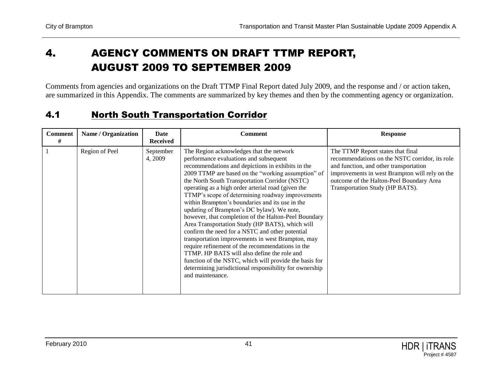## 4. AGENCY COMMENTS ON DRAFT TTMP REPORT, AUGUST 2009 TO SEPTEMBER 2009

Comments from agencies and organizations on the Draft TTMP Final Report dated July 2009, and the response and / or action taken, are summarized in this Appendix. The comments are summarized by key themes and then by the commenting agency or organization.

#### 4.1 North South Transportation Corridor

| <b>Comment</b><br># | Name / Organization | Date<br><b>Received</b> | <b>Comment</b>                                                                                                                                                                                                                                                                                                                                                                                                                                                                                                                                                                                                                                                                                                                                                                                                                                                                                                            | <b>Response</b>                                                                                                                                                                                                                                                |
|---------------------|---------------------|-------------------------|---------------------------------------------------------------------------------------------------------------------------------------------------------------------------------------------------------------------------------------------------------------------------------------------------------------------------------------------------------------------------------------------------------------------------------------------------------------------------------------------------------------------------------------------------------------------------------------------------------------------------------------------------------------------------------------------------------------------------------------------------------------------------------------------------------------------------------------------------------------------------------------------------------------------------|----------------------------------------------------------------------------------------------------------------------------------------------------------------------------------------------------------------------------------------------------------------|
|                     | Region of Peel      | September<br>4, 2009    | The Region acknowledges that the network<br>performance evaluations and subsequent<br>recommendations and depictions in exhibits in the<br>2009 TTMP are based on the "working assumption" of<br>the North South Transportation Corridor (NSTC)<br>operating as a high order arterial road (given the<br>TTMP's scope of determining roadway improvements<br>within Brampton's boundaries and its use in the<br>updating of Brampton's DC bylaw). We note,<br>however, that completion of the Halton-Peel Boundary<br>Area Transportation Study (HP BATS), which will<br>confirm the need for a NSTC and other potential<br>transportation improvements in west Brampton, may<br>require refinement of the recommendations in the<br>TTMP. HP BATS will also define the role and<br>function of the NSTC, which will provide the basis for<br>determining jurisdictional responsibility for ownership<br>and maintenance. | The TTMP Report states that final<br>recommendations on the NSTC corridor, its role<br>and function, and other transportation<br>improvements in west Brampton will rely on the<br>outcome of the Halton-Peel Boundary Area<br>Transportation Study (HP BATS). |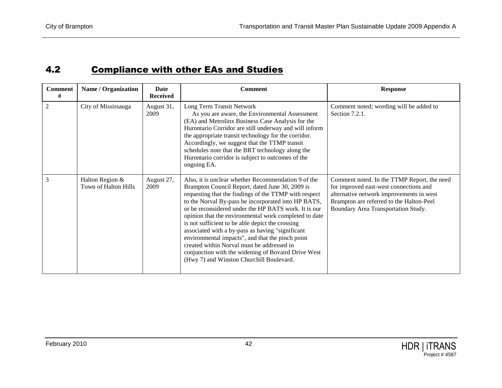### 4.2 Compliance with other EAs and Studies

| <b>Comment</b><br># | <b>Name / Organization</b>              | <b>Date</b><br><b>Received</b> | <b>Comment</b>                                                                                                                                                                                                                                                                                                                                                                                                                                                                                                                                                                                                                                       | <b>Response</b>                                                                                                                                                                                                      |
|---------------------|-----------------------------------------|--------------------------------|------------------------------------------------------------------------------------------------------------------------------------------------------------------------------------------------------------------------------------------------------------------------------------------------------------------------------------------------------------------------------------------------------------------------------------------------------------------------------------------------------------------------------------------------------------------------------------------------------------------------------------------------------|----------------------------------------------------------------------------------------------------------------------------------------------------------------------------------------------------------------------|
| $\overline{2}$      | City of Mississauga                     | August 31,<br>2009             | Long Term Transit Network<br>As you are aware, the Environmental Assessment<br>(EA) and Metrolinx Business Case Analysis for the<br>Hurontario Corridor are still underway and will inform<br>the appropriate transit technology for the corridor.<br>Accordingly, we suggest that the TTMP transit<br>schedules note that the BRT technology along the<br>Hurontario corridor is subject to outcomes of the<br>ongoing EA.                                                                                                                                                                                                                          | Comment noted; wording will be added to<br>Section 7.2.1.                                                                                                                                                            |
| 3                   | Halton Region &<br>Town of Halton Hills | August 27,<br>2009             | Also, it is unclear whether Recommendation 9 of the<br>Brampton Council Report, dated June 30, 2009 is<br>requesting that the findings of the TTMP with respect<br>to the Norval By-pass be incorporated into HP BATS,<br>or be reconsidered under the HP BATS work. It is our<br>opinion that the environmental work completed to date<br>is not sufficient to be able depict the crossing<br>associated with a by-pass as having "significant<br>environmental impacts", and that the pinch point<br>created within Norval must be addressed in<br>conjunction with the widening of Bovaird Drive West<br>(Hwy 7) and Winston Churchill Boulevard. | Comment noted. In the TTMP Report, the need<br>for improved east-west connections and<br>alternative network improvements in west<br>Brampton are referred to the Halton-Peel<br>Boundary Area Transportation Study. |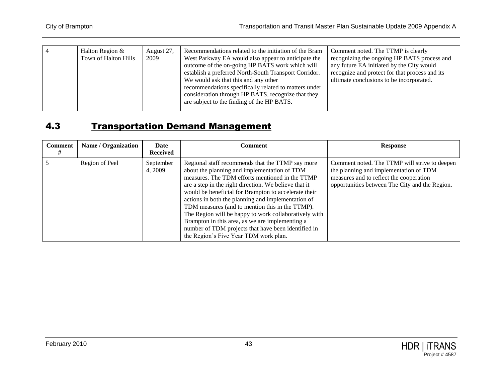| Recommendations related to the initiation of the Bram<br>Halton Region &<br>August 27,<br>Comment noted. The TTMP is clearly<br>2009<br>Town of Halton Hills<br>West Parkway EA would also appear to anticipate the<br>outcome of the on-going HP BATS work which will<br>any future EA initiated by the City would<br>recognize and protect for that process and its<br>establish a preferred North-South Transport Corridor.<br>ultimate conclusions to be incorporated.<br>We would ask that this and any other |  |  |                                             |
|--------------------------------------------------------------------------------------------------------------------------------------------------------------------------------------------------------------------------------------------------------------------------------------------------------------------------------------------------------------------------------------------------------------------------------------------------------------------------------------------------------------------|--|--|---------------------------------------------|
| recommendations specifically related to matters under<br>consideration through HP BATS, recognize that they<br>are subject to the finding of the HP BATS.                                                                                                                                                                                                                                                                                                                                                          |  |  | recognizing the ongoing HP BATS process and |

#### 4.3 Transportation Demand Management

| <b>Comment</b> | Name / Organization | Date<br><b>Received</b> | Comment                                                                                                                                                                                                                                                                                                                                                                                                                                                                                                                                                                                   | <b>Response</b>                                                                                                                                                                      |
|----------------|---------------------|-------------------------|-------------------------------------------------------------------------------------------------------------------------------------------------------------------------------------------------------------------------------------------------------------------------------------------------------------------------------------------------------------------------------------------------------------------------------------------------------------------------------------------------------------------------------------------------------------------------------------------|--------------------------------------------------------------------------------------------------------------------------------------------------------------------------------------|
|                | Region of Peel      | September<br>4, 2009    | Regional staff recommends that the TTMP say more<br>about the planning and implementation of TDM<br>measures. The TDM efforts mentioned in the TTMP<br>are a step in the right direction. We believe that it<br>would be beneficial for Brampton to accelerate their<br>actions in both the planning and implementation of<br>TDM measures (and to mention this in the TTMP).<br>The Region will be happy to work collaboratively with<br>Brampton in this area, as we are implementing a<br>number of TDM projects that have been identified in<br>the Region's Five Year TDM work plan. | Comment noted. The TTMP will strive to deepen<br>the planning and implementation of TDM<br>measures and to reflect the cooperation<br>opportunities between The City and the Region. |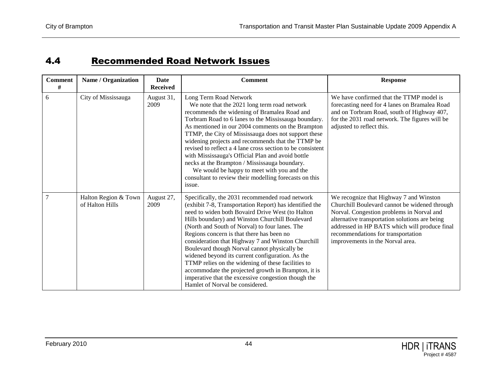## 4.4 Recommended Road Network Issues

| <b>Comment</b><br># | Name / Organization                     | Date<br><b>Received</b> | <b>Comment</b>                                                                                                                                                                                                                                                                                                                                                                                                                                                                                                                                                                                                                                                                    | <b>Response</b>                                                                                                                                                                                                                                                                                                    |
|---------------------|-----------------------------------------|-------------------------|-----------------------------------------------------------------------------------------------------------------------------------------------------------------------------------------------------------------------------------------------------------------------------------------------------------------------------------------------------------------------------------------------------------------------------------------------------------------------------------------------------------------------------------------------------------------------------------------------------------------------------------------------------------------------------------|--------------------------------------------------------------------------------------------------------------------------------------------------------------------------------------------------------------------------------------------------------------------------------------------------------------------|
| 6                   | City of Mississauga                     | August 31,<br>2009      | Long Term Road Network<br>We note that the 2021 long term road network<br>recommends the widening of Bramalea Road and<br>Torbram Road to 6 lanes to the Mississauga boundary.<br>As mentioned in our 2004 comments on the Brampton<br>TTMP, the City of Mississauga does not support these<br>widening projects and recommends that the TTMP be<br>revised to reflect a 4 lane cross section to be consistent<br>with Mississauga's Official Plan and avoid bottle<br>necks at the Brampton / Mississauga boundary.<br>We would be happy to meet with you and the<br>consultant to review their modelling forecasts on this<br>issue.                                            | We have confirmed that the TTMP model is<br>forecasting need for 4 lanes on Bramalea Road<br>and on Torbram Road, south of Highway 407,<br>for the 2031 road network. The figures will be<br>adjusted to reflect this.                                                                                             |
| $\overline{7}$      | Halton Region & Town<br>of Halton Hills | August 27,<br>2009      | Specifically, the 2031 recommended road network<br>(exhibit 7-8, Transportation Report) has identified the<br>need to widen both Bovaird Drive West (to Halton<br>Hills boundary) and Winston Churchill Boulevard<br>(North and South of Norval) to four lanes. The<br>Regions concern is that there has been no<br>consideration that Highway 7 and Winston Churchill<br>Boulevard though Norval cannot physically be<br>widened beyond its current configuration. As the<br>TTMP relies on the widening of these facilities to<br>accommodate the projected growth in Brampton, it is<br>imperative that the excessive congestion though the<br>Hamlet of Norval be considered. | We recognize that Highway 7 and Winston<br>Churchill Boulevard cannot be widened through<br>Norval. Congestion problems in Norval and<br>alternative transportation solutions are being<br>addressed in HP BATS which will produce final<br>recommendations for transportation<br>improvements in the Norval area. |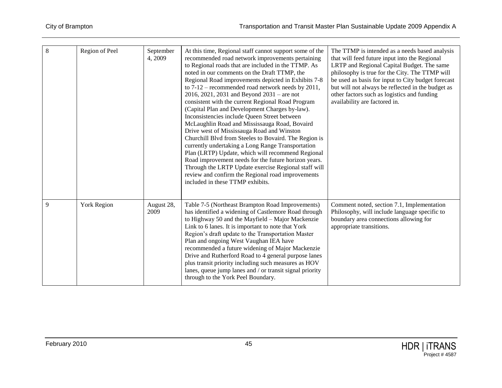| 8 | Region of Peel | September<br>4, 2009 | At this time, Regional staff cannot support some of the<br>recommended road network improvements pertaining<br>to Regional roads that are included in the TTMP. As<br>noted in our comments on the Draft TTMP, the<br>Regional Road improvements depicted in Exhibits 7-8<br>to $7-12$ – recommended road network needs by $2011$ ,<br>$2016, 2021, 2031$ and Beyond $2031$ – are not<br>consistent with the current Regional Road Program<br>(Capital Plan and Development Charges by-law).<br>Inconsistencies include Queen Street between<br>McLaughlin Road and Mississauga Road, Bovaird<br>Drive west of Mississauga Road and Winston<br>Churchill Blvd from Steeles to Bovaird. The Region is<br>currently undertaking a Long Range Transportation<br>Plan (LRTP) Update, which will recommend Regional<br>Road improvement needs for the future horizon years.<br>Through the LRTP Update exercise Regional staff will<br>review and confirm the Regional road improvements<br>included in these TTMP exhibits. | The TTMP is intended as a needs based analysis<br>that will feed future input into the Regional<br>LRTP and Regional Capital Budget. The same<br>philosophy is true for the City. The TTMP will<br>be used as basis for input to City budget forecast<br>but will not always be reflected in the budget as<br>other factors such as logistics and funding<br>availability are factored in. |
|---|----------------|----------------------|-------------------------------------------------------------------------------------------------------------------------------------------------------------------------------------------------------------------------------------------------------------------------------------------------------------------------------------------------------------------------------------------------------------------------------------------------------------------------------------------------------------------------------------------------------------------------------------------------------------------------------------------------------------------------------------------------------------------------------------------------------------------------------------------------------------------------------------------------------------------------------------------------------------------------------------------------------------------------------------------------------------------------|--------------------------------------------------------------------------------------------------------------------------------------------------------------------------------------------------------------------------------------------------------------------------------------------------------------------------------------------------------------------------------------------|
| 9 | York Region    | August 28,<br>2009   | Table 7-5 (Northeast Brampton Road Improvements)<br>has identified a widening of Castlemore Road through<br>to Highway 50 and the Mayfield - Major Mackenzie<br>Link to 6 lanes. It is important to note that York<br>Region's draft update to the Transportation Master<br>Plan and ongoing West Vaughan IEA have<br>recommended a future widening of Major Mackenzie<br>Drive and Rutherford Road to 4 general purpose lanes<br>plus transit priority including such measures as HOV<br>lanes, queue jump lanes and / or transit signal priority<br>through to the York Peel Boundary.                                                                                                                                                                                                                                                                                                                                                                                                                                | Comment noted, section 7.1, Implementation<br>Philosophy, will include language specific to<br>boundary area connections allowing for<br>appropriate transitions.                                                                                                                                                                                                                          |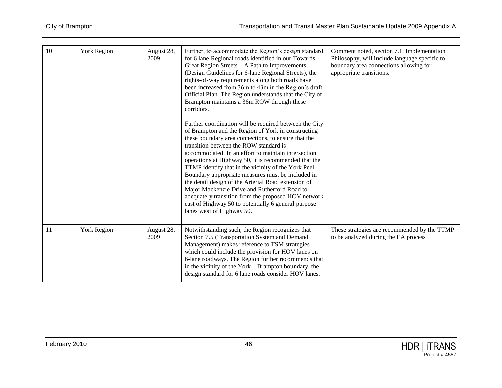| 10 | <b>York Region</b> | August 28,<br>2009 | Further, to accommodate the Region's design standard<br>for 6 lane Regional roads identified in our Towards<br>Great Region Streets - A Path to Improvements<br>(Design Guidelines for 6-lane Regional Streets), the<br>rights-of-way requirements along both roads have<br>been increased from 36m to 43m in the Region's draft<br>Official Plan. The Region understands that the City of<br>Brampton maintains a 36m ROW through these<br>corridors.<br>Further coordination will be required between the City<br>of Brampton and the Region of York in constructing<br>these boundary area connections, to ensure that the | Comment noted, section 7.1, Implementation<br>Philosophy, will include language specific to<br>boundary area connections allowing for<br>appropriate transitions. |
|----|--------------------|--------------------|-------------------------------------------------------------------------------------------------------------------------------------------------------------------------------------------------------------------------------------------------------------------------------------------------------------------------------------------------------------------------------------------------------------------------------------------------------------------------------------------------------------------------------------------------------------------------------------------------------------------------------|-------------------------------------------------------------------------------------------------------------------------------------------------------------------|
|    |                    |                    | transition between the ROW standard is<br>accommodated. In an effort to maintain intersection<br>operations at Highway 50, it is recommended that the<br>TTMP identify that in the vicinity of the York Peel<br>Boundary appropriate measures must be included in<br>the detail design of the Arterial Road extension of<br>Major Mackenzie Drive and Rutherford Road to<br>adequately transition from the proposed HOV network<br>east of Highway 50 to potentially 6 general purpose<br>lanes west of Highway 50.                                                                                                           |                                                                                                                                                                   |
| 11 | <b>York Region</b> | August 28,<br>2009 | Notwithstanding such, the Region recognizes that<br>Section 7.5 (Transportation System and Demand<br>Management) makes reference to TSM strategies<br>which could include the provision for HOV lanes on<br>6-lane roadways. The Region further recommends that<br>in the vicinity of the York - Brampton boundary, the<br>design standard for 6 lane roads consider HOV lanes.                                                                                                                                                                                                                                               | These strategies are recommended by the TTMP<br>to be analyzed during the EA process                                                                              |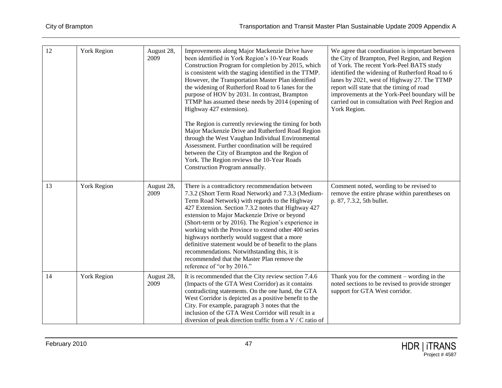| 12 | York Region        | August 28,<br>2009 | Improvements along Major Mackenzie Drive have<br>been identified in York Region's 10-Year Roads<br>Construction Program for completion by 2015, which<br>is consistent with the staging identified in the TTMP.<br>However, the Transportation Master Plan identified<br>the widening of Rutherford Road to 6 lanes for the<br>purpose of HOV by 2031. In contrast, Brampton<br>TTMP has assumed these needs by 2014 (opening of<br>Highway 427 extension).<br>The Region is currently reviewing the timing for both<br>Major Mackenzie Drive and Rutherford Road Region<br>through the West Vaughan Individual Environmental<br>Assessment. Further coordination will be required<br>between the City of Brampton and the Region of<br>York. The Region reviews the 10-Year Roads<br>Construction Program annually. | We agree that coordination is important between<br>the City of Brampton, Peel Region, and Region<br>of York. The recent York-Peel BATS study<br>identified the widening of Rutherford Road to 6<br>lanes by 2021, west of Highway 27. The TTMP<br>report will state that the timing of road<br>improvements at the York-Peel boundary will be<br>carried out in consultation with Peel Region and<br>York Region. |
|----|--------------------|--------------------|----------------------------------------------------------------------------------------------------------------------------------------------------------------------------------------------------------------------------------------------------------------------------------------------------------------------------------------------------------------------------------------------------------------------------------------------------------------------------------------------------------------------------------------------------------------------------------------------------------------------------------------------------------------------------------------------------------------------------------------------------------------------------------------------------------------------|-------------------------------------------------------------------------------------------------------------------------------------------------------------------------------------------------------------------------------------------------------------------------------------------------------------------------------------------------------------------------------------------------------------------|
| 13 | <b>York Region</b> | August 28,<br>2009 | There is a contradictory recommendation between<br>7.3.2 (Short Term Road Network) and 7.3.3 (Medium-<br>Term Road Network) with regards to the Highway<br>427 Extension. Section 7.3.2 notes that Highway 427<br>extension to Major Mackenzie Drive or beyond<br>(Short-term or by 2016). The Region's experience in<br>working with the Province to extend other 400 series<br>highways northerly would suggest that a more<br>definitive statement would be of benefit to the plans<br>recommendations. Notwithstanding this, it is<br>recommended that the Master Plan remove the<br>reference of "or by 2016."                                                                                                                                                                                                  | Comment noted, wording to be revised to<br>remove the entire phrase within parentheses on<br>p. 87, 7.3.2, 5th bullet.                                                                                                                                                                                                                                                                                            |
| 14 | York Region        | August 28,<br>2009 | It is recommended that the City review section 7.4.6<br>(Impacts of the GTA West Corridor) as it contains<br>contradicting statements. On the one hand, the GTA<br>West Corridor is depicted as a positive benefit to the<br>City. For example, paragraph 3 notes that the<br>inclusion of the GTA West Corridor will result in a<br>diversion of peak direction traffic from a V / C ratio of                                                                                                                                                                                                                                                                                                                                                                                                                       | Thank you for the comment $-$ wording in the<br>noted sections to be revised to provide stronger<br>support for GTA West corridor.                                                                                                                                                                                                                                                                                |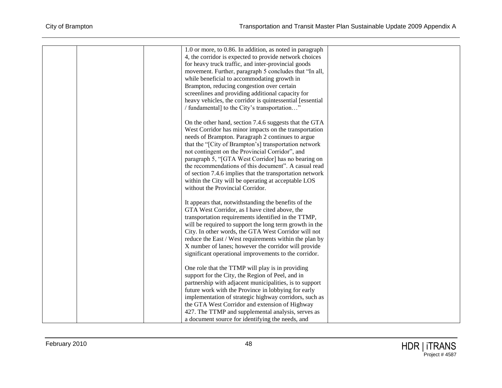|  | 1.0 or more, to 0.86. In addition, as noted in paragraph  |  |
|--|-----------------------------------------------------------|--|
|  | 4, the corridor is expected to provide network choices    |  |
|  | for heavy truck traffic, and inter-provincial goods       |  |
|  | movement. Further, paragraph 5 concludes that "In all,    |  |
|  | while beneficial to accommodating growth in               |  |
|  | Brampton, reducing congestion over certain                |  |
|  | screenlines and providing additional capacity for         |  |
|  | heavy vehicles, the corridor is quintessential [essential |  |
|  | / fundamental] to the City's transportation"              |  |
|  |                                                           |  |
|  | On the other hand, section 7.4.6 suggests that the GTA    |  |
|  | West Corridor has minor impacts on the transportation     |  |
|  | needs of Brampton. Paragraph 2 continues to argue         |  |
|  | that the "[City of Brampton's] transportation network     |  |
|  | not contingent on the Provincial Corridor", and           |  |
|  | paragraph 5, "[GTA West Corridor] has no bearing on       |  |
|  | the recommendations of this document". A casual read      |  |
|  |                                                           |  |
|  | of section 7.4.6 implies that the transportation network  |  |
|  | within the City will be operating at acceptable LOS       |  |
|  | without the Provincial Corridor.                          |  |
|  | It appears that, notwithstanding the benefits of the      |  |
|  | GTA West Corridor, as I have cited above, the             |  |
|  | transportation requirements identified in the TTMP,       |  |
|  | will be required to support the long term growth in the   |  |
|  | City. In other words, the GTA West Corridor will not      |  |
|  |                                                           |  |
|  | reduce the East / West requirements within the plan by    |  |
|  | X number of lanes; however the corridor will provide      |  |
|  | significant operational improvements to the corridor.     |  |
|  | One role that the TTMP will play is in providing          |  |
|  | support for the City, the Region of Peel, and in          |  |
|  | partnership with adjacent municipalities, is to support   |  |
|  | future work with the Province in lobbying for early       |  |
|  | implementation of strategic highway corridors, such as    |  |
|  | the GTA West Corridor and extension of Highway            |  |
|  | 427. The TTMP and supplemental analysis, serves as        |  |
|  |                                                           |  |
|  | a document source for identifying the needs, and          |  |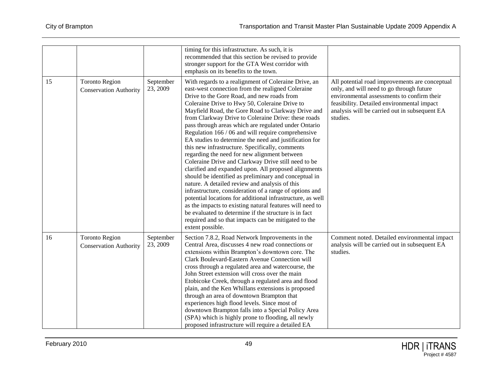|    |                                                        |                       | timing for this infrastructure. As such, it is<br>recommended that this section be revised to provide<br>stronger support for the GTA West corridor with<br>emphasis on its benefits to the town.                                                                                                                                                                                                                                                                                                                                                                                                                                                                                                                                                                                                                                                                                                                                                                                                                                                                                                                                                    |                                                                                                                                                                                                                                                     |
|----|--------------------------------------------------------|-----------------------|------------------------------------------------------------------------------------------------------------------------------------------------------------------------------------------------------------------------------------------------------------------------------------------------------------------------------------------------------------------------------------------------------------------------------------------------------------------------------------------------------------------------------------------------------------------------------------------------------------------------------------------------------------------------------------------------------------------------------------------------------------------------------------------------------------------------------------------------------------------------------------------------------------------------------------------------------------------------------------------------------------------------------------------------------------------------------------------------------------------------------------------------------|-----------------------------------------------------------------------------------------------------------------------------------------------------------------------------------------------------------------------------------------------------|
| 15 | <b>Toronto Region</b><br><b>Conservation Authority</b> | September<br>23, 2009 | With regards to a realignment of Coleraine Drive, an<br>east-west connection from the realigned Coleraine<br>Drive to the Gore Road, and new roads from<br>Coleraine Drive to Hwy 50, Coleraine Drive to<br>Mayfield Road, the Gore Road to Clarkway Drive and<br>from Clarkway Drive to Coleraine Drive: these roads<br>pass through areas which are regulated under Ontario<br>Regulation 166 / 06 and will require comprehensive<br>EA studies to determine the need and justification for<br>this new infrastructure. Specifically, comments<br>regarding the need for new alignment between<br>Coleraine Drive and Clarkway Drive still need to be<br>clarified and expanded upon. All proposed alignments<br>should be identified as preliminary and conceptual in<br>nature. A detailed review and analysis of this<br>infrastructure, consideration of a range of options and<br>potential locations for additional infrastructure, as well<br>as the impacts to existing natural features will need to<br>be evaluated to determine if the structure is in fact<br>required and so that impacts can be mitigated to the<br>extent possible. | All potential road improvements are conceptual<br>only, and will need to go through future<br>environmental assessments to confirm their<br>feasibility. Detailed environmental impact<br>analysis will be carried out in subsequent EA<br>studies. |
| 16 | <b>Toronto Region</b><br><b>Conservation Authority</b> | September<br>23, 2009 | Section 7.8.2, Road Network Improvements in the<br>Central Area, discusses 4 new road connections or<br>extensions within Brampton's downtown core. The<br>Clark Boulevard-Eastern Avenue Connection will<br>cross through a regulated area and watercourse, the<br>John Street extension will cross over the main<br>Etobicoke Creek, through a regulated area and flood<br>plain, and the Ken Whillans extensions is proposed<br>through an area of downtown Brampton that<br>experiences high flood levels. Since most of<br>downtown Brampton falls into a Special Policy Area<br>(SPA) which is highly prone to flooding, all newly<br>proposed infrastructure will require a detailed EA                                                                                                                                                                                                                                                                                                                                                                                                                                                       | Comment noted. Detailed environmental impact<br>analysis will be carried out in subsequent EA<br>studies.                                                                                                                                           |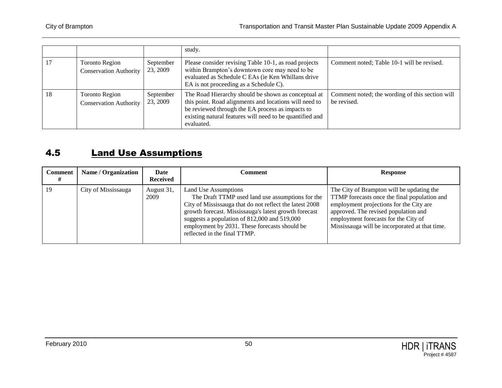|    |                                                        |                       | study.                                                                                                                                                                                                                                      |                                                                |
|----|--------------------------------------------------------|-----------------------|---------------------------------------------------------------------------------------------------------------------------------------------------------------------------------------------------------------------------------------------|----------------------------------------------------------------|
|    | <b>Toronto Region</b><br><b>Conservation Authority</b> | September<br>23, 2009 | Please consider revising Table 10-1, as road projects<br>within Brampton's downtown core may need to be<br>evaluated as Schedule C EAs (ie Ken Whillans drive<br>EA is not proceeding as a Schedule C).                                     | Comment noted; Table 10-1 will be revised.                     |
| 18 | <b>Toronto Region</b><br><b>Conservation Authority</b> | September<br>23, 2009 | The Road Hierarchy should be shown as conceptual at<br>this point. Road alignments and locations will need to<br>be reviewed through the EA process as impacts to<br>existing natural features will need to be quantified and<br>evaluated. | Comment noted; the wording of this section will<br>be revised. |

#### 4.5 Land Use Assumptions

| <b>Comment</b> | <b>Name / Organization</b> | Date<br><b>Received</b> | Comment                                                                                                                                                                                                                                                                                                                       | <b>Response</b>                                                                                                                                                                                                                                                        |
|----------------|----------------------------|-------------------------|-------------------------------------------------------------------------------------------------------------------------------------------------------------------------------------------------------------------------------------------------------------------------------------------------------------------------------|------------------------------------------------------------------------------------------------------------------------------------------------------------------------------------------------------------------------------------------------------------------------|
| 19             | City of Mississauga        | August 31,<br>2009      | Land Use Assumptions<br>The Draft TTMP used land use assumptions for the<br>City of Mississauga that do not reflect the latest 2008<br>growth forecast. Mississauga's latest growth forecast<br>suggests a population of 812,000 and 519,000<br>employment by 2031. These forecasts should be<br>reflected in the final TTMP. | The City of Brampton will be updating the<br>TTMP forecasts once the final population and<br>employment projections for the City are<br>approved. The revised population and<br>employment forecasts for the City of<br>Mississauga will be incorporated at that time. |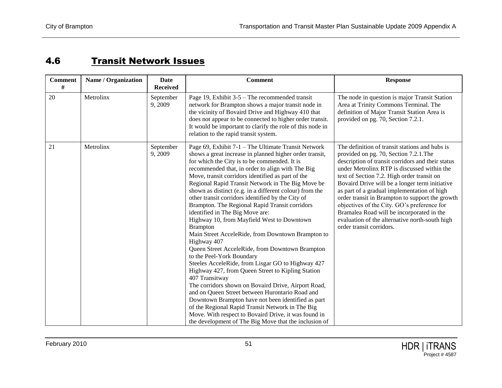## 4.6 Transit Network Issues

| <b>Comment</b><br># | Name / Organization | <b>Date</b><br><b>Received</b> | <b>Comment</b>                                                                                                                                                                                                                                                                                                                                                                                                                                                                                                                                                                                                                                                                                                                                                                                                                                                                                                                                                                                                                                                                                                                                                                                                          | <b>Response</b>                                                                                                                                                                                                                                                                                                                                                                                                                                                                                                                                                          |
|---------------------|---------------------|--------------------------------|-------------------------------------------------------------------------------------------------------------------------------------------------------------------------------------------------------------------------------------------------------------------------------------------------------------------------------------------------------------------------------------------------------------------------------------------------------------------------------------------------------------------------------------------------------------------------------------------------------------------------------------------------------------------------------------------------------------------------------------------------------------------------------------------------------------------------------------------------------------------------------------------------------------------------------------------------------------------------------------------------------------------------------------------------------------------------------------------------------------------------------------------------------------------------------------------------------------------------|--------------------------------------------------------------------------------------------------------------------------------------------------------------------------------------------------------------------------------------------------------------------------------------------------------------------------------------------------------------------------------------------------------------------------------------------------------------------------------------------------------------------------------------------------------------------------|
| 20                  | Metrolinx           | September<br>9,2009            | Page 19, Exhibit $3-5$ – The recommended transit<br>network for Brampton shows a major transit node in<br>the vicinity of Bovaird Drive and Highway 410 that<br>does not appear to be connected to higher order transit.<br>It would be important to clarify the role of this node in<br>relation to the rapid transit system.                                                                                                                                                                                                                                                                                                                                                                                                                                                                                                                                                                                                                                                                                                                                                                                                                                                                                          | The node in question is major Transit Station<br>Area at Trinity Commons Terminal. The<br>definition of Major Transit Station Area is<br>provided on pg. 70, Section 7.2.1.                                                                                                                                                                                                                                                                                                                                                                                              |
| 21                  | Metrolinx           | September<br>9,2009            | Page 69, Exhibit 7-1 - The Ultimate Transit Network<br>shows a great increase in planned higher order transit,<br>for which the City is to be commended. It is<br>recommended that, in order to align with The Big<br>Move, transit corridors identified as part of the<br>Regional Rapid Transit Network in The Big Move be<br>shown as distinct (e.g. in a different colour) from the<br>other transit corridors identified by the City of<br>Brampton. The Regional Rapid Transit corridors<br>identified in The Big Move are:<br>Highway 10, from Mayfield West to Downtown<br><b>Brampton</b><br>Main Street AcceleRide, from Downtown Brampton to<br>Highway 407<br>Queen Street AcceleRide, from Downtown Brampton<br>to the Peel-York Boundary<br>Steeles AcceleRide, from Lisgar GO to Highway 427<br>Highway 427, from Queen Street to Kipling Station<br>407 Transitway<br>The corridors shown on Bovaird Drive, Airport Road,<br>and on Queen Street between Hurontario Road and<br>Downtown Brampton have not been identified as part<br>of the Regional Rapid Transit Network in The Big<br>Move. With respect to Bovaird Drive, it was found in<br>the development of The Big Move that the inclusion of | The definition of transit stations and hubs is<br>provided on pg. 70, Section 7.2.1. The<br>description of transit corridors and their status<br>under Metrolinx RTP is discussed within the<br>text of Section 7.2. High order transit on<br>Bovaird Drive will be a longer term initiative<br>as part of a gradual implementation of high<br>order transit in Brampton to support the growth<br>objectives of the City. GO's preference for<br>Bramalea Road will be incorporated in the<br>evaluation of the alternative north-south high<br>order transit corridors. |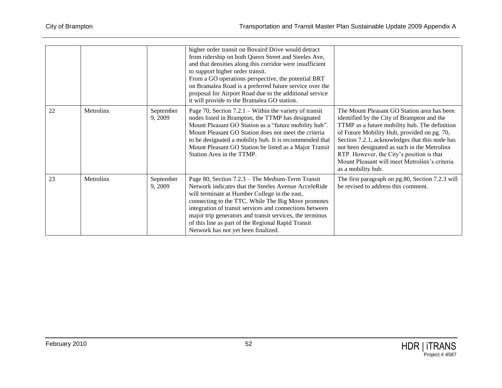|    |           |                      | higher order transit on Bovaird Drive would detract<br>from ridership on both Queen Street and Steeles Ave,<br>and that densities along this corridor were insufficient<br>to support higher order transit.<br>From a GO operations perspective, the potential BRT<br>on Bramalea Road is a preferred future service over the<br>proposal for Airport Road due to the additional service<br>it will provide to the Bramalea GO station. |                                                                                                                                                                                                                                                                                                                                                                                                                 |
|----|-----------|----------------------|-----------------------------------------------------------------------------------------------------------------------------------------------------------------------------------------------------------------------------------------------------------------------------------------------------------------------------------------------------------------------------------------------------------------------------------------|-----------------------------------------------------------------------------------------------------------------------------------------------------------------------------------------------------------------------------------------------------------------------------------------------------------------------------------------------------------------------------------------------------------------|
| 22 | Metrolinx | September<br>9,2009  | Page 70, Section $7.2.1$ – Within the variety of transit<br>nodes listed in Brampton, the TTMP has designated<br>Mount Pleasant GO Station as a "future mobility hub".<br>Mount Pleasant GO Station does not meet the criteria<br>to be designated a mobility hub. It is recommended that<br>Mount Pleasant GO Station be listed as a Major Transit<br>Station Area in the TTMP.                                                        | The Mount Pleasant GO Station area has been<br>identified by the City of Brampton and the<br>TTMP as a future mobility hub. The definition<br>of Future Mobility Hub, provided on pg. 70,<br>Section 7.2.1, acknowledges that this node has<br>not been designated as such in the Metrolinx<br>RTP. However, the City's position is that<br>Mount Pleasant will meet Metrolinx's criteria<br>as a mobility hub. |
| 23 | Metrolinx | September<br>9, 2009 | Page 80, Section 7.2.3 – The Medium-Term Transit<br>Network indicates that the Steeles Avenue AcceleRide<br>will terminate at Humber College in the east,<br>connecting to the TTC. While The Big Move promotes<br>integration of transit services and connections between<br>major trip generators and transit services, the terminus<br>of this line as part of the Regional Rapid Transit<br>Network has not yet been finalized.     | The first paragraph on pg.80, Section 7.2.3 will<br>be revised to address this comment.                                                                                                                                                                                                                                                                                                                         |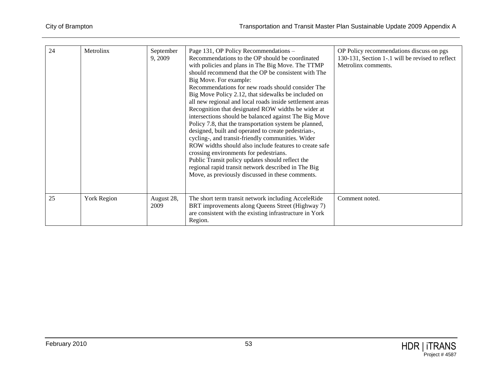| 24 | Metrolinx          | September<br>9,2009 | Page 131, OP Policy Recommendations -<br>Recommendations to the OP should be coordinated<br>with policies and plans in The Big Move. The TTMP<br>should recommend that the OP be consistent with The<br>Big Move. For example:<br>Recommendations for new roads should consider The<br>Big Move Policy 2.12, that sidewalks be included on<br>all new regional and local roads inside settlement areas<br>Recognition that designated ROW widths be wider at<br>intersections should be balanced against The Big Move<br>Policy 7.8, that the transportation system be planned,<br>designed, built and operated to create pedestrian-,<br>cycling-, and transit-friendly communities. Wider<br>ROW widths should also include features to create safe<br>crossing environments for pedestrians.<br>Public Transit policy updates should reflect the<br>regional rapid transit network described in The Big<br>Move, as previously discussed in these comments. | OP Policy recommendations discuss on pgs<br>130-131, Section 1-.1 will be revised to reflect<br>Metrolinx comments. |
|----|--------------------|---------------------|----------------------------------------------------------------------------------------------------------------------------------------------------------------------------------------------------------------------------------------------------------------------------------------------------------------------------------------------------------------------------------------------------------------------------------------------------------------------------------------------------------------------------------------------------------------------------------------------------------------------------------------------------------------------------------------------------------------------------------------------------------------------------------------------------------------------------------------------------------------------------------------------------------------------------------------------------------------|---------------------------------------------------------------------------------------------------------------------|
| 25 | <b>York Region</b> | August 28,<br>2009  | The short term transit network including AcceleRide<br>BRT improvements along Queens Street (Highway 7)<br>are consistent with the existing infrastructure in York<br>Region.                                                                                                                                                                                                                                                                                                                                                                                                                                                                                                                                                                                                                                                                                                                                                                                  | Comment noted.                                                                                                      |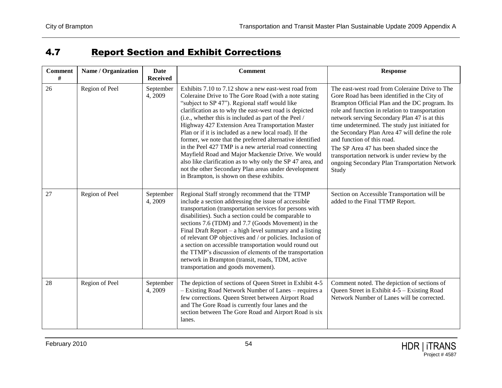### **4.7 Report Section and Exhibit Corrections**

| <b>Comment</b><br># | Name / Organization | Date<br><b>Received</b> | <b>Comment</b>                                                                                                                                                                                                                                                                                                                                                                                                                                                                                                                                                                                                                                                                                                                                | <b>Response</b>                                                                                                                                                                                                                                                                                                                                                                                                                                                                                                                                |
|---------------------|---------------------|-------------------------|-----------------------------------------------------------------------------------------------------------------------------------------------------------------------------------------------------------------------------------------------------------------------------------------------------------------------------------------------------------------------------------------------------------------------------------------------------------------------------------------------------------------------------------------------------------------------------------------------------------------------------------------------------------------------------------------------------------------------------------------------|------------------------------------------------------------------------------------------------------------------------------------------------------------------------------------------------------------------------------------------------------------------------------------------------------------------------------------------------------------------------------------------------------------------------------------------------------------------------------------------------------------------------------------------------|
| 26                  | Region of Peel      | September<br>4,2009     | Exhibits 7.10 to 7.12 show a new east-west road from<br>Coleraine Drive to The Gore Road (with a note stating<br>"subject to SP 47"). Regional staff would like<br>clarification as to why the east-west road is depicted<br>(i.e., whether this is included as part of the Peel /<br>Highway 427 Extension Area Transportation Master<br>Plan or if it is included as a new local road). If the<br>former, we note that the preferred alternative identified<br>in the Peel 427 TMP is a new arterial road connecting<br>Mayfield Road and Major Mackenzie Drive. We would<br>also like clarification as to why only the SP 47 area, and<br>not the other Secondary Plan areas under development<br>in Brampton, is shown on these exhibits. | The east-west road from Coleraine Drive to The<br>Gore Road has been identified in the City of<br>Brampton Official Plan and the DC program. Its<br>role and function in relation to transportation<br>network serving Secondary Plan 47 is at this<br>time undetermined. The study just initiated for<br>the Secondary Plan Area 47 will define the role<br>and function of this road.<br>The SP Area 47 has been shaded since the<br>transportation network is under review by the<br>ongoing Secondary Plan Transportation Network<br>Study |
| 27                  | Region of Peel      | September<br>4,2009     | Regional Staff strongly recommend that the TTMP<br>include a section addressing the issue of accessible<br>transportation (transportation services for persons with<br>disabilities). Such a section could be comparable to<br>sections 7.6 (TDM) and 7.7 (Goods Movement) in the<br>Final Draft Report $-$ a high level summary and a listing<br>of relevant OP objectives and / or policies. Inclusion of<br>a section on accessible transportation would round out<br>the TTMP's discussion of elements of the transportation<br>network in Brampton (transit, roads, TDM, active<br>transportation and goods movement).                                                                                                                   | Section on Accessible Transportation will be<br>added to the Final TTMP Report.                                                                                                                                                                                                                                                                                                                                                                                                                                                                |
| 28                  | Region of Peel      | September<br>4,2009     | The depiction of sections of Queen Street in Exhibit 4-5<br>- Existing Road Network Number of Lanes - requires a<br>few corrections. Queen Street between Airport Road<br>and The Gore Road is currently four lanes and the<br>section between The Gore Road and Airport Road is six<br>lanes.                                                                                                                                                                                                                                                                                                                                                                                                                                                | Comment noted. The depiction of sections of<br>Queen Street in Exhibit 4-5 – Existing Road<br>Network Number of Lanes will be corrected.                                                                                                                                                                                                                                                                                                                                                                                                       |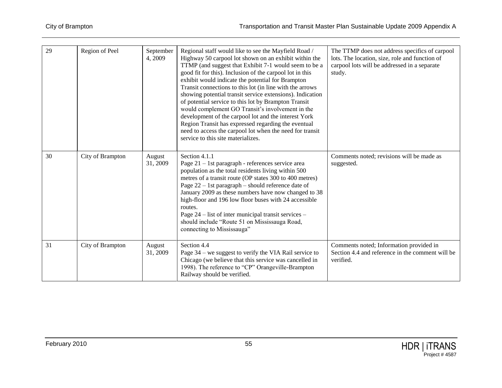| 29 | Region of Peel   | September<br>4,2009 | Regional staff would like to see the Mayfield Road /<br>Highway 50 carpool lot shown on an exhibit within the<br>TTMP (and suggest that Exhibit 7-1 would seem to be a<br>good fit for this). Inclusion of the carpool lot in this<br>exhibit would indicate the potential for Brampton<br>Transit connections to this lot (in line with the arrows<br>showing potential transit service extensions). Indication<br>of potential service to this lot by Brampton Transit<br>would complement GO Transit's involvement in the<br>development of the carpool lot and the interest York<br>Region Transit has expressed regarding the eventual<br>need to access the carpool lot when the need for transit<br>service to this site materializes. | The TTMP does not address specifics of carpool<br>lots. The location, size, role and function of<br>carpool lots will be addressed in a separate<br>study. |
|----|------------------|---------------------|-----------------------------------------------------------------------------------------------------------------------------------------------------------------------------------------------------------------------------------------------------------------------------------------------------------------------------------------------------------------------------------------------------------------------------------------------------------------------------------------------------------------------------------------------------------------------------------------------------------------------------------------------------------------------------------------------------------------------------------------------|------------------------------------------------------------------------------------------------------------------------------------------------------------|
| 30 | City of Brampton | August<br>31, 2009  | Section 4.1.1<br>Page 21 - 1st paragraph - references service area<br>population as the total residents living within 500<br>metres of a transit route (OP states 300 to 400 metres)<br>Page 22 - 1st paragraph - should reference date of<br>January 2009 as these numbers have now changed to 38<br>high-floor and 196 low floor buses with 24 accessible<br>routes.<br>Page 24 – list of inter municipal transit services –<br>should include "Route 51 on Mississauga Road,<br>connecting to Mississauga"                                                                                                                                                                                                                                 | Comments noted; revisions will be made as<br>suggested.                                                                                                    |
| 31 | City of Brampton | August<br>31, 2009  | Section 4.4<br>Page 34 – we suggest to verify the VIA Rail service to<br>Chicago (we believe that this service was cancelled in<br>1998). The reference to "CP" Orangeville-Brampton<br>Railway should be verified.                                                                                                                                                                                                                                                                                                                                                                                                                                                                                                                           | Comments noted; Information provided in<br>Section 4.4 and reference in the comment will be<br>verified.                                                   |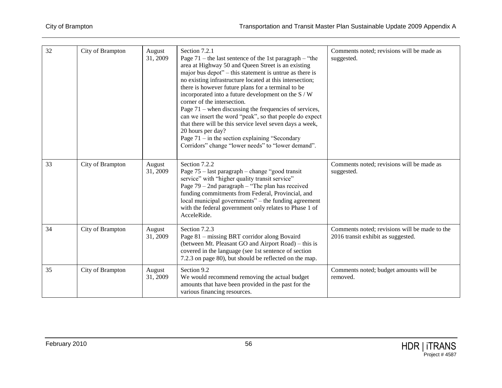| 32 | City of Brampton | August<br>31, 2009 | Section 7.2.1<br>Page $71$ – the last sentence of the 1st paragraph – "the<br>area at Highway 50 and Queen Street is an existing<br>major bus depot" – this statement is untrue as there is<br>no existing infrastructure located at this intersection;<br>there is however future plans for a terminal to be<br>incorporated into a future development on the S / W<br>corner of the intersection.<br>Page $71$ – when discussing the frequencies of services,<br>can we insert the word "peak", so that people do expect<br>that there will be this service level seven days a week,<br>20 hours per day?<br>Page $71 -$ in the section explaining "Secondary<br>Corridors" change "lower needs" to "lower demand". | Comments noted; revisions will be made as<br>suggested.                             |
|----|------------------|--------------------|-----------------------------------------------------------------------------------------------------------------------------------------------------------------------------------------------------------------------------------------------------------------------------------------------------------------------------------------------------------------------------------------------------------------------------------------------------------------------------------------------------------------------------------------------------------------------------------------------------------------------------------------------------------------------------------------------------------------------|-------------------------------------------------------------------------------------|
| 33 | City of Brampton | August<br>31, 2009 | Section 7.2.2<br>Page 75 – last paragraph – change "good transit"<br>service" with "higher quality transit service"<br>Page $79 - 2$ nd paragraph - "The plan has received<br>funding commitments from Federal, Provincial, and<br>local municipal governments" – the funding agreement<br>with the federal government only relates to Phase 1 of<br>AcceleRide.                                                                                                                                                                                                                                                                                                                                                      | Comments noted; revisions will be made as<br>suggested.                             |
| 34 | City of Brampton | August<br>31, 2009 | Section 7.2.3<br>Page 81 - missing BRT corridor along Bovaird<br>(between Mt. Pleasant GO and Airport Road) – this is<br>covered in the language (see 1st sentence of section<br>7.2.3 on page 80), but should be reflected on the map.                                                                                                                                                                                                                                                                                                                                                                                                                                                                               | Comments noted; revisions will be made to the<br>2016 transit exhibit as suggested. |
| 35 | City of Brampton | August<br>31, 2009 | Section 9.2<br>We would recommend removing the actual budget<br>amounts that have been provided in the past for the<br>various financing resources.                                                                                                                                                                                                                                                                                                                                                                                                                                                                                                                                                                   | Comments noted; budget amounts will be<br>removed.                                  |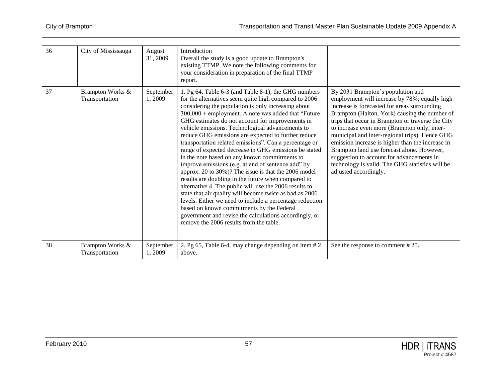| 36 | City of Mississauga                | August<br>31, 2009  | Introduction<br>Overall the study is a good update to Brampton's<br>existing TTMP. We note the following comments for<br>your consideration in preparation of the final TTMP<br>report.                                                                                                                                                                                                                                                                                                                                                                                                                                                                                                                                                                                                                                                                                                                                                                                                                                                                                |                                                                                                                                                                                                                                                                                                                                                                                                                                                                                                                                                                       |
|----|------------------------------------|---------------------|------------------------------------------------------------------------------------------------------------------------------------------------------------------------------------------------------------------------------------------------------------------------------------------------------------------------------------------------------------------------------------------------------------------------------------------------------------------------------------------------------------------------------------------------------------------------------------------------------------------------------------------------------------------------------------------------------------------------------------------------------------------------------------------------------------------------------------------------------------------------------------------------------------------------------------------------------------------------------------------------------------------------------------------------------------------------|-----------------------------------------------------------------------------------------------------------------------------------------------------------------------------------------------------------------------------------------------------------------------------------------------------------------------------------------------------------------------------------------------------------------------------------------------------------------------------------------------------------------------------------------------------------------------|
| 37 | Brampton Works &<br>Transportation | September<br>1,2009 | 1. Pg 64, Table 6-3 (and Table 8-1), the GHG numbers<br>for the alternatives seem quite high compared to 2006<br>considering the population is only increasing about<br>300,000 + employment. A note was added that "Future<br>GHG estimates do not account for improvements in<br>vehicle emissions. Technological advancements to<br>reduce GHG emissions are expected to further reduce<br>transportation related emissions". Can a percentage or<br>range of expected decrease in GHG emissions be stated<br>in the note based on any known commitments to<br>improve emissions (e.g. at end of sentence add" by<br>approx. 20 to 30%)? The issue is that the 2006 model<br>results are doubling in the future when compared to<br>alternative 4. The public will use the 2006 results to<br>state that air quality will become twice as bad as 2006<br>levels. Either we need to include a percentage reduction<br>based on known commitments by the Federal<br>government and revise the calculations accordingly, or<br>remove the 2006 results from the table. | By 2031 Brampton's population and<br>employment will increase by 78%; equally high<br>increase is forecasted for areas surrounding<br>Brampton (Halton, York) causing the number of<br>trips that occur in Brampton or traverse the City<br>to increase even more (Brampton only, inter-<br>municipal and inter-regional trips). Hence GHG<br>emission increase is higher than the increase in<br>Brampton land use forecast alone. However,<br>suggestion to account for advancements in<br>technology is valid. The GHG statistics will be<br>adjusted accordingly. |
| 38 | Brampton Works &<br>Transportation | September<br>1,2009 | 2. Pg 65, Table 6-4, may change depending on item $#2$<br>above.                                                                                                                                                                                                                                                                                                                                                                                                                                                                                                                                                                                                                                                                                                                                                                                                                                                                                                                                                                                                       | See the response to comment #25.                                                                                                                                                                                                                                                                                                                                                                                                                                                                                                                                      |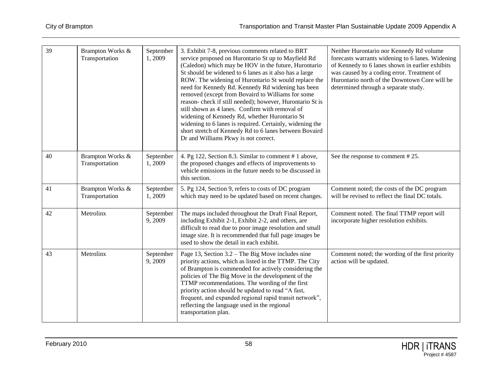| 39 | Brampton Works &<br>Transportation | September<br>1,2009 | 3. Exhibit 7-8, previous comments related to BRT<br>service proposed on Hurontario St up to Mayfield Rd<br>(Caledon) which may be HOV in the future, Hurontario<br>St should be widened to 6 lanes as it also has a large<br>ROW. The widening of Hurontario St would replace the<br>need for Kennedy Rd. Kennedy Rd widening has been<br>removed (except from Bovaird to Williams for some<br>reason-check if still needed); however, Hurontario St is<br>still shown as 4 lanes. Confirm with removal of<br>widening of Kennedy Rd, whether Hurontario St<br>widening to 6 lanes is required. Certainly, widening the<br>short stretch of Kennedy Rd to 6 lanes between Bovaird<br>Dr and Williams Pkwy is not correct. | Neither Hurontario nor Kennedy Rd volume<br>forecasts warrants widening to 6 lanes. Widening<br>of Kennedy to 6 lanes shown in earlier exhibits<br>was caused by a coding error. Treatment of<br>Hurontario north of the Downtown Core will be<br>determined through a separate study. |
|----|------------------------------------|---------------------|---------------------------------------------------------------------------------------------------------------------------------------------------------------------------------------------------------------------------------------------------------------------------------------------------------------------------------------------------------------------------------------------------------------------------------------------------------------------------------------------------------------------------------------------------------------------------------------------------------------------------------------------------------------------------------------------------------------------------|----------------------------------------------------------------------------------------------------------------------------------------------------------------------------------------------------------------------------------------------------------------------------------------|
| 40 | Brampton Works &<br>Transportation | September<br>1,2009 | 4. Pg 122, Section 8.3. Similar to comment #1 above,<br>the proposed changes and effects of improvements to<br>vehicle emissions in the future needs to be discussed in<br>this section.                                                                                                                                                                                                                                                                                                                                                                                                                                                                                                                                  | See the response to comment #25.                                                                                                                                                                                                                                                       |
| 41 | Brampton Works &<br>Transportation | September<br>1,2009 | 5. Pg 124, Section 9, refers to costs of DC program<br>which may need to be updated based on recent changes.                                                                                                                                                                                                                                                                                                                                                                                                                                                                                                                                                                                                              | Comment noted; the costs of the DC program<br>will be revised to reflect the final DC totals.                                                                                                                                                                                          |
| 42 | Metrolinx                          | September<br>9,2009 | The maps included throughout the Draft Final Report,<br>including Exhibit 2-1, Exhibit 2-2, and others, are<br>difficult to read due to poor image resolution and small<br>image size. It is recommended that full page images be<br>used to show the detail in each exhibit.                                                                                                                                                                                                                                                                                                                                                                                                                                             | Comment noted. The final TTMP report will<br>incorporate higher resolution exhibits.                                                                                                                                                                                                   |
| 43 | Metrolinx                          | September<br>9,2009 | Page 13, Section $3.2$ – The Big Move includes nine<br>priority actions, which as listed in the TTMP. The City<br>of Brampton is commended for actively considering the<br>policies of The Big Move in the development of the<br>TTMP recommendations. The wording of the first<br>priority action should be updated to read "A fast,<br>frequent, and expanded regional rapid transit network",<br>reflecting the language used in the regional<br>transportation plan.                                                                                                                                                                                                                                                  | Comment noted; the wording of the first priority<br>action will be updated.                                                                                                                                                                                                            |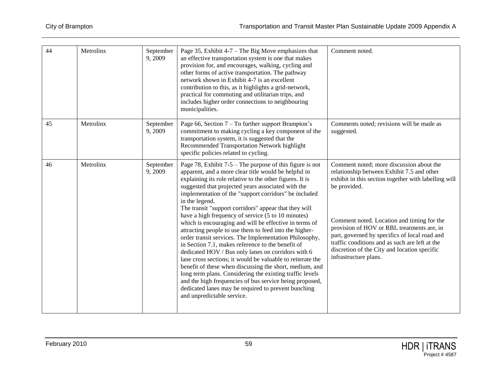| 44 | Metrolinx | September<br>9,2009 | Page 35, Exhibit $4-7$ – The Big Move emphasizes that<br>an effective transportation system is one that makes<br>provision for, and encourages, walking, cycling and<br>other forms of active transportation. The pathway<br>network shown in Exhibit 4-7 is an excellent<br>contribution to this, as it highlights a grid-network,<br>practical for commuting and utilitarian trips, and<br>includes higher order connections to neighbouring<br>municipalities.                                                                                                                                                                                                                                                                                                                                                                                                                                                                                                                                                                                            | Comment noted.                                                                                                                                                                                                                                                                                                                                                                                                                         |
|----|-----------|---------------------|--------------------------------------------------------------------------------------------------------------------------------------------------------------------------------------------------------------------------------------------------------------------------------------------------------------------------------------------------------------------------------------------------------------------------------------------------------------------------------------------------------------------------------------------------------------------------------------------------------------------------------------------------------------------------------------------------------------------------------------------------------------------------------------------------------------------------------------------------------------------------------------------------------------------------------------------------------------------------------------------------------------------------------------------------------------|----------------------------------------------------------------------------------------------------------------------------------------------------------------------------------------------------------------------------------------------------------------------------------------------------------------------------------------------------------------------------------------------------------------------------------------|
| 45 | Metrolinx | September<br>9,2009 | Page 66, Section 7 – To further support Brampton's<br>commitment to making cycling a key component of the<br>transportation system, it is suggested that the<br>Recommended Transportation Network highlight<br>specific policies related to cycling.                                                                                                                                                                                                                                                                                                                                                                                                                                                                                                                                                                                                                                                                                                                                                                                                        | Comments noted; revisions will be made as<br>suggested.                                                                                                                                                                                                                                                                                                                                                                                |
| 46 | Metrolinx | September<br>9,2009 | Page 78, Exhibit $7-5$ – The purpose of this figure is not<br>apparent, and a more clear title would be helpful in<br>explaining its role relative to the other figures. It is<br>suggested that projected years associated with the<br>implementation of the "support corridors" be included<br>in the legend.<br>The transit "support corridors" appear that they will<br>have a high frequency of service (5 to 10 minutes)<br>which is encouraging and will be effective in terms of<br>attracting people to use them to feed into the higher-<br>order transit services. The Implementation Philosophy,<br>in Section 7.1, makes reference to the benefit of<br>dedicated HOV / Bus only lanes on corridors with 6<br>lane cross sections; it would be valuable to reiterate the<br>benefit of these when discussing the short, medium, and<br>long term plans. Considering the existing traffic levels<br>and the high frequencies of bus service being proposed,<br>dedicated lanes may be required to prevent bunching<br>and unpredictable service. | Comment noted; more discussion about the<br>relationship between Exhibit 7.5 and other<br>exhibit in this section together with labelling will<br>be provided.<br>Comment noted. Location and timing for the<br>provision of HOV or RBL treatments are, in<br>part, governed by specifics of local road and<br>traffic conditions and as such are left at the<br>discretion of the City and location specific<br>infrastructure plans. |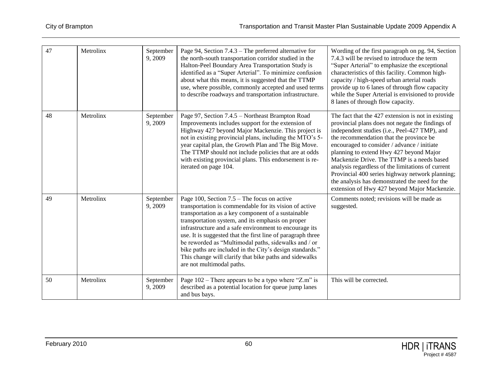| 47 | Metrolinx | September<br>9,2009 | Page 94, Section 7.4.3 – The preferred alternative for<br>the north-south transportation corridor studied in the<br>Halton-Peel Boundary Area Transportation Study is<br>identified as a "Super Arterial". To minimize confusion<br>about what this means, it is suggested that the TTMP<br>use, where possible, commonly accepted and used terms<br>to describe roadways and transportation infrastructure.                                                                                                                                           | Wording of the first paragraph on pg. 94, Section<br>7.4.3 will be revised to introduce the term<br>"Super Arterial" to emphasize the exceptional<br>characteristics of this facility. Common high-<br>capacity / high-speed urban arterial roads<br>provide up to 6 lanes of through flow capacity<br>while the Super Arterial is envisioned to provide<br>8 lanes of through flow capacity.                                                                                                                                                        |
|----|-----------|---------------------|--------------------------------------------------------------------------------------------------------------------------------------------------------------------------------------------------------------------------------------------------------------------------------------------------------------------------------------------------------------------------------------------------------------------------------------------------------------------------------------------------------------------------------------------------------|------------------------------------------------------------------------------------------------------------------------------------------------------------------------------------------------------------------------------------------------------------------------------------------------------------------------------------------------------------------------------------------------------------------------------------------------------------------------------------------------------------------------------------------------------|
| 48 | Metrolinx | September<br>9,2009 | Page 97, Section 7.4.5 - Northeast Brampton Road<br>Improvements includes support for the extension of<br>Highway 427 beyond Major Mackenzie. This project is<br>not in existing provincial plans, including the MTO's 5-<br>year capital plan, the Growth Plan and The Big Move.<br>The TTMP should not include policies that are at odds<br>with existing provincial plans. This endorsement is re-<br>iterated on page 104.                                                                                                                         | The fact that the 427 extension is not in existing<br>provincial plans does not negate the findings of<br>independent studies (i.e., Peel-427 TMP), and<br>the recommendation that the province be<br>encouraged to consider / advance / initiate<br>planning to extend Hwy 427 beyond Major<br>Mackenzie Drive. The TTMP is a needs based<br>analysis regardless of the limitations of current<br>Provincial 400 series highway network planning;<br>the analysis has demonstrated the need for the<br>extension of Hwy 427 beyond Major Mackenzie. |
| 49 | Metrolinx | September<br>9,2009 | Page 100, Section $7.5$ – The focus on active<br>transportation is commendable for its vision of active<br>transportation as a key component of a sustainable<br>transportation system, and its emphasis on proper<br>infrastructure and a safe environment to encourage its<br>use. It is suggested that the first line of paragraph three<br>be reworded as "Multimodal paths, sidewalks and / or<br>bike paths are included in the City's design standards."<br>This change will clarify that bike paths and sidewalks<br>are not multimodal paths. | Comments noted; revisions will be made as<br>suggested.                                                                                                                                                                                                                                                                                                                                                                                                                                                                                              |
| 50 | Metrolinx | September<br>9,2009 | Page $102$ – There appears to be a typo where "Z.m" is<br>described as a potential location for queue jump lanes<br>and bus bays.                                                                                                                                                                                                                                                                                                                                                                                                                      | This will be corrected.                                                                                                                                                                                                                                                                                                                                                                                                                                                                                                                              |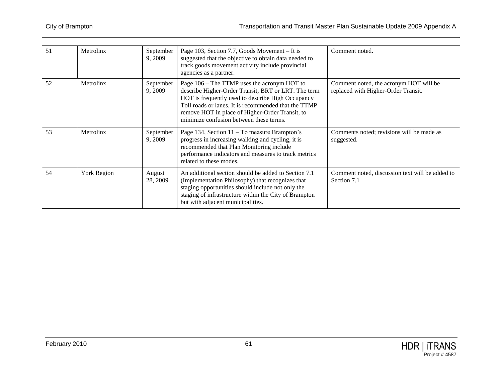| 51 | Metrolinx   | September<br>9, 2009 | Page 103, Section 7.7, Goods Movement – It is<br>suggested that the objective to obtain data needed to<br>track goods movement activity include provincial<br>agencies as a partner.                                                                                                                          | Comment noted.                                                                |
|----|-------------|----------------------|---------------------------------------------------------------------------------------------------------------------------------------------------------------------------------------------------------------------------------------------------------------------------------------------------------------|-------------------------------------------------------------------------------|
| 52 | Metrolinx   | September<br>9,2009  | Page 106 – The TTMP uses the acronym HOT to<br>describe Higher-Order Transit, BRT or LRT. The term<br>HOT is frequently used to describe High Occupancy<br>Toll roads or lanes. It is recommended that the TTMP<br>remove HOT in place of Higher-Order Transit, to<br>minimize confusion between these terms. | Comment noted, the acronym HOT will be<br>replaced with Higher-Order Transit. |
| 53 | Metrolinx   | September<br>9, 2009 | Page 134, Section 11 – To measure Brampton's<br>progress in increasing walking and cycling, it is<br>recommended that Plan Monitoring include<br>performance indicators and measures to track metrics<br>related to these modes.                                                                              | Comments noted; revisions will be made as<br>suggested.                       |
| 54 | York Region | August<br>28, 2009   | An additional section should be added to Section 7.1<br>(Implementation Philosophy) that recognizes that<br>staging opportunities should include not only the<br>staging of infrastructure within the City of Brampton<br>but with adjacent municipalities.                                                   | Comment noted, discussion text will be added to<br>Section 7.1                |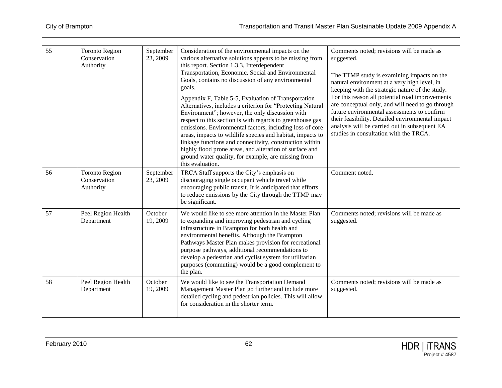| 55 | <b>Toronto Region</b><br>Conservation<br>Authority | September<br>23, 2009 | Consideration of the environmental impacts on the<br>various alternative solutions appears to be missing from<br>this report. Section 1.3.3, Interdependent<br>Transportation, Economic, Social and Environmental<br>Goals, contains no discussion of any environmental<br>goals.<br>Appendix F, Table 5-5, Evaluation of Transportation<br>Alternatives, includes a criterion for "Protecting Natural<br>Environment"; however, the only discussion with<br>respect to this section is with regards to greenhouse gas<br>emissions. Environmental factors, including loss of core<br>areas, impacts to wildlife species and habitat, impacts to<br>linkage functions and connectivity, construction within<br>highly flood prone areas, and alteration of surface and<br>ground water quality, for example, are missing from<br>this evaluation. | Comments noted; revisions will be made as<br>suggested.<br>The TTMP study is examining impacts on the<br>natural environment at a very high level, in<br>keeping with the strategic nature of the study.<br>For this reason all potential road improvements<br>are conceptual only, and will need to go through<br>future environmental assessments to confirm<br>their feasibility. Detailed environmental impact<br>analysis will be carried out in subsequent EA<br>studies in consultation with the TRCA. |
|----|----------------------------------------------------|-----------------------|---------------------------------------------------------------------------------------------------------------------------------------------------------------------------------------------------------------------------------------------------------------------------------------------------------------------------------------------------------------------------------------------------------------------------------------------------------------------------------------------------------------------------------------------------------------------------------------------------------------------------------------------------------------------------------------------------------------------------------------------------------------------------------------------------------------------------------------------------|---------------------------------------------------------------------------------------------------------------------------------------------------------------------------------------------------------------------------------------------------------------------------------------------------------------------------------------------------------------------------------------------------------------------------------------------------------------------------------------------------------------|
| 56 | <b>Toronto Region</b><br>Conservation<br>Authority | September<br>23, 2009 | TRCA Staff supports the City's emphasis on<br>discouraging single occupant vehicle travel while<br>encouraging public transit. It is anticipated that efforts<br>to reduce emissions by the City through the TTMP may<br>be significant.                                                                                                                                                                                                                                                                                                                                                                                                                                                                                                                                                                                                          | Comment noted.                                                                                                                                                                                                                                                                                                                                                                                                                                                                                                |
| 57 | Peel Region Health<br>Department                   | October<br>19, 2009   | We would like to see more attention in the Master Plan<br>to expanding and improving pedestrian and cycling<br>infrastructure in Brampton for both health and<br>environmental benefits. Although the Brampton<br>Pathways Master Plan makes provision for recreational<br>purpose pathways, additional recommendations to<br>develop a pedestrian and cyclist system for utilitarian<br>purposes (commuting) would be a good complement to<br>the plan.                                                                                                                                                                                                                                                                                                                                                                                          | Comments noted; revisions will be made as<br>suggested.                                                                                                                                                                                                                                                                                                                                                                                                                                                       |
| 58 | Peel Region Health<br>Department                   | October<br>19, 2009   | We would like to see the Transportation Demand<br>Management Master Plan go further and include more<br>detailed cycling and pedestrian policies. This will allow<br>for consideration in the shorter term.                                                                                                                                                                                                                                                                                                                                                                                                                                                                                                                                                                                                                                       | Comments noted; revisions will be made as<br>suggested.                                                                                                                                                                                                                                                                                                                                                                                                                                                       |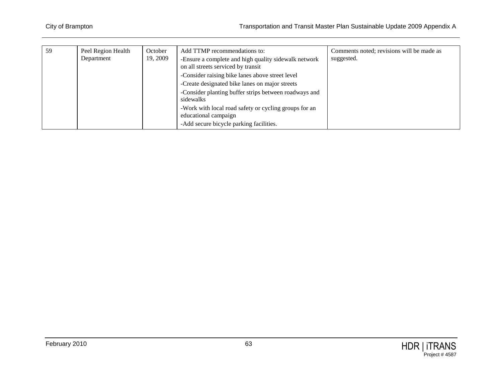| 59 | Peel Region Health | October  | Add TTMP recommendations to:                          | Comments noted; revisions will be made as |
|----|--------------------|----------|-------------------------------------------------------|-------------------------------------------|
|    | Department         | 19, 2009 | -Ensure a complete and high quality sidewalk network  | suggested.                                |
|    |                    |          | on all streets serviced by transit                    |                                           |
|    |                    |          | -Consider raising bike lanes above street level       |                                           |
|    |                    |          | -Create designated bike lanes on major streets        |                                           |
|    |                    |          | -Consider planting buffer strips between roadways and |                                           |
|    |                    |          | sidewalks                                             |                                           |
|    |                    |          | -Work with local road safety or cycling groups for an |                                           |
|    |                    |          | educational campaign                                  |                                           |
|    |                    |          | -Add secure bicycle parking facilities.               |                                           |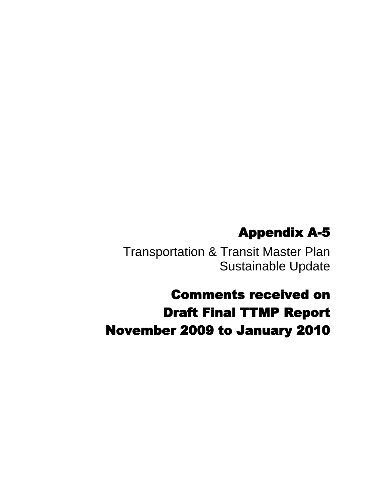# Appendix A-5

Transportation & Transit Master Plan Sustainable Update

# Comments received on Draft Final TTMP Report November 2009 to January 2010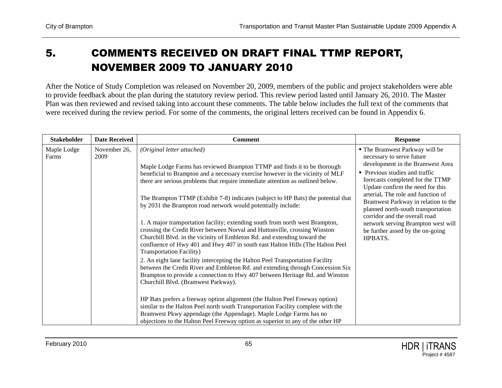## 5. COMMENTS RECEIVED ON DRAFT FINAL TTMP REPORT, NOVEMBER 2009 TO JANUARY 2010

After the Notice of Study Completion was released on November 20, 2009, members of the public and project stakeholders were able to provide feedback about the plan during the statutory review period. This review period lasted until January 26, 2010. The Master Plan was then reviewed and revised taking into account these comments. The table below includes the full text of the comments that were received during the review period. For some of the comments, the original letters received can be found in Appendix 6.

| <b>Stakeholder</b>   | <b>Date Received</b> | <b>Comment</b>                                                                                                                                                                                                                                                                                                                                              | <b>Response</b>                                                                                                                                                                                           |
|----------------------|----------------------|-------------------------------------------------------------------------------------------------------------------------------------------------------------------------------------------------------------------------------------------------------------------------------------------------------------------------------------------------------------|-----------------------------------------------------------------------------------------------------------------------------------------------------------------------------------------------------------|
| Maple Lodge<br>Farms | November 26,<br>2009 | (Original letter attached)<br>Maple Lodge Farms has reviewed Brampton TTMP and finds it to be thorough<br>beneficial to Brampton and a necessary exercise however in the vicinity of MLF<br>there are serious problems that require immediate attention as outlined below.                                                                                  | " The Bramwest Parkway will be<br>necessary to serve future<br>development in the Bramwest Area<br>• Previous studies and traffic<br>forecasts completed for the TTMP<br>Update confirm the need for this |
|                      |                      | The Brampton TTMP (Exhibit 7-8) indicates (subject to HP Bats) the potential that<br>by 2031 the Brampton road network would potentially include:                                                                                                                                                                                                           | arterial. The role and function of<br>Bramwest Parkway in relation to the<br>planned north-south transportation<br>corridor and the overall road                                                          |
|                      |                      | 1. A major transportation facility; extending south from north west Brampton,<br>crossing the Credit River between Norval and Huttonville, crossing Winston<br>Churchill Blvd. in the vicinity of Embleton Rd. and extending toward the<br>confluence of Hwy 401 and Hwy 407 in south east Halton Hills (The Halton Peel<br><b>Transportation Facility)</b> | network serving Brampton west will<br>be further assed by the on-going<br>HPBATS.                                                                                                                         |
|                      |                      | 2. An eight lane facility intercepting the Halton Peel Transportation Facility<br>between the Credit River and Embleton Rd. and extending through Concession Six<br>Brampton to provide a connection to Hwy 407 between Heritage Rd. and Winston<br>Churchill Blvd. (Bramwest Parkway).                                                                     |                                                                                                                                                                                                           |
|                      |                      | HP Bats prefers a freeway option alignment (the Halton Peel Freeway option)<br>similar to the Halton Peel north south Transportation Facility complete with the<br>Bramwest Pkwy appendage (the Appendage). Maple Lodge Farms has no<br>objections to the Halton Peel Freeway option as superior to any of the other HP                                     |                                                                                                                                                                                                           |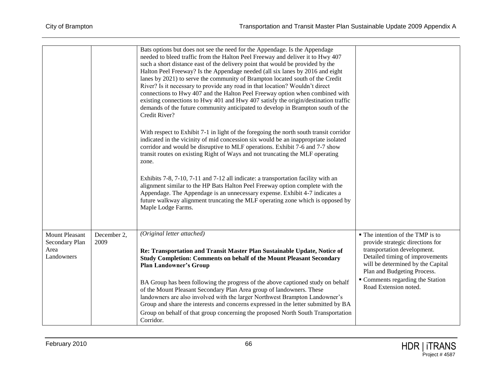|                                                               |                     | Bats options but does not see the need for the Appendage. Is the Appendage<br>needed to bleed traffic from the Halton Peel Freeway and deliver it to Hwy 407<br>such a short distance east of the delivery point that would be provided by the<br>Halton Peel Freeway? Is the Appendage needed (all six lanes by 2016 and eight<br>lanes by 2021) to serve the community of Brampton located south of the Credit<br>River? Is it necessary to provide any road in that location? Wouldn't direct<br>connections to Hwy 407 and the Halton Peel Freeway option when combined with<br>existing connections to Hwy 401 and Hwy 407 satisfy the origin/destination traffic<br>demands of the future community anticipated to develop in Brampton south of the<br>Credit River?<br>With respect to Exhibit 7-1 in light of the foregoing the north south transit corridor<br>indicated in the vicinity of mid concession six would be an inappropriate isolated<br>corridor and would be disruptive to MLF operations. Exhibit 7-6 and 7-7 show<br>transit routes on existing Right of Ways and not truncating the MLF operating<br>zone.<br>Exhibits 7-8, 7-10, 7-11 and 7-12 all indicate: a transportation facility with an<br>alignment similar to the HP Bats Halton Peel Freeway option complete with the<br>Appendage. The Appendage is an unnecessary expense. Exhibit 4-7 indicates a<br>future walkway alignment truncating the MLF operating zone which is opposed by<br>Maple Lodge Farms. |                                                                                                                                                                                                                                                                         |
|---------------------------------------------------------------|---------------------|---------------------------------------------------------------------------------------------------------------------------------------------------------------------------------------------------------------------------------------------------------------------------------------------------------------------------------------------------------------------------------------------------------------------------------------------------------------------------------------------------------------------------------------------------------------------------------------------------------------------------------------------------------------------------------------------------------------------------------------------------------------------------------------------------------------------------------------------------------------------------------------------------------------------------------------------------------------------------------------------------------------------------------------------------------------------------------------------------------------------------------------------------------------------------------------------------------------------------------------------------------------------------------------------------------------------------------------------------------------------------------------------------------------------------------------------------------------------------------------------------|-------------------------------------------------------------------------------------------------------------------------------------------------------------------------------------------------------------------------------------------------------------------------|
|                                                               |                     |                                                                                                                                                                                                                                                                                                                                                                                                                                                                                                                                                                                                                                                                                                                                                                                                                                                                                                                                                                                                                                                                                                                                                                                                                                                                                                                                                                                                                                                                                                   |                                                                                                                                                                                                                                                                         |
| <b>Mount Pleasant</b><br>Secondary Plan<br>Area<br>Landowners | December 2,<br>2009 | (Original letter attached)<br>Re: Transportation and Transit Master Plan Sustainable Update, Notice of<br><b>Study Completion: Comments on behalf of the Mount Pleasant Secondary</b><br><b>Plan Landowner's Group</b><br>BA Group has been following the progress of the above captioned study on behalf<br>of the Mount Pleasant Secondary Plan Area group of landowners. These<br>landowners are also involved with the larger Northwest Brampton Landowner's<br>Group and share the interests and concerns expressed in the letter submitted by BA<br>Group on behalf of that group concerning the proposed North South Transportation<br>Corridor.                                                                                                                                                                                                                                                                                                                                                                                                                                                                                                                                                                                                                                                                                                                                                                                                                                           | • The intention of the TMP is to<br>provide strategic directions for<br>transportation development.<br>Detailed timing of improvements<br>will be determined by the Capital<br>Plan and Budgeting Process.<br>• Comments regarding the Station<br>Road Extension noted. |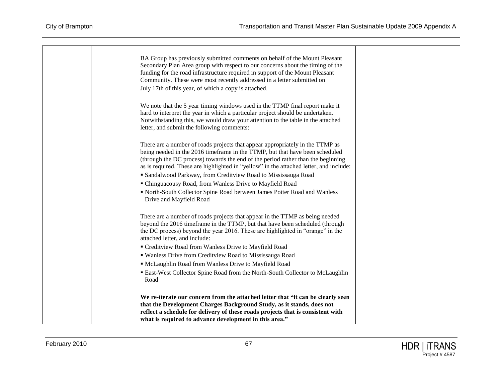| BA Group has previously submitted comments on behalf of the Mount Pleasant<br>Secondary Plan Area group with respect to our concerns about the timing of the<br>funding for the road infrastructure required in support of the Mount Pleasant<br>Community. These were most recently addressed in a letter submitted on<br>July 17th of this year, of which a copy is attached.                               |
|---------------------------------------------------------------------------------------------------------------------------------------------------------------------------------------------------------------------------------------------------------------------------------------------------------------------------------------------------------------------------------------------------------------|
| We note that the 5 year timing windows used in the TTMP final report make it<br>hard to interpret the year in which a particular project should be undertaken.<br>Notwithstanding this, we would draw your attention to the table in the attached<br>letter, and submit the following comments:                                                                                                               |
| There are a number of roads projects that appear appropriately in the TTMP as<br>being needed in the 2016 timeframe in the TTMP, but that have been scheduled<br>(through the DC process) towards the end of the period rather than the beginning<br>as is required. These are highlighted in "yellow" in the attached letter, and include:<br>• Sandalwood Parkway, from Creditview Road to Mississauga Road |
| " Chinguacousy Road, from Wanless Drive to Mayfield Road<br>North-South Collector Spine Road between James Potter Road and Wanless<br>Drive and Mayfield Road                                                                                                                                                                                                                                                 |
| There are a number of roads projects that appear in the TTMP as being needed<br>beyond the 2016 timeframe in the TTMP, but that have been scheduled (through<br>the DC process) beyond the year 2016. These are highlighted in "orange" in the<br>attached letter, and include:                                                                                                                               |
| " Creditview Road from Wanless Drive to Mayfield Road                                                                                                                                                                                                                                                                                                                                                         |
| " Wanless Drive from Creditview Road to Mississauga Road                                                                                                                                                                                                                                                                                                                                                      |
| " McLaughlin Road from Wanless Drive to Mayfield Road                                                                                                                                                                                                                                                                                                                                                         |
| • East-West Collector Spine Road from the North-South Collector to McLaughlin<br>Road                                                                                                                                                                                                                                                                                                                         |
| We re-iterate our concern from the attached letter that "it can be clearly seen<br>that the Development Charges Background Study, as it stands, does not<br>reflect a schedule for delivery of these roads projects that is consistent with<br>what is required to advance development in this area."                                                                                                         |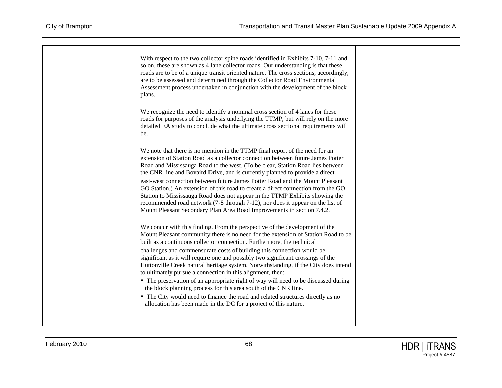|  | With respect to the two collector spine roads identified in Exhibits 7-10, 7-11 and<br>so on, these are shown as 4 lane collector roads. Our understanding is that these<br>roads are to be of a unique transit oriented nature. The cross sections, accordingly,<br>are to be assessed and determined through the Collector Road Environmental<br>Assessment process undertaken in conjunction with the development of the block |
|--|-----------------------------------------------------------------------------------------------------------------------------------------------------------------------------------------------------------------------------------------------------------------------------------------------------------------------------------------------------------------------------------------------------------------------------------|
|  | plans.<br>We recognize the need to identify a nominal cross section of 4 lanes for these<br>roads for purposes of the analysis underlying the TTMP, but will rely on the more<br>detailed EA study to conclude what the ultimate cross sectional requirements will<br>be.                                                                                                                                                         |
|  | We note that there is no mention in the TTMP final report of the need for an<br>extension of Station Road as a collector connection between future James Potter<br>Road and Mississauga Road to the west. (To be clear, Station Road lies between<br>the CNR line and Bovaird Drive, and is currently planned to provide a direct                                                                                                 |
|  | east-west connection between future James Potter Road and the Mount Pleasant<br>GO Station.) An extension of this road to create a direct connection from the GO<br>Station to Mississauga Road does not appear in the TTMP Exhibits showing the<br>recommended road network (7-8 through 7-12), nor does it appear on the list of<br>Mount Pleasant Secondary Plan Area Road Improvements in section 7.4.2.                      |
|  | We concur with this finding. From the perspective of the development of the<br>Mount Pleasant community there is no need for the extension of Station Road to be<br>built as a continuous collector connection. Furthermore, the technical                                                                                                                                                                                        |
|  | challenges and commensurate costs of building this connection would be<br>significant as it will require one and possibly two significant crossings of the<br>Huttonville Creek natural heritage system. Notwithstanding, if the City does intend<br>to ultimately pursue a connection in this alignment, then:                                                                                                                   |
|  | • The preservation of an appropriate right of way will need to be discussed during<br>the block planning process for this area south of the CNR line.                                                                                                                                                                                                                                                                             |
|  | • The City would need to finance the road and related structures directly as no<br>allocation has been made in the DC for a project of this nature.                                                                                                                                                                                                                                                                               |
|  |                                                                                                                                                                                                                                                                                                                                                                                                                                   |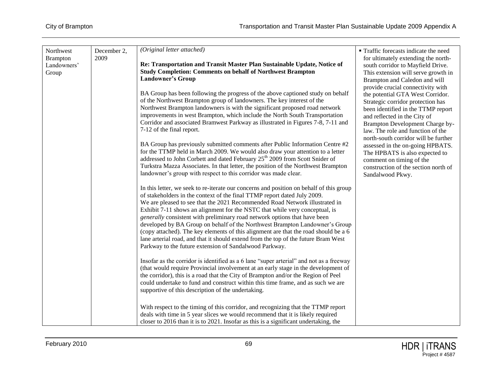| December 2,<br>Northwest<br>2009<br><b>Brampton</b><br>Landowners'<br>Group | (Original letter attached)<br>Re: Transportation and Transit Master Plan Sustainable Update, Notice of<br><b>Study Completion: Comments on behalf of Northwest Brampton</b><br><b>Landowner's Group</b><br>BA Group has been following the progress of the above captioned study on behalf<br>of the Northwest Brampton group of landowners. The key interest of the<br>Northwest Brampton landowners is with the significant proposed road network<br>improvements in west Brampton, which include the North South Transportation<br>Corridor and associated Bramwest Parkway as illustrated in Figures 7-8, 7-11 and<br>7-12 of the final report.<br>BA Group has previously submitted comments after Public Information Centre #2<br>for the TTMP held in March 2009. We would also draw your attention to a letter<br>addressed to John Corbett and dated February 25 <sup>th</sup> 2009 from Scott Snider of<br>Turkstra Mazza Associates. In that letter, the position of the Northwest Brampton<br>landowner's group with respect to this corridor was made clear.<br>In this letter, we seek to re-iterate our concerns and position on behalf of this group<br>of stakeholders in the context of the final TTMP report dated July 2009.<br>We are pleased to see that the 2021 Recommended Road Network illustrated in<br>Exhibit 7-11 shows an alignment for the NSTC that while very conceptual, is<br>generally consistent with preliminary road network options that have been<br>developed by BA Group on behalf of the Northwest Brampton Landowner's Group<br>(copy attached). The key elements of this alignment are that the road should be a 6<br>lane arterial road, and that it should extend from the top of the future Bram West<br>Parkway to the future extension of Sandalwood Parkway.<br>Insofar as the corridor is identified as a 6 lane "super arterial" and not as a freeway<br>(that would require Provincial involvement at an early stage in the development of<br>the corridor), this is a road that the City of Brampton and/or the Region of Peel<br>could undertake to fund and construct within this time frame, and as such we are<br>supportive of this description of the undertaking.<br>With respect to the timing of this corridor, and recognizing that the TTMP report<br>deals with time in 5 year slices we would recommend that it is likely required<br>closer to 2016 than it is to 2021. Insofar as this is a significant undertaking, the | <b>Traffic forecasts indicate the need</b><br>for ultimately extending the north-<br>south corridor to Mayfield Drive.<br>This extension will serve growth in<br>Brampton and Caledon and will<br>provide crucial connectivity with<br>the potential GTA West Corridor.<br>Strategic corridor protection has<br>been identified in the TTMP report<br>and reflected in the City of<br>Brampton Development Charge by-<br>law. The role and function of the<br>north-south corridor will be further<br>assessed in the on-going HPBATS.<br>The HPBATS is also expected to<br>comment on timing of the<br>construction of the section north of<br>Sandalwood Pkwy. |
|-----------------------------------------------------------------------------|--------------------------------------------------------------------------------------------------------------------------------------------------------------------------------------------------------------------------------------------------------------------------------------------------------------------------------------------------------------------------------------------------------------------------------------------------------------------------------------------------------------------------------------------------------------------------------------------------------------------------------------------------------------------------------------------------------------------------------------------------------------------------------------------------------------------------------------------------------------------------------------------------------------------------------------------------------------------------------------------------------------------------------------------------------------------------------------------------------------------------------------------------------------------------------------------------------------------------------------------------------------------------------------------------------------------------------------------------------------------------------------------------------------------------------------------------------------------------------------------------------------------------------------------------------------------------------------------------------------------------------------------------------------------------------------------------------------------------------------------------------------------------------------------------------------------------------------------------------------------------------------------------------------------------------------------------------------------------------------------------------------------------------------------------------------------------------------------------------------------------------------------------------------------------------------------------------------------------------------------------------------------------------------------------------------------------------------------------------------------------------------------------------------------------------------------------------------------------------------------------|------------------------------------------------------------------------------------------------------------------------------------------------------------------------------------------------------------------------------------------------------------------------------------------------------------------------------------------------------------------------------------------------------------------------------------------------------------------------------------------------------------------------------------------------------------------------------------------------------------------------------------------------------------------|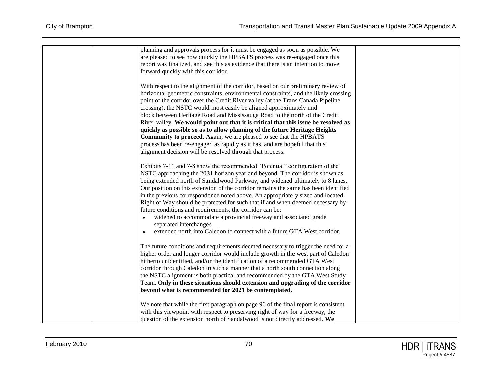| planning and approvals process for it must be engaged as soon as possible. We                                                                                    |  |
|------------------------------------------------------------------------------------------------------------------------------------------------------------------|--|
| are pleased to see how quickly the HPBATS process was re-engaged once this                                                                                       |  |
| report was finalized, and see this as evidence that there is an intention to move<br>forward quickly with this corridor.                                         |  |
|                                                                                                                                                                  |  |
| With respect to the alignment of the corridor, based on our preliminary review of                                                                                |  |
| horizontal geometric constraints, environmental constraints, and the likely crossing                                                                             |  |
| point of the corridor over the Credit River valley (at the Trans Canada Pipeline                                                                                 |  |
| crossing), the NSTC would most easily be aligned approximately mid                                                                                               |  |
| block between Heritage Road and Mississauga Road to the north of the Credit                                                                                      |  |
| River valley. We would point out that it is critical that this issue be resolved as                                                                              |  |
| quickly as possible so as to allow planning of the future Heritage Heights<br>Community to proceed. Again, we are pleased to see that the HPBATS                 |  |
| process has been re-engaged as rapidly as it has, and are hopeful that this                                                                                      |  |
| alignment decision will be resolved through that process.                                                                                                        |  |
|                                                                                                                                                                  |  |
| Exhibits 7-11 and 7-8 show the recommended "Potential" configuration of the                                                                                      |  |
| NSTC approaching the 2031 horizon year and beyond. The corridor is shown as                                                                                      |  |
| being extended north of Sandalwood Parkway, and widened ultimately to 8 lanes.                                                                                   |  |
| Our position on this extension of the corridor remains the same has been identified                                                                              |  |
| in the previous correspondence noted above. An appropriately sized and located<br>Right of Way should be protected for such that if and when deemed necessary by |  |
| future conditions and requirements, the corridor can be:                                                                                                         |  |
| widened to accommodate a provincial freeway and associated grade                                                                                                 |  |
| separated interchanges                                                                                                                                           |  |
| extended north into Caledon to connect with a future GTA West corridor.                                                                                          |  |
|                                                                                                                                                                  |  |
| The future conditions and requirements deemed necessary to trigger the need for a                                                                                |  |
| higher order and longer corridor would include growth in the west part of Caledon                                                                                |  |
| hitherto unidentified, and/or the identification of a recommended GTA West<br>corridor through Caledon in such a manner that a north south connection along      |  |
| the NSTC alignment is both practical and recommended by the GTA West Study                                                                                       |  |
| Team. Only in these situations should extension and upgrading of the corridor                                                                                    |  |
| beyond what is recommended for 2021 be contemplated.                                                                                                             |  |
| We note that while the first paragraph on page 96 of the final report is consistent                                                                              |  |
| with this viewpoint with respect to preserving right of way for a freeway, the                                                                                   |  |
| question of the extension north of Sandalwood is not directly addressed. We                                                                                      |  |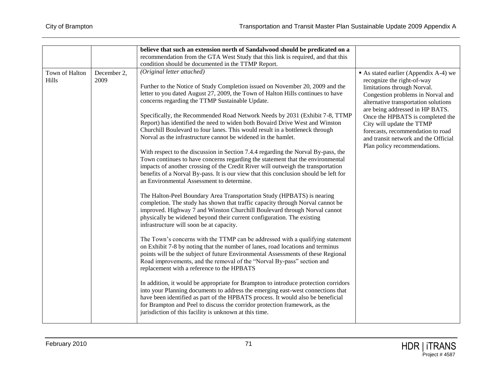|                         |                     | believe that such an extension north of Sandalwood should be predicated on a<br>recommendation from the GTA West Study that this link is required, and that this<br>condition should be documented in the TTMP Report.                                                                                                                                                                                                                                                                                                                                                                                                                                                                                                                                                                                                                                                                                                                                                                                                                                                                                                                                                                                                                                                                                                                                                                                                                                                                                                                                                                                                                                                                                                                                                                                                                                                                                                                                                                                                                                                                                                |                                                                                                                                                                                                                                                                                                                                                                                                |
|-------------------------|---------------------|-----------------------------------------------------------------------------------------------------------------------------------------------------------------------------------------------------------------------------------------------------------------------------------------------------------------------------------------------------------------------------------------------------------------------------------------------------------------------------------------------------------------------------------------------------------------------------------------------------------------------------------------------------------------------------------------------------------------------------------------------------------------------------------------------------------------------------------------------------------------------------------------------------------------------------------------------------------------------------------------------------------------------------------------------------------------------------------------------------------------------------------------------------------------------------------------------------------------------------------------------------------------------------------------------------------------------------------------------------------------------------------------------------------------------------------------------------------------------------------------------------------------------------------------------------------------------------------------------------------------------------------------------------------------------------------------------------------------------------------------------------------------------------------------------------------------------------------------------------------------------------------------------------------------------------------------------------------------------------------------------------------------------------------------------------------------------------------------------------------------------|------------------------------------------------------------------------------------------------------------------------------------------------------------------------------------------------------------------------------------------------------------------------------------------------------------------------------------------------------------------------------------------------|
| Town of Halton<br>Hills | December 2,<br>2009 | (Original letter attached)<br>Further to the Notice of Study Completion issued on November 20, 2009 and the<br>letter to you dated August 27, 2009, the Town of Halton Hills continues to have<br>concerns regarding the TTMP Sustainable Update.<br>Specifically, the Recommended Road Network Needs by 2031 (Exhibit 7-8, TTMP<br>Report) has identified the need to widen both Bovaird Drive West and Winston<br>Churchill Boulevard to four lanes. This would result in a bottleneck through<br>Norval as the infrastructure cannot be widened in the hamlet.<br>With respect to the discussion in Section 7.4.4 regarding the Norval By-pass, the<br>Town continues to have concerns regarding the statement that the environmental<br>impacts of another crossing of the Credit River will outweigh the transportation<br>benefits of a Norval By-pass. It is our view that this conclusion should be left for<br>an Environmental Assessment to determine.<br>The Halton-Peel Boundary Area Transportation Study (HPBATS) is nearing<br>completion. The study has shown that traffic capacity through Norval cannot be<br>improved. Highway 7 and Winston Churchill Boulevard through Norval cannot<br>physically be widened beyond their current configuration. The existing<br>infrastructure will soon be at capacity.<br>The Town's concerns with the TTMP can be addressed with a qualifying statement<br>on Exhibit 7-8 by noting that the number of lanes, road locations and terminus<br>points will be the subject of future Environmental Assessments of these Regional<br>Road improvements, and the removal of the "Norval By-pass" section and<br>replacement with a reference to the HPBATS<br>In addition, it would be appropriate for Brampton to introduce protection corridors<br>into your Planning documents to address the emerging east-west connections that<br>have been identified as part of the HPBATS process. It would also be beneficial<br>for Brampton and Peel to discuss the corridor protection framework, as the<br>jurisdiction of this facility is unknown at this time. | As stated earlier (Appendix A-4) we<br>recognize the right-of-way<br>limitations through Norval.<br>Congestion problems in Norval and<br>alternative transportation solutions<br>are being addressed in HP BATS.<br>Once the HPBATS is completed the<br>City will update the TTMP<br>forecasts, recommendation to road<br>and transit network and the Official<br>Plan policy recommendations. |
|                         |                     |                                                                                                                                                                                                                                                                                                                                                                                                                                                                                                                                                                                                                                                                                                                                                                                                                                                                                                                                                                                                                                                                                                                                                                                                                                                                                                                                                                                                                                                                                                                                                                                                                                                                                                                                                                                                                                                                                                                                                                                                                                                                                                                       |                                                                                                                                                                                                                                                                                                                                                                                                |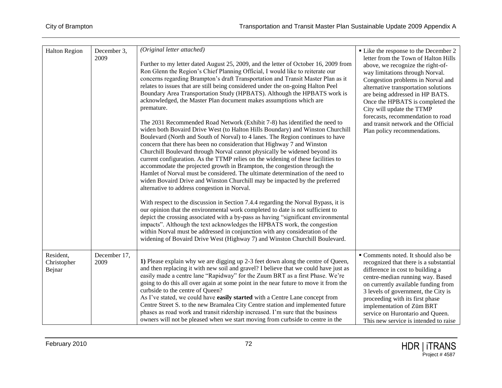| <b>Halton Region</b>               | December 3,<br>2009  | (Original letter attached)<br>Further to my letter dated August 25, 2009, and the letter of October 16, 2009 from<br>Ron Glenn the Region's Chief Planning Official, I would like to reiterate our<br>concerns regarding Brampton's draft Transportation and Transit Master Plan as it<br>relates to issues that are still being considered under the on-going Halton Peel<br>Boundary Area Transportation Study (HPBATS). Although the HPBATS work is<br>acknowledged, the Master Plan document makes assumptions which are<br>premature.<br>The 2031 Recommended Road Network (Exhibit 7-8) has identified the need to<br>widen both Bovaird Drive West (to Halton Hills Boundary) and Winston Churchill<br>Boulevard (North and South of Norval) to 4 lanes. The Region continues to have<br>concern that there has been no consideration that Highway 7 and Winston<br>Churchill Boulevard through Norval cannot physically be widened beyond its<br>current configuration. As the TTMP relies on the widening of these facilities to<br>accommodate the projected growth in Brampton, the congestion through the<br>Hamlet of Norval must be considered. The ultimate determination of the need to<br>widen Bovaird Drive and Winston Churchill may be impacted by the preferred<br>alternative to address congestion in Norval.<br>With respect to the discussion in Section 7.4.4 regarding the Norval Bypass, it is<br>our opinion that the environmental work completed to date is not sufficient to<br>depict the crossing associated with a by-pass as having "significant environmental<br>impacts". Although the text acknowledges the HPBATS work, the congestion<br>within Norval must be addressed in conjunction with any consideration of the<br>widening of Bovaird Drive West (Highway 7) and Winston Churchill Boulevard. | • Like the response to the December 2<br>letter from the Town of Halton Hills<br>above, we recognize the right-of-<br>way limitations through Norval.<br>Congestion problems in Norval and<br>alternative transportation solutions<br>are being addressed in HP BATS.<br>Once the HPBATS is completed the<br>City will update the TTMP<br>forecasts, recommendation to road<br>and transit network and the Official<br>Plan policy recommendations. |
|------------------------------------|----------------------|------------------------------------------------------------------------------------------------------------------------------------------------------------------------------------------------------------------------------------------------------------------------------------------------------------------------------------------------------------------------------------------------------------------------------------------------------------------------------------------------------------------------------------------------------------------------------------------------------------------------------------------------------------------------------------------------------------------------------------------------------------------------------------------------------------------------------------------------------------------------------------------------------------------------------------------------------------------------------------------------------------------------------------------------------------------------------------------------------------------------------------------------------------------------------------------------------------------------------------------------------------------------------------------------------------------------------------------------------------------------------------------------------------------------------------------------------------------------------------------------------------------------------------------------------------------------------------------------------------------------------------------------------------------------------------------------------------------------------------------------------------------------------------------------------------------------------------------------|-----------------------------------------------------------------------------------------------------------------------------------------------------------------------------------------------------------------------------------------------------------------------------------------------------------------------------------------------------------------------------------------------------------------------------------------------------|
| Resident,<br>Christopher<br>Bejnar | December 17,<br>2009 | 1) Please explain why we are digging up 2-3 feet down along the centre of Queen,<br>and then replacing it with new soil and gravel? I believe that we could have just as<br>easily made a centre lane "Rapidway" for the Zuum BRT as a first Phase. We're<br>going to do this all over again at some point in the near future to move it from the<br>curbside to the centre of Queen?<br>As I've stated, we could have easily started with a Centre Lane concept from<br>Centre Street S. to the new Bramalea City Centre station and implemented future<br>phases as road work and transit ridership increased. I'm sure that the business<br>owners will not be pleased when we start moving from curbside to centre in the                                                                                                                                                                                                                                                                                                                                                                                                                                                                                                                                                                                                                                                                                                                                                                                                                                                                                                                                                                                                                                                                                                                  | Comments noted. It should also be<br>recognized that there is a substantial<br>difference in cost to building a<br>centre-median running way. Based<br>on currently available funding from<br>3 levels of government, the City is<br>proceeding with its first phase<br>implementation of Züm BRT<br>service on Hurontario and Queen.<br>This new service is intended to raise                                                                      |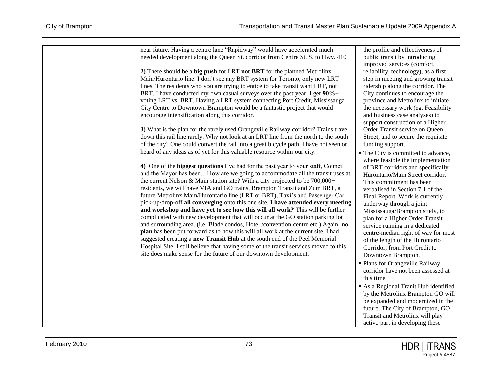| near future. Having a centre lane "Rapidway" would have accelerated much<br>needed development along the Queen St. corridor from Centre St. S. to Hwy. 410<br>2) There should be a big push for LRT not BRT for the planned Metrolinx<br>Main/Hurontario line. I don't see any BRT system for Toronto, only new LRT<br>lines. The residents who you are trying to entice to take transit want LRT, not<br>BRT. I have conducted my own casual surveys over the past year; I get 90%+<br>voting LRT vs. BRT. Having a LRT system connecting Port Credit, Mississauga<br>City Centre to Downtown Brampton would be a fantastic project that would<br>encourage intensification along this corridor.<br>3) What is the plan for the rarely used Orangeville Railway corridor? Trains travel<br>down this rail line rarely. Why not look at an LRT line from the north to the south<br>of the city? One could convert the rail into a great bicycle path. I have not seen or<br>heard of any ideas as of yet for this valuable resource within our city.<br>4) One of the biggest questions I've had for the past year to your staff, Council<br>and the Mayor has beenHow are we going to accommodate all the transit uses at<br>the current Nelson & Main station site? With a city projected to be $700,000+$<br>residents, we will have VIA and GO trains, Brampton Transit and Zum BRT, a<br>future Metrolinx Main/Hurontario line (LRT or BRT), Taxi's and Passenger Car<br>pick-up/drop-off all converging onto this one site. I have attended every meeting<br>and workshop and have yet to see how this will all work? This will be further<br>complicated with new development that will occur at the GO station parking lot<br>and surrounding area. (i.e. Blade condos, Hotel /convention centre etc.) Again, no<br>plan has been put forward as to how this will all work at the current site. I had<br>suggested creating a new Transit Hub at the south end of the Peel Memorial<br>Hospital Site. I still believe that having some of the transit services moved to this<br>site does make sense for the future of our downtown development. | the profile and effectiveness of<br>public transit by introducing<br>improved services (comfort,<br>reliability, technology), as a first<br>step in meeting and growing transit<br>ridership along the corridor. The<br>City continues to encourage the<br>province and Metrolinx to initiate<br>the necessary work (eg. Feasibility<br>and business case analyses) to<br>support construction of a Higher<br>Order Transit service on Queen<br>Street, and to secure the requisite<br>funding support.<br>• The City is committed to advance,<br>where feasible the implementation<br>of BRT corridors and specifically<br>Hurontario/Main Street corridor.<br>This commitment has been<br>verbalised in Section 7.1 of the<br>Final Report. Work is currently<br>underway through a joint<br>Mississauga/Brampton study, to<br>plan for a Higher Order Transit<br>service running in a dedicated<br>centre-median right of way for most<br>of the length of the Hurontario<br>Corridor, from Port Credit to<br>Downtown Brampton.<br>· Plans for Orangeville Railway<br>corridor have not been assessed at |
|----------------------------------------------------------------------------------------------------------------------------------------------------------------------------------------------------------------------------------------------------------------------------------------------------------------------------------------------------------------------------------------------------------------------------------------------------------------------------------------------------------------------------------------------------------------------------------------------------------------------------------------------------------------------------------------------------------------------------------------------------------------------------------------------------------------------------------------------------------------------------------------------------------------------------------------------------------------------------------------------------------------------------------------------------------------------------------------------------------------------------------------------------------------------------------------------------------------------------------------------------------------------------------------------------------------------------------------------------------------------------------------------------------------------------------------------------------------------------------------------------------------------------------------------------------------------------------------------------------------------------------------------------------------------------------------------------------------------------------------------------------------------------------------------------------------------------------------------------------------------------------------------------------------------------------------------------------------------------------------------------------------------------------------------------------------------------------------------------------------------------------------------------------|--------------------------------------------------------------------------------------------------------------------------------------------------------------------------------------------------------------------------------------------------------------------------------------------------------------------------------------------------------------------------------------------------------------------------------------------------------------------------------------------------------------------------------------------------------------------------------------------------------------------------------------------------------------------------------------------------------------------------------------------------------------------------------------------------------------------------------------------------------------------------------------------------------------------------------------------------------------------------------------------------------------------------------------------------------------------------------------------------------------|
|                                                                                                                                                                                                                                                                                                                                                                                                                                                                                                                                                                                                                                                                                                                                                                                                                                                                                                                                                                                                                                                                                                                                                                                                                                                                                                                                                                                                                                                                                                                                                                                                                                                                                                                                                                                                                                                                                                                                                                                                                                                                                                                                                          | this time<br>As a Regional Tranit Hub identified<br>by the Metrolinx Brampton GO will<br>be expanded and modernized in the<br>future. The City of Brampton, GO<br>Transit and Metrolinx will play<br>active part in developing these                                                                                                                                                                                                                                                                                                                                                                                                                                                                                                                                                                                                                                                                                                                                                                                                                                                                         |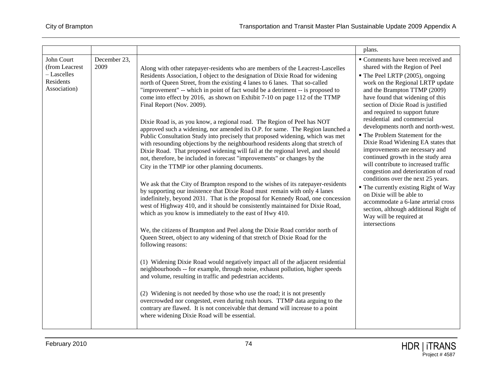|                                                                          |                      |                                                                                                                                                                                                                                                                                                                                                                                                                                                                                                                                                                                                                                                                                                                                                                                                                                                                                                                                                                                                                                                                                                                                                                                                                                                                                                                                                                                                                                                                                                                                                                                                                                                                                                                                                                                                                                                                                                                                                                                                                                                                                                                         | plans.                                                                                                                                                                                                                                                                                                                                                                                                                                                                                                                                                                                                                                                                                                                                                                                                                           |
|--------------------------------------------------------------------------|----------------------|-------------------------------------------------------------------------------------------------------------------------------------------------------------------------------------------------------------------------------------------------------------------------------------------------------------------------------------------------------------------------------------------------------------------------------------------------------------------------------------------------------------------------------------------------------------------------------------------------------------------------------------------------------------------------------------------------------------------------------------------------------------------------------------------------------------------------------------------------------------------------------------------------------------------------------------------------------------------------------------------------------------------------------------------------------------------------------------------------------------------------------------------------------------------------------------------------------------------------------------------------------------------------------------------------------------------------------------------------------------------------------------------------------------------------------------------------------------------------------------------------------------------------------------------------------------------------------------------------------------------------------------------------------------------------------------------------------------------------------------------------------------------------------------------------------------------------------------------------------------------------------------------------------------------------------------------------------------------------------------------------------------------------------------------------------------------------------------------------------------------------|----------------------------------------------------------------------------------------------------------------------------------------------------------------------------------------------------------------------------------------------------------------------------------------------------------------------------------------------------------------------------------------------------------------------------------------------------------------------------------------------------------------------------------------------------------------------------------------------------------------------------------------------------------------------------------------------------------------------------------------------------------------------------------------------------------------------------------|
| John Court<br>(from Leacrest<br>- Lascelles<br>Residents<br>Association) | December 23,<br>2009 | Along with other ratepayer-residents who are members of the Leacrest-Lascelles<br>Residents Association, I object to the designation of Dixie Road for widening<br>north of Queen Street, from the existing 4 lanes to 6 lanes. That so-called<br>"improvement" -- which in point of fact would be a detriment -- is proposed to<br>come into effect by 2016, as shown on Exhibit 7-10 on page 112 of the TTMP<br>Final Report (Nov. 2009).<br>Dixie Road is, as you know, a regional road. The Region of Peel has NOT<br>approved such a widening, nor amended its O.P. for same. The Region launched a<br>Public Consultation Study into precisely that proposed widening, which was met<br>with resounding objections by the neighbourhood residents along that stretch of<br>Dixie Road. That proposed widening will fail at the regional level, and should<br>not, therefore, be included in forecast "improvements" or changes by the<br>City in the TTMP ior other planning documents.<br>We ask that the City of Brampton respond to the wishes of its ratepayer-residents<br>by supporting our insistence that Dixie Road must remain with only 4 lanes<br>indefinitely, beyond 2031. That is the proposal for Kennedy Road, one concession<br>west of Highway 410, and it should be consistently maintained for Dixie Road,<br>which as you know is immediately to the east of Hwy 410.<br>We, the citizens of Brampton and Peel along the Dixie Road corridor north of<br>Queen Street, object to any widening of that stretch of Dixie Road for the<br>following reasons:<br>(1) Widening Dixie Road would negatively impact all of the adjacent residential<br>neighbourhoods -- for example, through noise, exhaust pollution, higher speeds<br>and volume, resulting in traffic and pedestrian accidents.<br>(2) Widening is not needed by those who use the road; it is not presently<br>overcrowded nor congested, even during rush hours. TTMP data arguing to the<br>contrary are flawed. It is not conceivable that demand will increase to a point<br>where widening Dixie Road will be essential. | Comments have been received and<br>shared with the Region of Peel<br>• The Peel LRTP (2005), ongoing<br>work on the Regional LRTP update<br>and the Brampton TTMP (2009)<br>have found that widening of this<br>section of Dixie Road is justified<br>and required to support future<br>residential and commercial<br>developments north and north-west.<br>" The Problem Statement for the<br>Dixie Road Widening EA states that<br>improvements are necessary and<br>continued growth in the study area<br>will contribute to increased traffic<br>congestion and deterioration of road<br>conditions over the next 25 years.<br>• The currently existing Right of Way<br>on Dixie will be able to<br>accommodate a 6-lane arterial cross<br>section, although additional Right of<br>Way will be required at<br>intersections |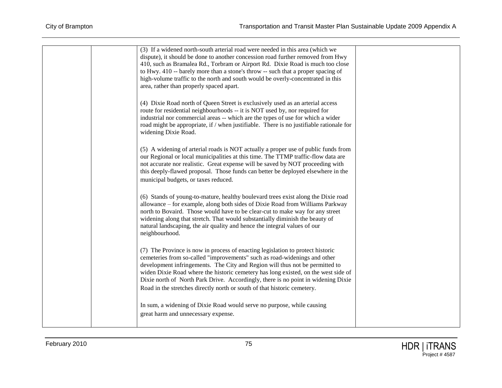| (3) If a widened north-south arterial road were needed in this area (which we<br>dispute), it should be done to another concession road further removed from Hwy<br>410, such as Bramalea Rd., Torbram or Airport Rd. Dixie Road is much too close<br>to Hwy. 410 -- barely more than a stone's throw -- such that a proper spacing of<br>high-volume traffic to the north and south would be overly-concentrated in this<br>area, rather than properly spaced apart.                              |  |
|----------------------------------------------------------------------------------------------------------------------------------------------------------------------------------------------------------------------------------------------------------------------------------------------------------------------------------------------------------------------------------------------------------------------------------------------------------------------------------------------------|--|
| (4) Dixie Road north of Queen Street is exclusively used as an arterial access<br>route for residential neighbourhoods -- it is NOT used by, nor required for<br>industrial nor commercial areas -- which are the types of use for which a wider<br>road might be appropriate, if / when justifiable. There is no justifiable rationale for<br>widening Dixie Road.                                                                                                                                |  |
| (5) A widening of arterial roads is NOT actually a proper use of public funds from<br>our Regional or local municipalities at this time. The TTMP traffic-flow data are<br>not accurate nor realistic. Great expense will be saved by NOT proceeding with<br>this deeply-flawed proposal. Those funds can better be deployed elsewhere in the<br>municipal budgets, or taxes reduced.                                                                                                              |  |
| (6) Stands of young-to-mature, healthy boulevard trees exist along the Dixie road<br>allowance - for example, along both sides of Dixie Road from Williams Parkway<br>north to Bovaird. Those would have to be clear-cut to make way for any street<br>widening along that stretch. That would substantially diminish the beauty of<br>natural landscaping, the air quality and hence the integral values of our<br>neighbourhood.                                                                 |  |
| (7) The Province is now in process of enacting legislation to protect historic<br>cemeteries from so-called "improvements" such as road-widenings and other<br>development infringements. The City and Region will thus not be permitted to<br>widen Dixie Road where the historic cemetery has long existed, on the west side of<br>Dixie north of North Park Drive. Accordingly, there is no point in widening Dixie<br>Road in the stretches directly north or south of that historic cemetery. |  |
| In sum, a widening of Dixie Road would serve no purpose, while causing<br>great harm and unnecessary expense.                                                                                                                                                                                                                                                                                                                                                                                      |  |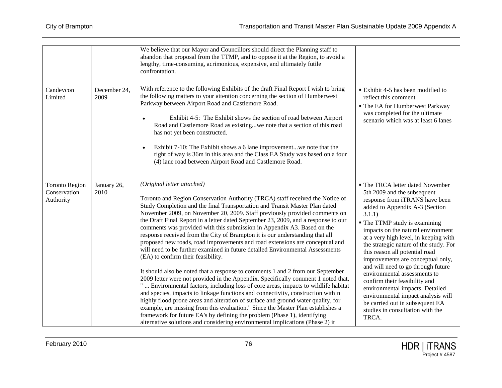|                                                    |                      | We believe that our Mayor and Councillors should direct the Planning staff to<br>abandon that proposal from the TTMP, and to oppose it at the Region, to avoid a<br>lengthy, time-consuming, acrimonious, expensive, and ultimately futile<br>confrontation.                                                                                                                                                                                                                                                                                                                                                                                                                                                                                                                                                                                                                                                                                                                                                                                                                                                                                                                                                                                                                                                                                                                                                          |                                                                                                                                                                                                                                                                                                                                                                                                                                                                                                                                                                                                                                                |
|----------------------------------------------------|----------------------|-----------------------------------------------------------------------------------------------------------------------------------------------------------------------------------------------------------------------------------------------------------------------------------------------------------------------------------------------------------------------------------------------------------------------------------------------------------------------------------------------------------------------------------------------------------------------------------------------------------------------------------------------------------------------------------------------------------------------------------------------------------------------------------------------------------------------------------------------------------------------------------------------------------------------------------------------------------------------------------------------------------------------------------------------------------------------------------------------------------------------------------------------------------------------------------------------------------------------------------------------------------------------------------------------------------------------------------------------------------------------------------------------------------------------|------------------------------------------------------------------------------------------------------------------------------------------------------------------------------------------------------------------------------------------------------------------------------------------------------------------------------------------------------------------------------------------------------------------------------------------------------------------------------------------------------------------------------------------------------------------------------------------------------------------------------------------------|
| Candevcon<br>Limited                               | December 24,<br>2009 | With reference to the following Exhibits of the draft Final Report I wish to bring<br>the following matters to your attention concerning the section of Humberwest<br>Parkway between Airport Road and Castlemore Road.<br>Exhibit 4-5: The Exhibit shows the section of road between Airport<br>Road and Castlemore Road as existingwe note that a section of this road<br>has not yet been constructed.<br>Exhibit 7-10: The Exhibit shows a 6 lane improvementwe note that the<br>right of way is 36m in this area and the Class EA Study was based on a four<br>(4) lane road between Airport Road and Castlemore Road.                                                                                                                                                                                                                                                                                                                                                                                                                                                                                                                                                                                                                                                                                                                                                                                           | Exhibit 4-5 has been modified to<br>reflect this comment<br>• The EA for Humberwest Parkway<br>was completed for the ultimate<br>scenario which was at least 6 lanes                                                                                                                                                                                                                                                                                                                                                                                                                                                                           |
| <b>Toronto Region</b><br>Conservation<br>Authority | January 26,<br>2010  | (Original letter attached)<br>Toronto and Region Conservation Authority (TRCA) staff received the Notice of<br>Study Completion and the final Transportation and Transit Master Plan dated<br>November 2009, on November 20, 2009. Staff previously provided comments on<br>the Draft Final Report in a letter dated September 23, 2009, and a response to our<br>comments was provided with this submission in Appendix A3. Based on the<br>response received from the City of Brampton it is our understanding that all<br>proposed new roads, road improvements and road extensions are conceptual and<br>will need to be further examined in future detailed Environmental Assessments<br>(EA) to confirm their feasibility.<br>It should also be noted that a response to comments 1 and 2 from our September<br>2009 letter were not provided in the Appendix. Specifically comment 1 noted that,<br>"  Environmental factors, including loss of core areas, impacts to wildlife habitat<br>and species, impacts to linkage functions and connectivity, construction within<br>highly flood prone areas and alteration of surface and ground water quality, for<br>example, are missing from this evaluation." Since the Master Plan establishes a<br>framework for future EA's by defining the problem (Phase 1), identifying<br>alternative solutions and considering environmental implications (Phase 2) it | • The TRCA letter dated November<br>5th 2009 and the subsequent<br>response from iTRANS have been<br>added to Appendix A-3 (Section<br>3.1.1)<br>• The TTMP study is examining<br>impacts on the natural environment<br>at a very high level, in keeping with<br>the strategic nature of the study. For<br>this reason all potential road<br>improvements are conceptual only,<br>and will need to go through future<br>environmental assessments to<br>confirm their feasibility and<br>environmental impacts. Detailed<br>environmental impact analysis will<br>be carried out in subsequent EA<br>studies in consultation with the<br>TRCA. |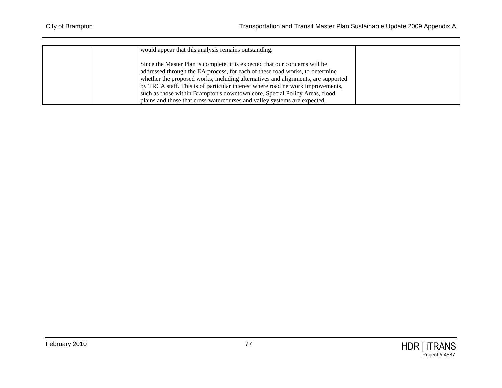| would appear that this analysis remains outstanding.                             |  |
|----------------------------------------------------------------------------------|--|
| Since the Master Plan is complete, it is expected that our concerns will be      |  |
| addressed through the EA process, for each of these road works, to determine     |  |
| whether the proposed works, including alternatives and alignments, are supported |  |
| by TRCA staff. This is of particular interest where road network improvements,   |  |
| such as those within Brampton's downtown core, Special Policy Areas, flood       |  |
| plains and those that cross watercourses and valley systems are expected.        |  |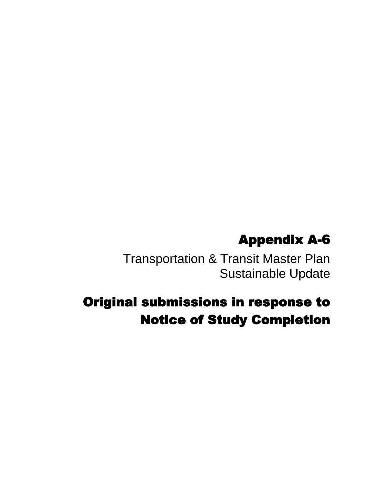## Appendix A-6

Transportation & Transit Master Plan Sustainable Update

## Original submissions in response to Notice of Study Completion